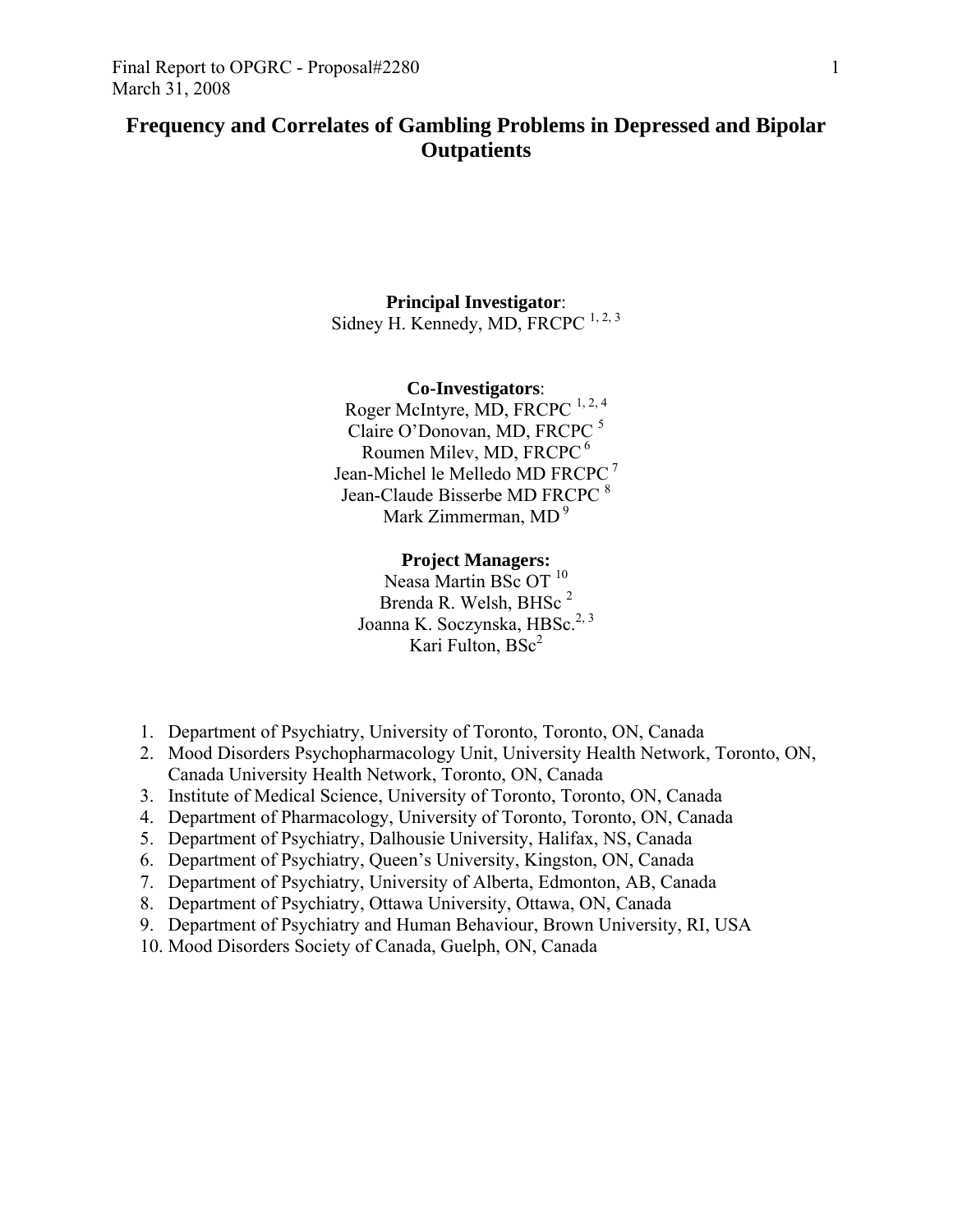# **Frequency and Correlates of Gambling Problems in Depressed and Bipolar Outpatients**

## **Principal Investigator**: Sidney H. Kennedy, MD, FRCPC  $^{1, 2, 3}$

## **Co-Investigators**: Roger McIntyre, MD, FRCPC<sup>1, 2, 4</sup> Claire O'Donovan, MD, FRCPC <sup>5</sup> Roumen Milev, MD, FRCPC 6 Jean-Michel le Melledo MD FRCPC<sup>7</sup> Jean-Claude Bisserbe MD FRCPC<sup>8</sup> Mark Zimmerman, MD<sup>9</sup>

## **Project Managers:**

Neasa Martin BSc OT<sup>10</sup> Brenda R. Welsh, BHSc<sup>2</sup> Joanna K. Soczynska, HBSc.<sup>2, 3</sup> Kari Fulton,  $BSc<sup>2</sup>$ 

- 1. Department of Psychiatry, University of Toronto, Toronto, ON, Canada
- 2. Mood Disorders Psychopharmacology Unit, University Health Network, Toronto, ON, Canada University Health Network, Toronto, ON, Canada
- 3. Institute of Medical Science, University of Toronto, Toronto, ON, Canada
- 4. Department of Pharmacology, University of Toronto, Toronto, ON, Canada
- 5. Department of Psychiatry, Dalhousie University, Halifax, NS, Canada
- 6. Department of Psychiatry, Queen's University, Kingston, ON, Canada
- 7. Department of Psychiatry, University of Alberta, Edmonton, AB, Canada
- 8. Department of Psychiatry, Ottawa University, Ottawa, ON, Canada
- 9. Department of Psychiatry and Human Behaviour, Brown University, RI, USA
- 10. Mood Disorders Society of Canada, Guelph, ON, Canada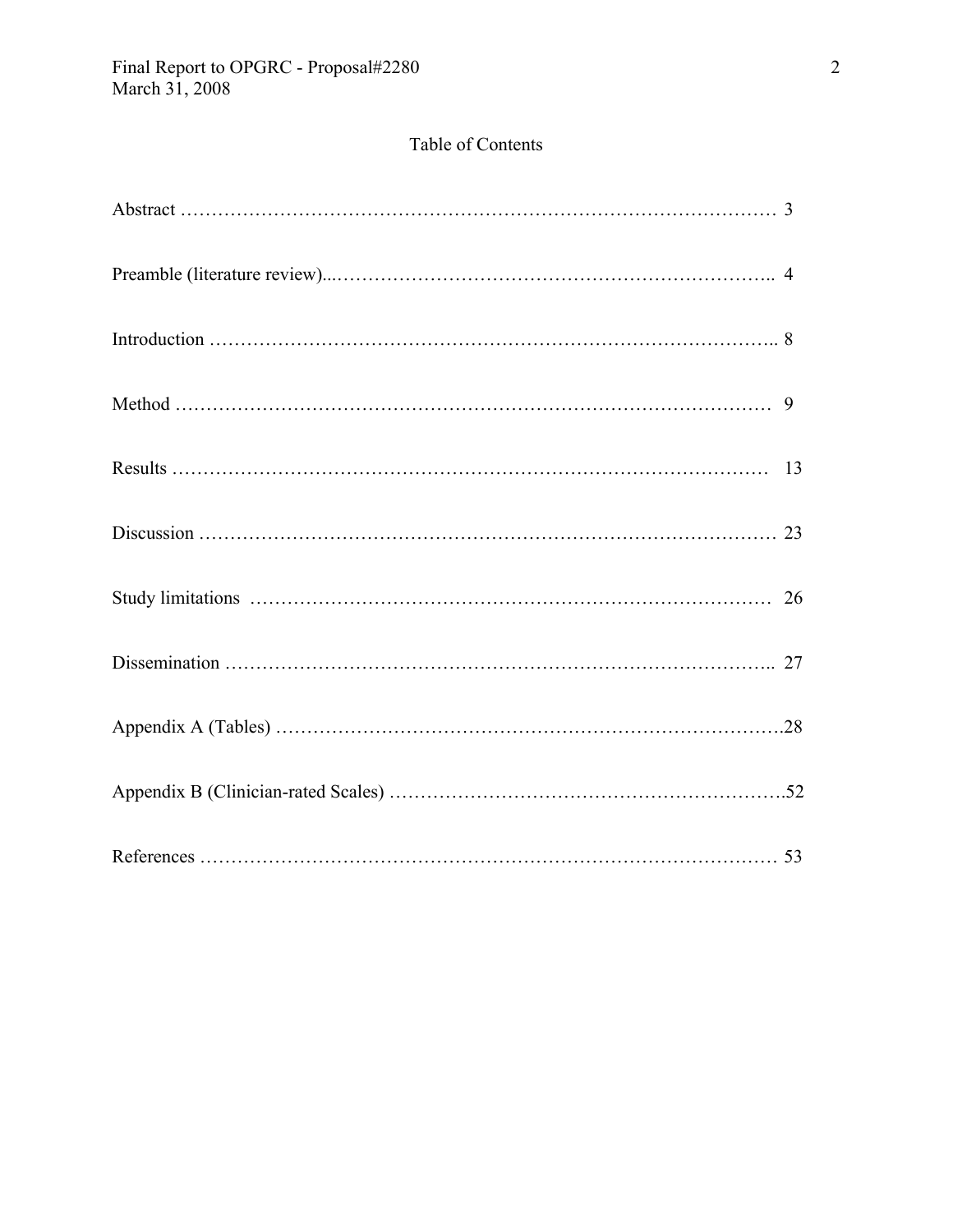# Table of Contents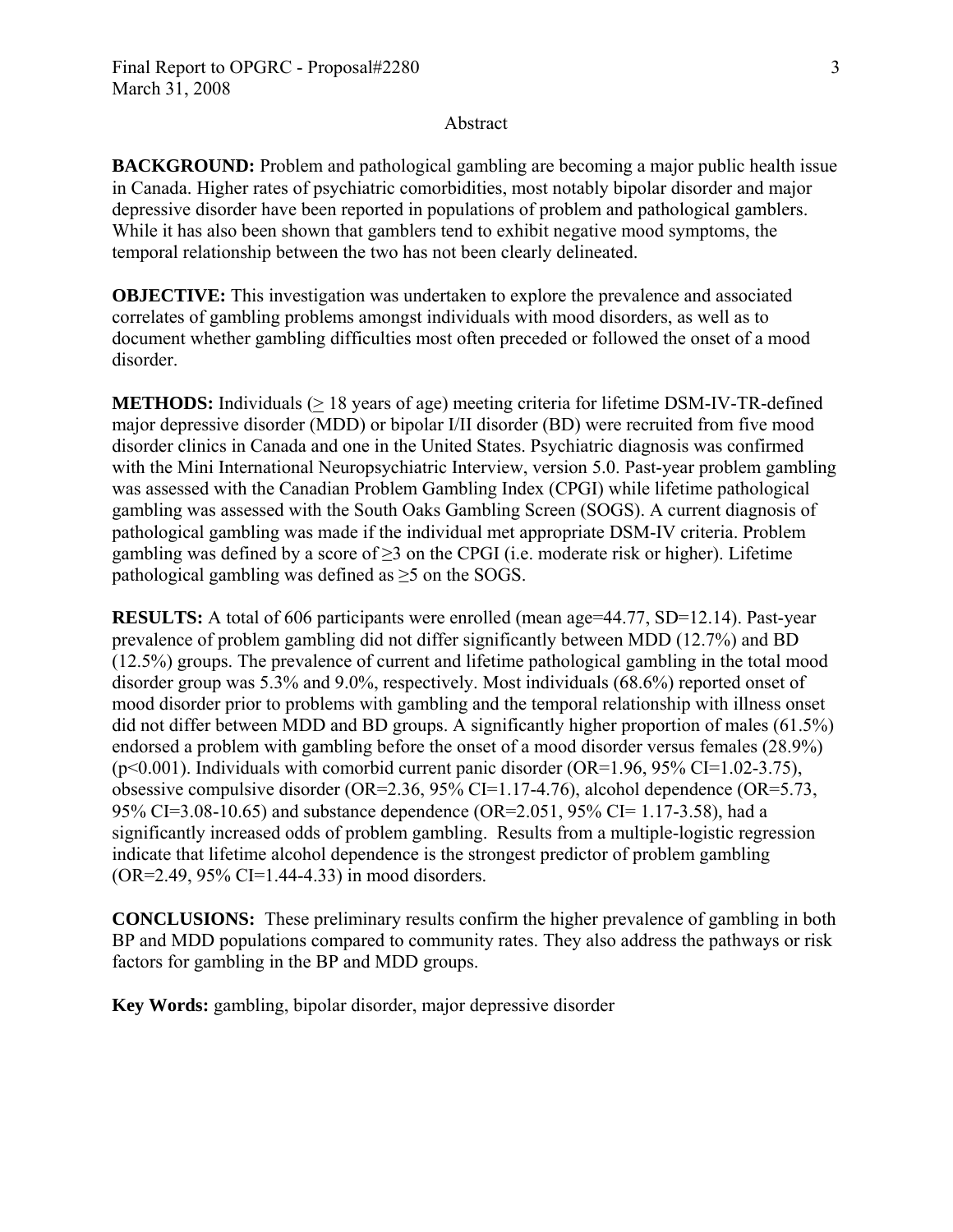#### Abstract

**BACKGROUND:** Problem and pathological gambling are becoming a major public health issue in Canada. Higher rates of psychiatric comorbidities, most notably bipolar disorder and major depressive disorder have been reported in populations of problem and pathological gamblers. While it has also been shown that gamblers tend to exhibit negative mood symptoms, the temporal relationship between the two has not been clearly delineated.

**OBJECTIVE:** This investigation was undertaken to explore the prevalence and associated correlates of gambling problems amongst individuals with mood disorders, as well as to document whether gambling difficulties most often preceded or followed the onset of a mood disorder.

**METHODS:** Individuals (> 18 years of age) meeting criteria for lifetime DSM-IV-TR-defined major depressive disorder (MDD) or bipolar I/II disorder (BD) were recruited from five mood disorder clinics in Canada and one in the United States. Psychiatric diagnosis was confirmed with the Mini International Neuropsychiatric Interview, version 5.0. Past-year problem gambling was assessed with the Canadian Problem Gambling Index (CPGI) while lifetime pathological gambling was assessed with the South Oaks Gambling Screen (SOGS). A current diagnosis of pathological gambling was made if the individual met appropriate DSM-IV criteria. Problem gambling was defined by a score of  $\geq$ 3 on the CPGI (i.e. moderate risk or higher). Lifetime pathological gambling was defined as  $\geq$ 5 on the SOGS.

**RESULTS:** A total of 606 participants were enrolled (mean age=44.77, SD=12.14). Past-year prevalence of problem gambling did not differ significantly between MDD (12.7%) and BD (12.5%) groups. The prevalence of current and lifetime pathological gambling in the total mood disorder group was 5.3% and 9.0%, respectively. Most individuals (68.6%) reported onset of mood disorder prior to problems with gambling and the temporal relationship with illness onset did not differ between MDD and BD groups. A significantly higher proportion of males (61.5%) endorsed a problem with gambling before the onset of a mood disorder versus females (28.9%)  $(p<0.001)$ . Individuals with comorbid current panic disorder (OR=1.96, 95% CI=1.02-3.75), obsessive compulsive disorder (OR=2.36, 95% CI=1.17-4.76), alcohol dependence (OR=5.73, 95% CI=3.08-10.65) and substance dependence (OR=2.051, 95% CI= 1.17-3.58), had a significantly increased odds of problem gambling. Results from a multiple-logistic regression indicate that lifetime alcohol dependence is the strongest predictor of problem gambling (OR=2.49, 95% CI=1.44-4.33) in mood disorders.

**CONCLUSIONS:** These preliminary results confirm the higher prevalence of gambling in both BP and MDD populations compared to community rates. They also address the pathways or risk factors for gambling in the BP and MDD groups.

**Key Words:** gambling, bipolar disorder, major depressive disorder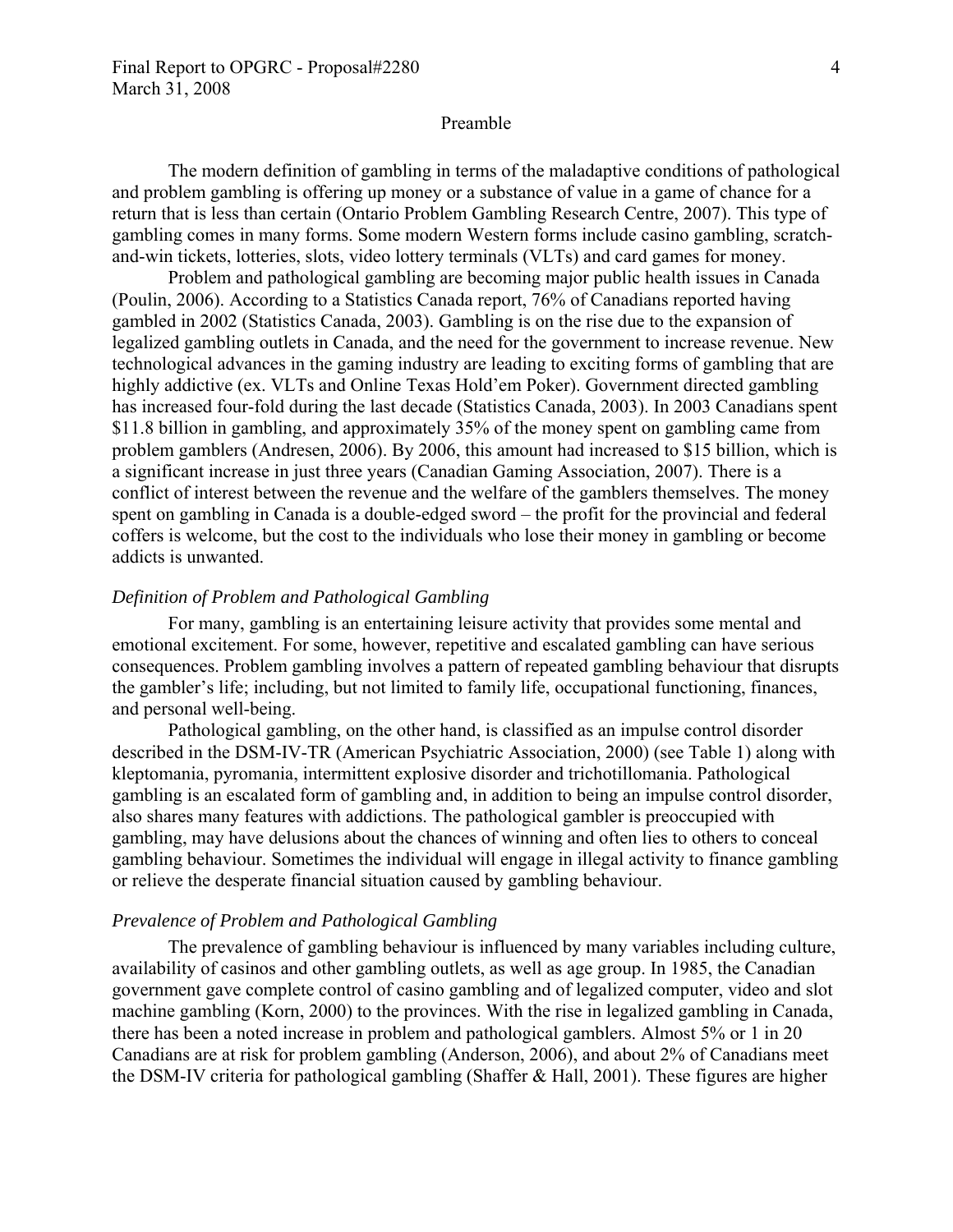#### Preamble

The modern definition of gambling in terms of the maladaptive conditions of pathological and problem gambling is offering up money or a substance of value in a game of chance for a return that is less than certain (Ontario Problem Gambling Research Centre, 2007). This type of gambling comes in many forms. Some modern Western forms include casino gambling, scratchand-win tickets, lotteries, slots, video lottery terminals (VLTs) and card games for money.

Problem and pathological gambling are becoming major public health issues in Canada (Poulin, 2006). According to a Statistics Canada report, 76% of Canadians reported having gambled in 2002 (Statistics Canada, 2003). Gambling is on the rise due to the expansion of legalized gambling outlets in Canada, and the need for the government to increase revenue. New technological advances in the gaming industry are leading to exciting forms of gambling that are highly addictive (ex. VLTs and Online Texas Hold'em Poker). Government directed gambling has increased four-fold during the last decade (Statistics Canada, 2003). In 2003 Canadians spent \$11.8 billion in gambling, and approximately 35% of the money spent on gambling came from problem gamblers (Andresen, 2006). By 2006, this amount had increased to \$15 billion, which is a significant increase in just three years (Canadian Gaming Association, 2007). There is a conflict of interest between the revenue and the welfare of the gamblers themselves. The money spent on gambling in Canada is a double-edged sword – the profit for the provincial and federal coffers is welcome, but the cost to the individuals who lose their money in gambling or become addicts is unwanted.

#### *Definition of Problem and Pathological Gambling*

For many, gambling is an entertaining leisure activity that provides some mental and emotional excitement. For some, however, repetitive and escalated gambling can have serious consequences. Problem gambling involves a pattern of repeated gambling behaviour that disrupts the gambler's life; including, but not limited to family life, occupational functioning, finances, and personal well-being.

Pathological gambling, on the other hand, is classified as an impulse control disorder described in the DSM-IV-TR (American Psychiatric Association, 2000) (see Table 1) along with kleptomania, pyromania, intermittent explosive disorder and trichotillomania. Pathological gambling is an escalated form of gambling and, in addition to being an impulse control disorder, also shares many features with addictions. The pathological gambler is preoccupied with gambling, may have delusions about the chances of winning and often lies to others to conceal gambling behaviour. Sometimes the individual will engage in illegal activity to finance gambling or relieve the desperate financial situation caused by gambling behaviour.

#### *Prevalence of Problem and Pathological Gambling*

The prevalence of gambling behaviour is influenced by many variables including culture, availability of casinos and other gambling outlets, as well as age group. In 1985, the Canadian government gave complete control of casino gambling and of legalized computer, video and slot machine gambling (Korn, 2000) to the provinces. With the rise in legalized gambling in Canada, there has been a noted increase in problem and pathological gamblers. Almost 5% or 1 in 20 Canadians are at risk for problem gambling (Anderson, 2006), and about 2% of Canadians meet the DSM-IV criteria for pathological gambling (Shaffer & Hall, 2001). These figures are higher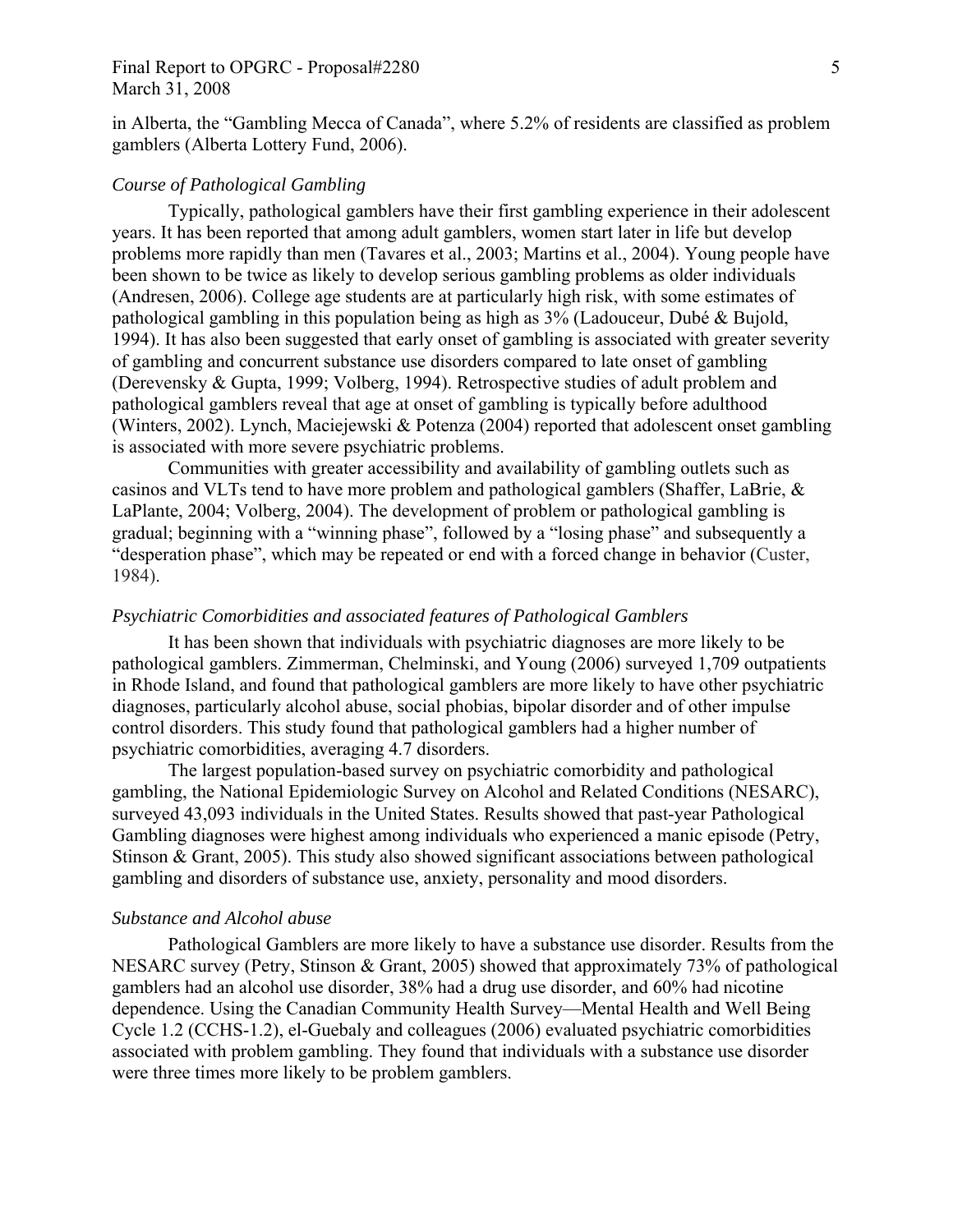### Final Report to OPGRC - Proposal#2280 5 March 31, 2008

in Alberta, the "Gambling Mecca of Canada", where 5.2% of residents are classified as problem gamblers (Alberta Lottery Fund, 2006).

#### *Course of Pathological Gambling*

Typically, pathological gamblers have their first gambling experience in their adolescent years. It has been reported that among adult gamblers, women start later in life but develop problems more rapidly than men (Tavares et al., 2003; Martins et al., 2004). Young people have been shown to be twice as likely to develop serious gambling problems as older individuals (Andresen, 2006). College age students are at particularly high risk, with some estimates of pathological gambling in this population being as high as 3% (Ladouceur, Dubé & Bujold, 1994). It has also been suggested that early onset of gambling is associated with greater severity of gambling and concurrent substance use disorders compared to late onset of gambling (Derevensky & Gupta, 1999; Volberg, 1994). Retrospective studies of adult problem and pathological gamblers reveal that age at onset of gambling is typically before adulthood (Winters, 2002). Lynch, Maciejewski & Potenza (2004) reported that adolescent onset gambling is associated with more severe psychiatric problems.

Communities with greater accessibility and availability of gambling outlets such as casinos and VLTs tend to have more problem and pathological gamblers (Shaffer, LaBrie, & LaPlante, 2004; Volberg, 2004). The development of problem or pathological gambling is gradual; beginning with a "winning phase", followed by a "losing phase" and subsequently a "desperation phase", which may be repeated or end with a forced change in behavior (Custer, 1984).

### *Psychiatric Comorbidities and associated features of Pathological Gamblers*

It has been shown that individuals with psychiatric diagnoses are more likely to be pathological gamblers. Zimmerman, Chelminski, and Young (2006) surveyed 1,709 outpatients in Rhode Island, and found that pathological gamblers are more likely to have other psychiatric diagnoses, particularly alcohol abuse, social phobias, bipolar disorder and of other impulse control disorders. This study found that pathological gamblers had a higher number of psychiatric comorbidities, averaging 4.7 disorders.

The largest population-based survey on psychiatric comorbidity and pathological gambling, the National Epidemiologic Survey on Alcohol and Related Conditions (NESARC), surveyed 43,093 individuals in the United States. Results showed that past-year Pathological Gambling diagnoses were highest among individuals who experienced a manic episode (Petry, Stinson & Grant, 2005). This study also showed significant associations between pathological gambling and disorders of substance use, anxiety, personality and mood disorders.

#### *Substance and Alcohol abuse*

Pathological Gamblers are more likely to have a substance use disorder. Results from the NESARC survey (Petry, Stinson & Grant, 2005) showed that approximately 73% of pathological gamblers had an alcohol use disorder, 38% had a drug use disorder, and 60% had nicotine dependence. Using the Canadian Community Health Survey—Mental Health and Well Being Cycle 1.2 (CCHS-1.2), el-Guebaly and colleagues (2006) evaluated psychiatric comorbidities associated with problem gambling. They found that individuals with a substance use disorder were three times more likely to be problem gamblers.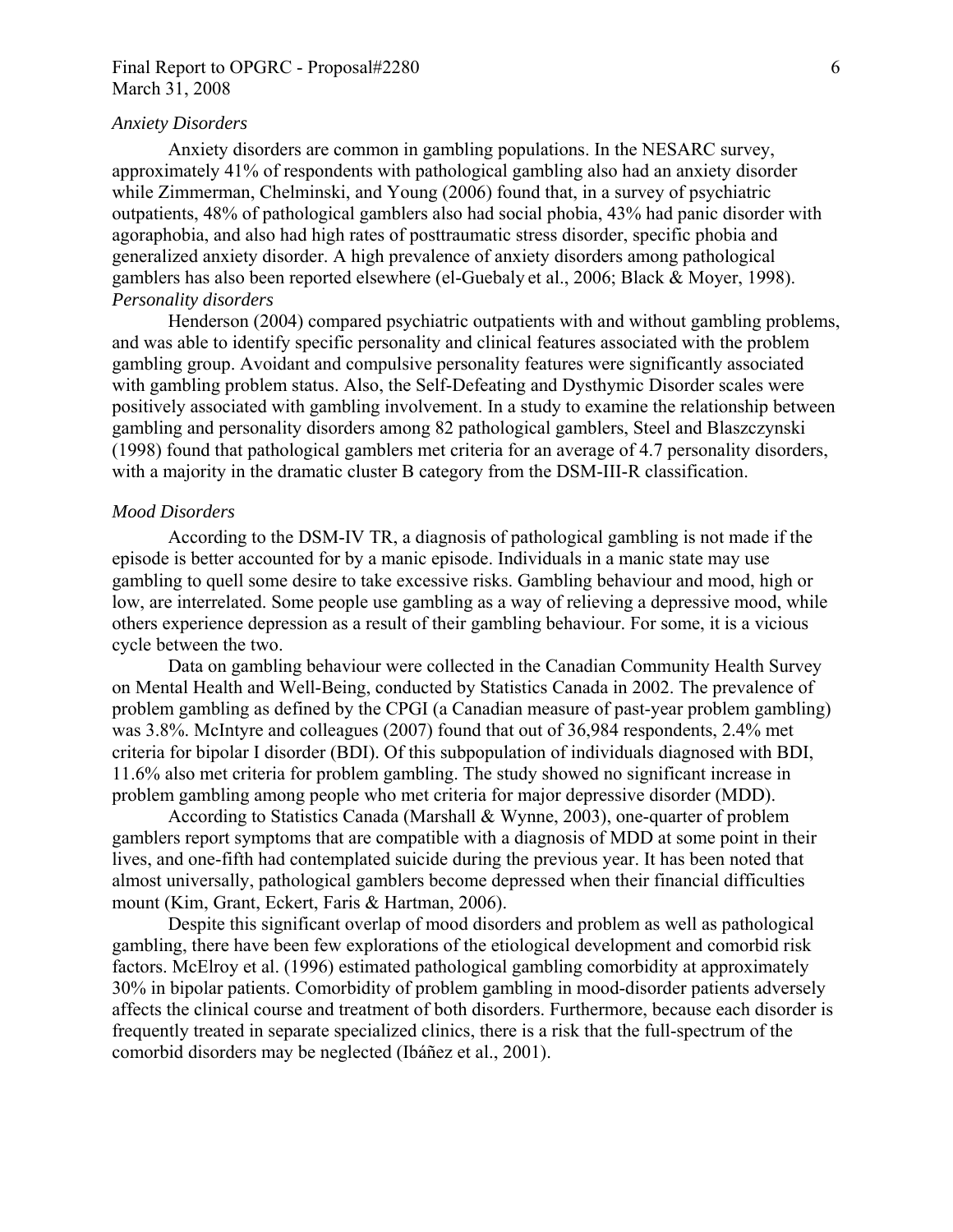## Final Report to OPGRC - Proposal#2280 6 March 31, 2008

### *Anxiety Disorders*

Anxiety disorders are common in gambling populations. In the NESARC survey, approximately 41% of respondents with pathological gambling also had an anxiety disorder while Zimmerman, Chelminski, and Young (2006) found that, in a survey of psychiatric outpatients, 48% of pathological gamblers also had social phobia, 43% had panic disorder with agoraphobia, and also had high rates of posttraumatic stress disorder, specific phobia and generalized anxiety disorder. A high prevalence of anxiety disorders among pathological gamblers has also been reported elsewhere (el-Guebaly et al., 2006; Black & Moyer, 1998). *Personality disorders* 

Henderson (2004) compared psychiatric outpatients with and without gambling problems, and was able to identify specific personality and clinical features associated with the problem gambling group. Avoidant and compulsive personality features were significantly associated with gambling problem status. Also, the Self-Defeating and Dysthymic Disorder scales were positively associated with gambling involvement. In a study to examine the relationship between gambling and personality disorders among 82 pathological gamblers, Steel and Blaszczynski (1998) found that pathological gamblers met criteria for an average of 4.7 personality disorders, with a majority in the dramatic cluster B category from the DSM-III-R classification.

#### *Mood Disorders*

According to the DSM-IV TR, a diagnosis of pathological gambling is not made if the episode is better accounted for by a manic episode. Individuals in a manic state may use gambling to quell some desire to take excessive risks. Gambling behaviour and mood, high or low, are interrelated. Some people use gambling as a way of relieving a depressive mood, while others experience depression as a result of their gambling behaviour. For some, it is a vicious cycle between the two.

Data on gambling behaviour were collected in the Canadian Community Health Survey on Mental Health and Well-Being, conducted by Statistics Canada in 2002. The prevalence of problem gambling as defined by the CPGI (a Canadian measure of past-year problem gambling) was 3.8%. McIntyre and colleagues (2007) found that out of 36,984 respondents, 2.4% met criteria for bipolar I disorder (BDI). Of this subpopulation of individuals diagnosed with BDI, 11.6% also met criteria for problem gambling. The study showed no significant increase in problem gambling among people who met criteria for major depressive disorder (MDD).

According to Statistics Canada (Marshall & Wynne, 2003), one-quarter of problem gamblers report symptoms that are compatible with a diagnosis of MDD at some point in their lives, and one-fifth had contemplated suicide during the previous year. It has been noted that almost universally, pathological gamblers become depressed when their financial difficulties mount (Kim, Grant, Eckert, Faris & Hartman, 2006).

Despite this significant overlap of mood disorders and problem as well as pathological gambling, there have been few explorations of the etiological development and comorbid risk factors. McElroy et al. (1996) estimated pathological gambling comorbidity at approximately 30% in bipolar patients. Comorbidity of problem gambling in mood-disorder patients adversely affects the clinical course and treatment of both disorders. Furthermore, because each disorder is frequently treated in separate specialized clinics, there is a risk that the full-spectrum of the comorbid disorders may be neglected (Ibáñez et al., 2001).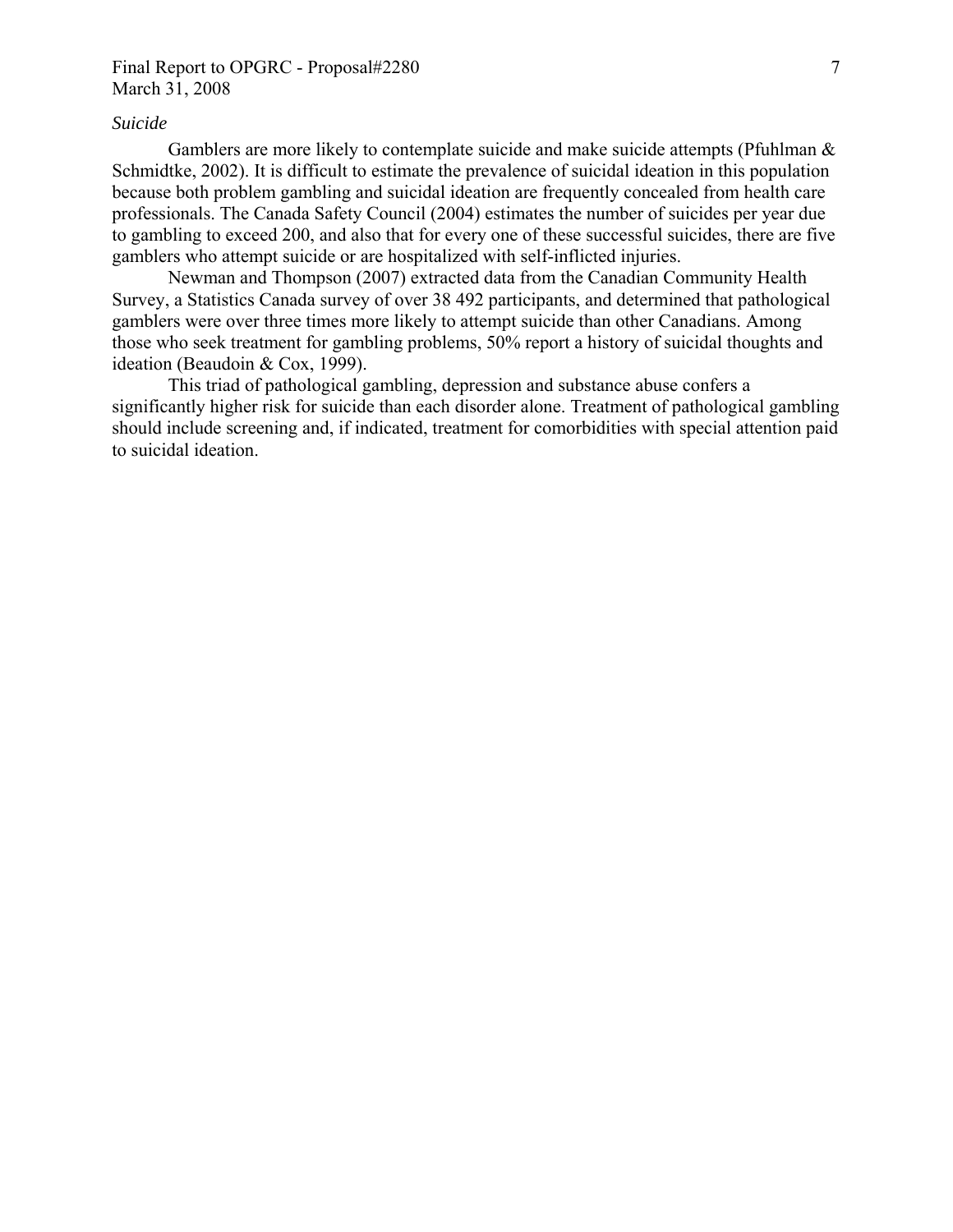## Final Report to OPGRC - Proposal#2280 7 March 31, 2008

#### *Suicide*

Gamblers are more likely to contemplate suicide and make suicide attempts (Pfuhlman & Schmidtke, 2002). It is difficult to estimate the prevalence of suicidal ideation in this population because both problem gambling and suicidal ideation are frequently concealed from health care professionals. The Canada Safety Council (2004) estimates the number of suicides per year due to gambling to exceed 200, and also that for every one of these successful suicides, there are five gamblers who attempt suicide or are hospitalized with self-inflicted injuries.

Newman and Thompson (2007) extracted data from the Canadian Community Health Survey, a Statistics Canada survey of over 38 492 participants, and determined that pathological gamblers were over three times more likely to attempt suicide than other Canadians. Among those who seek treatment for gambling problems, 50% report a history of suicidal thoughts and ideation (Beaudoin & Cox, 1999).

This triad of pathological gambling, depression and substance abuse confers a significantly higher risk for suicide than each disorder alone. Treatment of pathological gambling should include screening and, if indicated, treatment for comorbidities with special attention paid to suicidal ideation.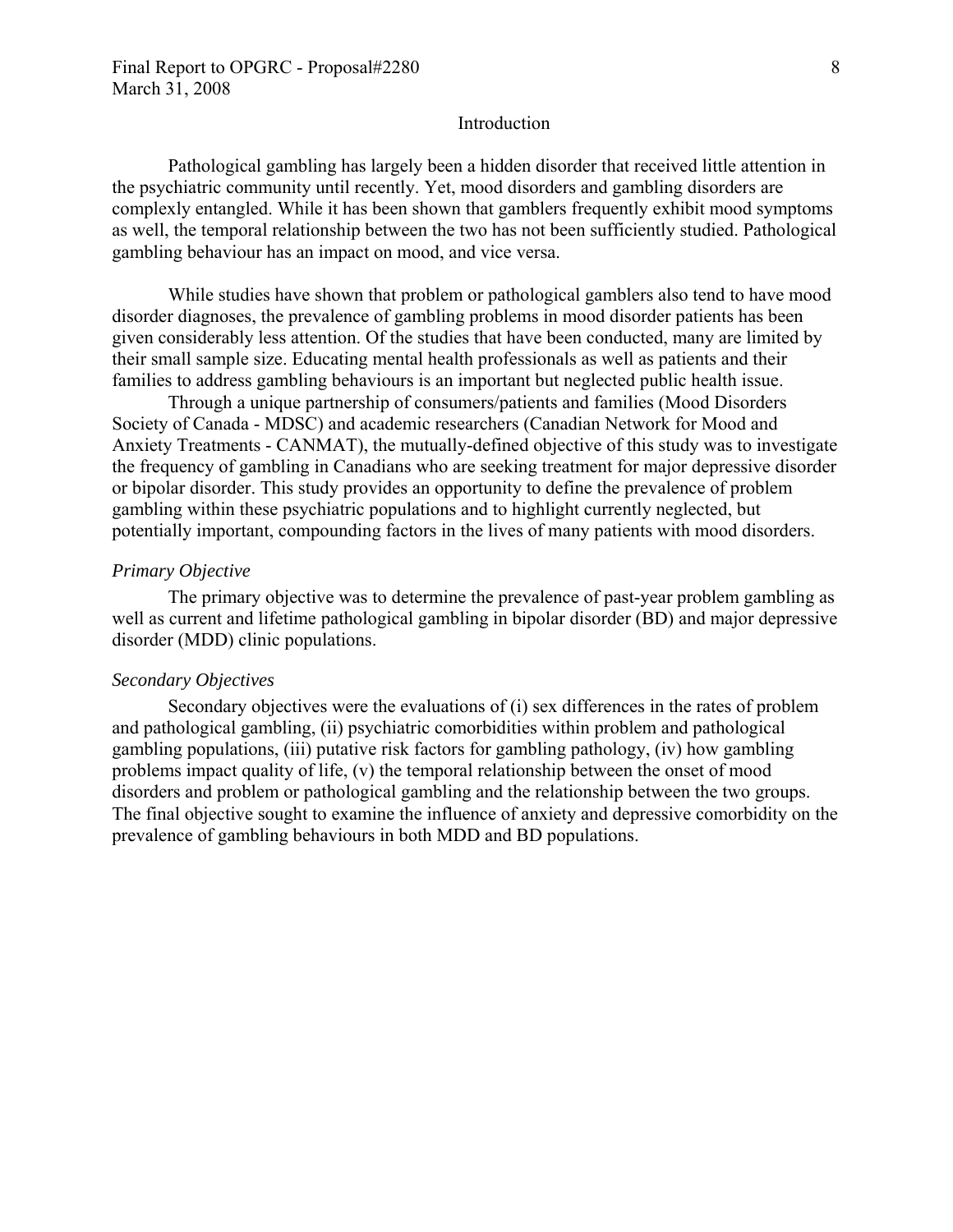#### Introduction

Pathological gambling has largely been a hidden disorder that received little attention in the psychiatric community until recently. Yet, mood disorders and gambling disorders are complexly entangled. While it has been shown that gamblers frequently exhibit mood symptoms as well, the temporal relationship between the two has not been sufficiently studied. Pathological gambling behaviour has an impact on mood, and vice versa.

While studies have shown that problem or pathological gamblers also tend to have mood disorder diagnoses, the prevalence of gambling problems in mood disorder patients has been given considerably less attention. Of the studies that have been conducted, many are limited by their small sample size. Educating mental health professionals as well as patients and their families to address gambling behaviours is an important but neglected public health issue.

Through a unique partnership of consumers/patients and families (Mood Disorders Society of Canada - MDSC) and academic researchers (Canadian Network for Mood and Anxiety Treatments - CANMAT), the mutually-defined objective of this study was to investigate the frequency of gambling in Canadians who are seeking treatment for major depressive disorder or bipolar disorder. This study provides an opportunity to define the prevalence of problem gambling within these psychiatric populations and to highlight currently neglected, but potentially important, compounding factors in the lives of many patients with mood disorders.

#### *Primary Objective*

The primary objective was to determine the prevalence of past-year problem gambling as well as current and lifetime pathological gambling in bipolar disorder (BD) and major depressive disorder (MDD) clinic populations.

#### *Secondary Objectives*

Secondary objectives were the evaluations of (i) sex differences in the rates of problem and pathological gambling, (ii) psychiatric comorbidities within problem and pathological gambling populations, (iii) putative risk factors for gambling pathology, (iv) how gambling problems impact quality of life, (v) the temporal relationship between the onset of mood disorders and problem or pathological gambling and the relationship between the two groups. The final objective sought to examine the influence of anxiety and depressive comorbidity on the prevalence of gambling behaviours in both MDD and BD populations.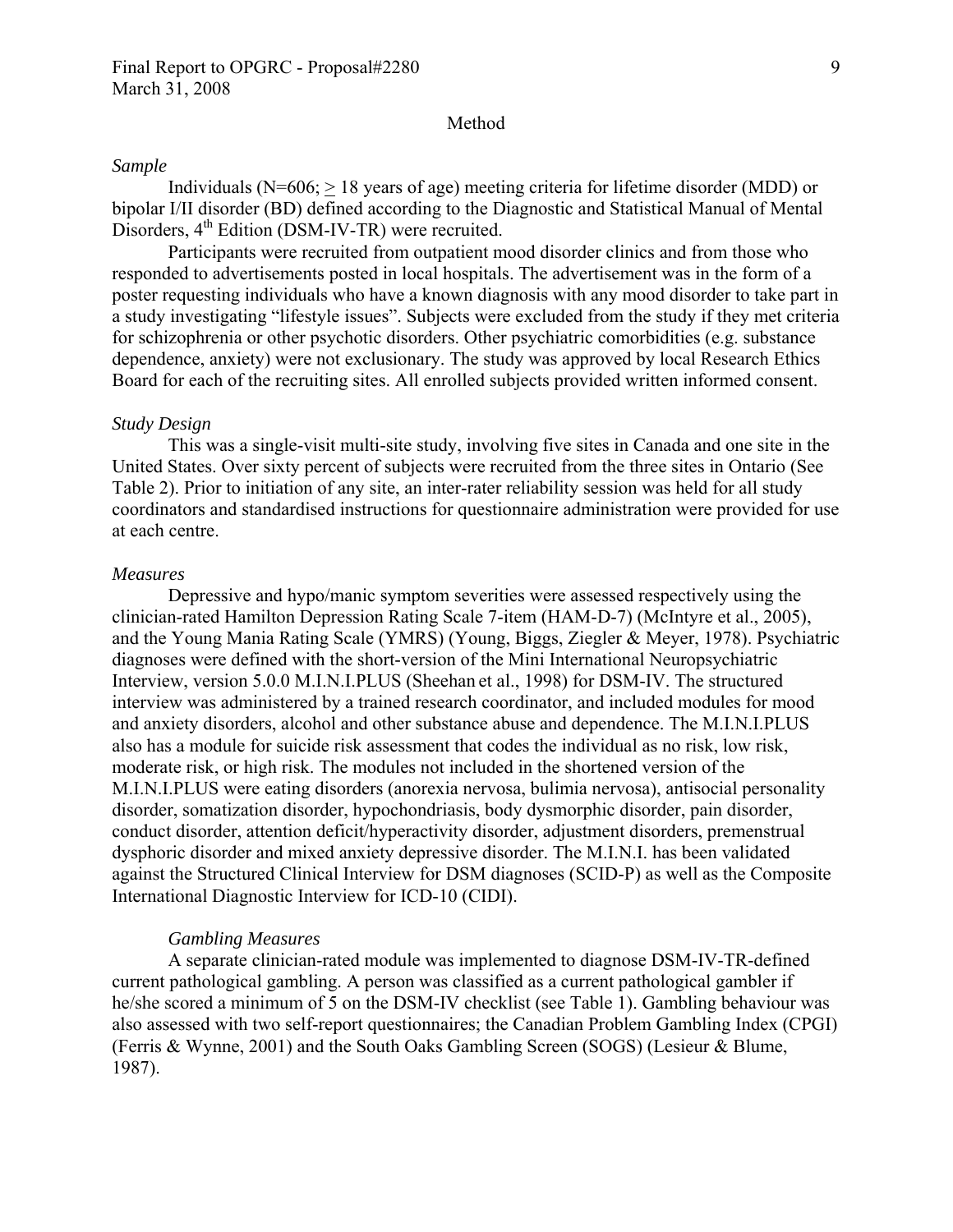#### Method

#### *Sample*

Individuals ( $N=606$ ;  $> 18$  years of age) meeting criteria for lifetime disorder (MDD) or bipolar I/II disorder (BD) defined according to the Diagnostic and Statistical Manual of Mental Disorders, 4<sup>th</sup> Edition (DSM-IV-TR) were recruited.

Participants were recruited from outpatient mood disorder clinics and from those who responded to advertisements posted in local hospitals. The advertisement was in the form of a poster requesting individuals who have a known diagnosis with any mood disorder to take part in a study investigating "lifestyle issues". Subjects were excluded from the study if they met criteria for schizophrenia or other psychotic disorders. Other psychiatric comorbidities (e.g. substance dependence, anxiety) were not exclusionary. The study was approved by local Research Ethics Board for each of the recruiting sites. All enrolled subjects provided written informed consent.

#### *Study Design*

This was a single-visit multi-site study, involving five sites in Canada and one site in the United States. Over sixty percent of subjects were recruited from the three sites in Ontario (See Table 2). Prior to initiation of any site, an inter-rater reliability session was held for all study coordinators and standardised instructions for questionnaire administration were provided for use at each centre.

#### *Measures*

Depressive and hypo/manic symptom severities were assessed respectively using the clinician-rated Hamilton Depression Rating Scale 7-item (HAM-D-7) (McIntyre et al., 2005), and the Young Mania Rating Scale (YMRS) (Young, Biggs, Ziegler & Meyer, 1978). Psychiatric diagnoses were defined with the short-version of the Mini International Neuropsychiatric Interview, version 5.0.0 M.I.N.I.PLUS (Sheehan et al., 1998) for DSM-IV. The structured interview was administered by a trained research coordinator, and included modules for mood and anxiety disorders, alcohol and other substance abuse and dependence. The M.I.N.I.PLUS also has a module for suicide risk assessment that codes the individual as no risk, low risk, moderate risk, or high risk. The modules not included in the shortened version of the M.I.N.I.PLUS were eating disorders (anorexia nervosa, bulimia nervosa), antisocial personality disorder, somatization disorder, hypochondriasis, body dysmorphic disorder, pain disorder, conduct disorder, attention deficit/hyperactivity disorder, adjustment disorders, premenstrual dysphoric disorder and mixed anxiety depressive disorder. The M.I.N.I. has been validated against the Structured Clinical Interview for DSM diagnoses (SCID-P) as well as the Composite International Diagnostic Interview for ICD-10 (CIDI).

#### *Gambling Measures*

A separate clinician-rated module was implemented to diagnose DSM-IV-TR-defined current pathological gambling. A person was classified as a current pathological gambler if he/she scored a minimum of 5 on the DSM-IV checklist (see Table 1). Gambling behaviour was also assessed with two self-report questionnaires; the Canadian Problem Gambling Index (CPGI) (Ferris & Wynne, 2001) and the South Oaks Gambling Screen (SOGS) (Lesieur & Blume, 1987).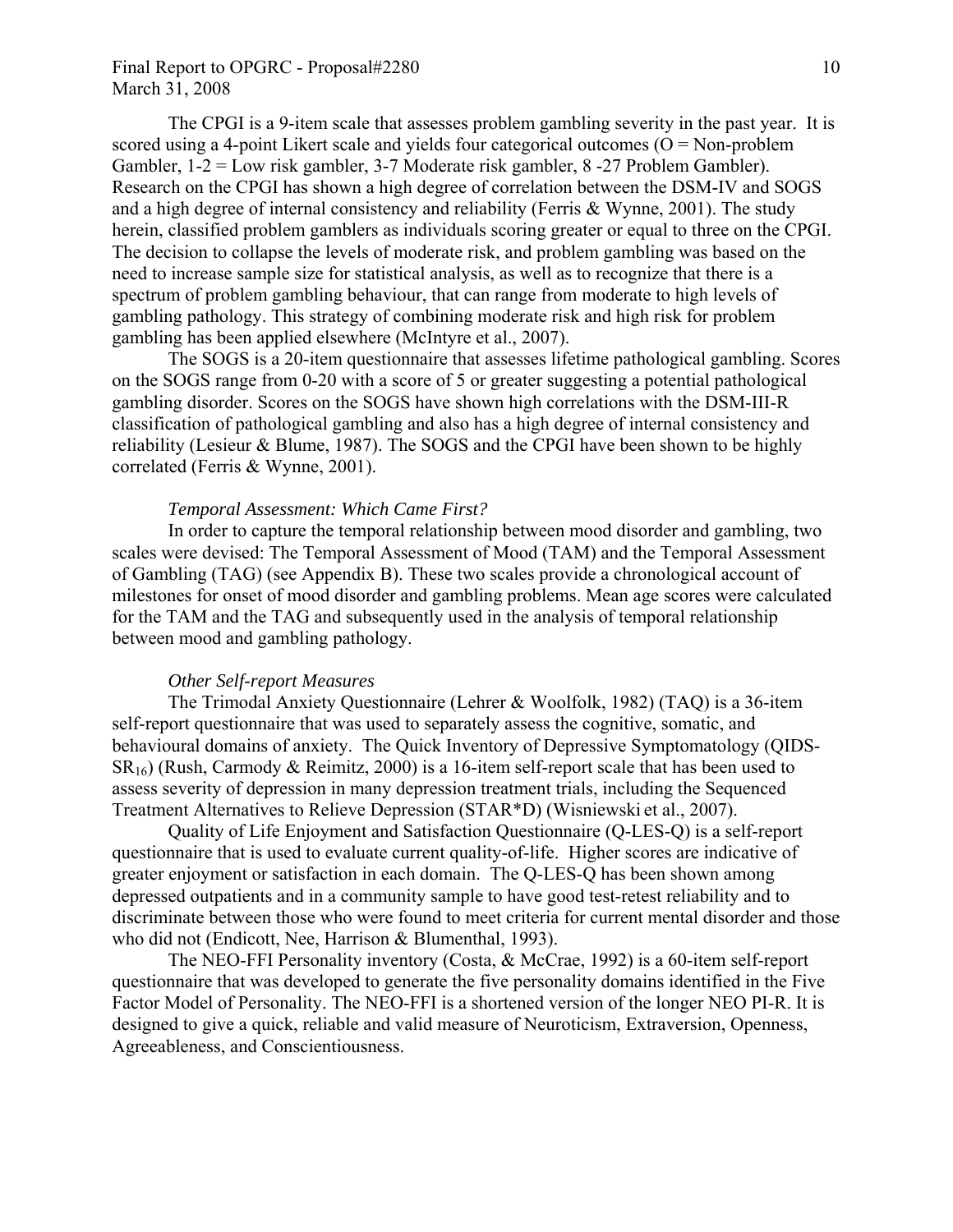## Final Report to OPGRC - Proposal#2280 10 March 31, 2008

The CPGI is a 9-item scale that assesses problem gambling severity in the past year. It is scored using a 4-point Likert scale and yields four categorical outcomes  $(O = Non-problem$ Gambler, 1-2 = Low risk gambler, 3-7 Moderate risk gambler, 8 -27 Problem Gambler). Research on the CPGI has shown a high degree of correlation between the DSM-IV and SOGS and a high degree of internal consistency and reliability (Ferris & Wynne, 2001). The study herein, classified problem gamblers as individuals scoring greater or equal to three on the CPGI. The decision to collapse the levels of moderate risk, and problem gambling was based on the need to increase sample size for statistical analysis, as well as to recognize that there is a spectrum of problem gambling behaviour, that can range from moderate to high levels of gambling pathology. This strategy of combining moderate risk and high risk for problem gambling has been applied elsewhere (McIntyre et al., 2007).

The SOGS is a 20-item questionnaire that assesses lifetime pathological gambling. Scores on the SOGS range from 0-20 with a score of 5 or greater suggesting a potential pathological gambling disorder. Scores on the SOGS have shown high correlations with the DSM-III-R classification of pathological gambling and also has a high degree of internal consistency and reliability (Lesieur & Blume, 1987). The SOGS and the CPGI have been shown to be highly correlated (Ferris & Wynne, 2001).

#### *Temporal Assessment: Which Came First?*

In order to capture the temporal relationship between mood disorder and gambling, two scales were devised: The Temporal Assessment of Mood (TAM) and the Temporal Assessment of Gambling (TAG) (see Appendix B). These two scales provide a chronological account of milestones for onset of mood disorder and gambling problems. Mean age scores were calculated for the TAM and the TAG and subsequently used in the analysis of temporal relationship between mood and gambling pathology.

#### *Other Self-report Measures*

The Trimodal Anxiety Questionnaire (Lehrer & Woolfolk, 1982) (TAQ) is a 36-item self-report questionnaire that was used to separately assess the cognitive, somatic, and behavioural domains of anxiety. The Quick Inventory of Depressive Symptomatology (QIDS- $SR_{16}$ ) (Rush, Carmody & Reimitz, 2000) is a 16-item self-report scale that has been used to assess severity of depression in many depression treatment trials, including the Sequenced Treatment Alternatives to Relieve Depression (STAR\*D) (Wisniewski et al., 2007).

Quality of Life Enjoyment and Satisfaction Questionnaire (Q-LES-Q) is a self-report questionnaire that is used to evaluate current quality-of-life. Higher scores are indicative of greater enjoyment or satisfaction in each domain. The Q-LES-Q has been shown among depressed outpatients and in a community sample to have good test-retest reliability and to discriminate between those who were found to meet criteria for current mental disorder and those who did not (Endicott, Nee, Harrison & Blumenthal, 1993).

The NEO-FFI Personality inventory (Costa, & McCrae, 1992) is a 60-item self-report questionnaire that was developed to generate the five personality domains identified in the Five Factor Model of Personality. The NEO-FFI is a shortened version of the longer NEO PI-R. It is designed to give a quick, reliable and valid measure of Neuroticism, Extraversion, Openness, Agreeableness, and Conscientiousness.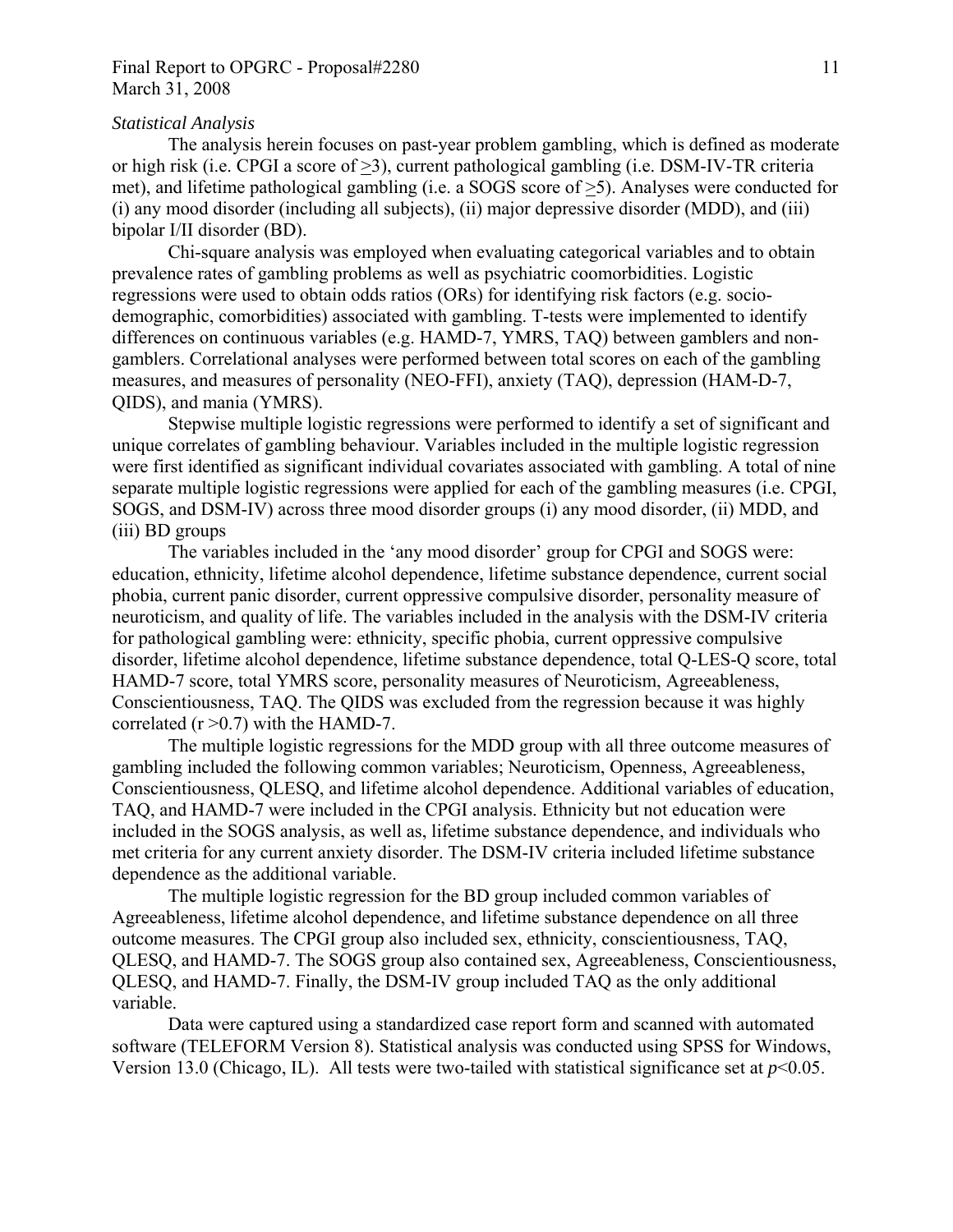## Final Report to OPGRC - Proposal#2280 11 March 31, 2008

### *Statistical Analysis*

The analysis herein focuses on past-year problem gambling, which is defined as moderate or high risk (i.e. CPGI a score of >3), current pathological gambling (i.e. DSM-IV-TR criteria met), and lifetime pathological gambling (i.e. a SOGS score of >5). Analyses were conducted for (i) any mood disorder (including all subjects), (ii) major depressive disorder (MDD), and (iii) bipolar I/II disorder (BD).

Chi-square analysis was employed when evaluating categorical variables and to obtain prevalence rates of gambling problems as well as psychiatric coomorbidities. Logistic regressions were used to obtain odds ratios (ORs) for identifying risk factors (e.g. sociodemographic, comorbidities) associated with gambling. T-tests were implemented to identify differences on continuous variables (e.g. HAMD-7, YMRS, TAQ) between gamblers and nongamblers. Correlational analyses were performed between total scores on each of the gambling measures, and measures of personality (NEO-FFI), anxiety (TAQ), depression (HAM-D-7, QIDS), and mania (YMRS).

Stepwise multiple logistic regressions were performed to identify a set of significant and unique correlates of gambling behaviour. Variables included in the multiple logistic regression were first identified as significant individual covariates associated with gambling. A total of nine separate multiple logistic regressions were applied for each of the gambling measures (i.e. CPGI, SOGS, and DSM-IV) across three mood disorder groups (i) any mood disorder, (ii) MDD, and (iii) BD groups

The variables included in the 'any mood disorder' group for CPGI and SOGS were: education, ethnicity, lifetime alcohol dependence, lifetime substance dependence, current social phobia, current panic disorder, current oppressive compulsive disorder, personality measure of neuroticism, and quality of life. The variables included in the analysis with the DSM-IV criteria for pathological gambling were: ethnicity, specific phobia, current oppressive compulsive disorder, lifetime alcohol dependence, lifetime substance dependence, total Q-LES-Q score, total HAMD-7 score, total YMRS score, personality measures of Neuroticism, Agreeableness, Conscientiousness, TAQ. The QIDS was excluded from the regression because it was highly correlated  $(r > 0.7)$  with the HAMD-7.

The multiple logistic regressions for the MDD group with all three outcome measures of gambling included the following common variables; Neuroticism, Openness, Agreeableness, Conscientiousness, QLESQ, and lifetime alcohol dependence. Additional variables of education, TAQ, and HAMD-7 were included in the CPGI analysis. Ethnicity but not education were included in the SOGS analysis, as well as, lifetime substance dependence, and individuals who met criteria for any current anxiety disorder. The DSM-IV criteria included lifetime substance dependence as the additional variable.

The multiple logistic regression for the BD group included common variables of Agreeableness, lifetime alcohol dependence, and lifetime substance dependence on all three outcome measures. The CPGI group also included sex, ethnicity, conscientiousness, TAQ, QLESQ, and HAMD-7. The SOGS group also contained sex, Agreeableness, Conscientiousness, QLESQ, and HAMD-7. Finally, the DSM-IV group included TAQ as the only additional variable.

Data were captured using a standardized case report form and scanned with automated software (TELEFORM Version 8). Statistical analysis was conducted using SPSS for Windows, Version 13.0 (Chicago, IL). All tests were two-tailed with statistical significance set at  $p<0.05$ .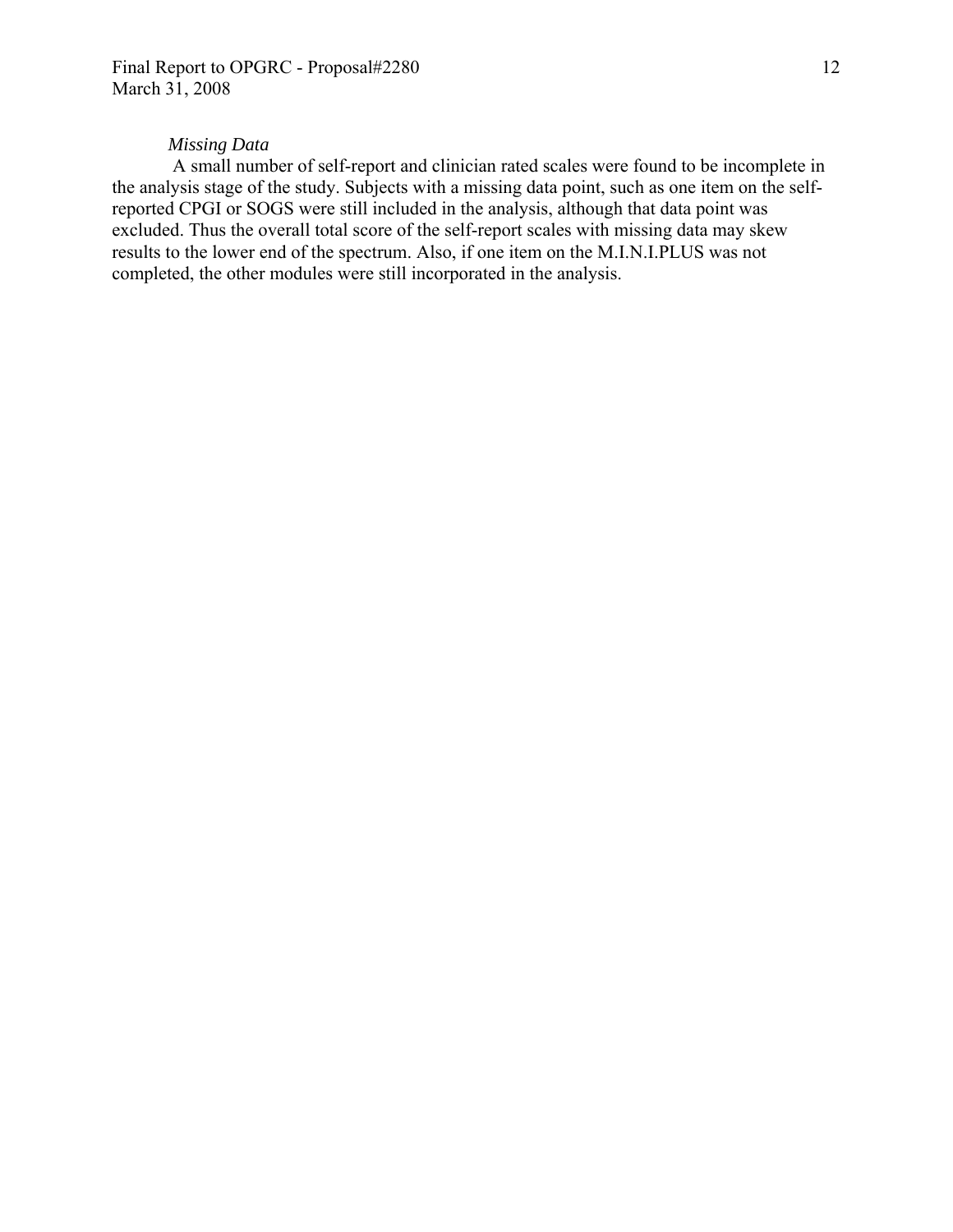#### *Missing Data*

 A small number of self-report and clinician rated scales were found to be incomplete in the analysis stage of the study. Subjects with a missing data point, such as one item on the selfreported CPGI or SOGS were still included in the analysis, although that data point was excluded. Thus the overall total score of the self-report scales with missing data may skew results to the lower end of the spectrum. Also, if one item on the M.I.N.I.PLUS was not completed, the other modules were still incorporated in the analysis.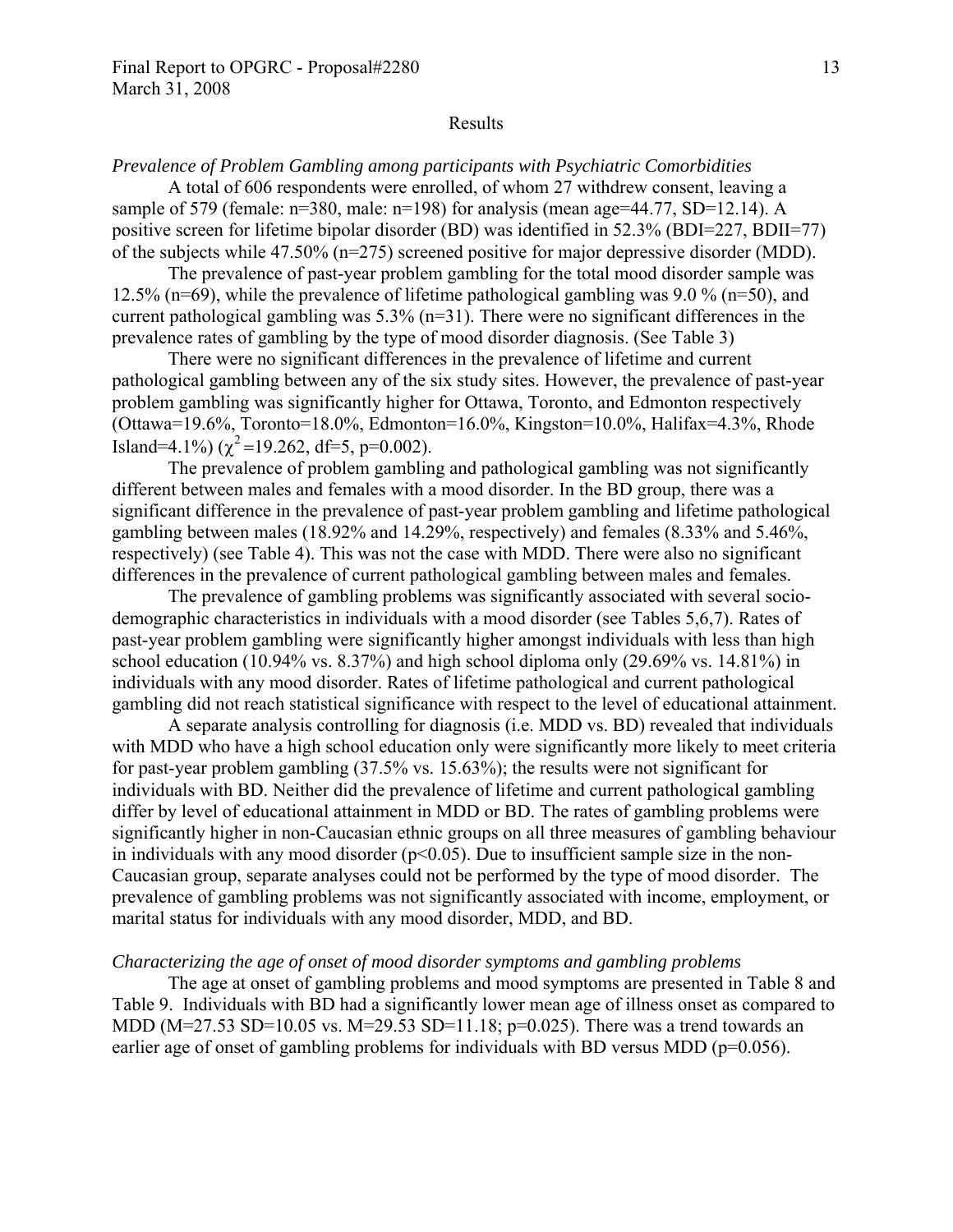#### Results

*Prevalence of Problem Gambling among participants with Psychiatric Comorbidities* 

A total of 606 respondents were enrolled, of whom 27 withdrew consent, leaving a sample of 579 (female:  $n=380$ , male:  $n=198$ ) for analysis (mean age=44.77, SD=12.14). A positive screen for lifetime bipolar disorder (BD) was identified in 52.3% (BDI=227, BDII=77) of the subjects while 47.50% (n=275) screened positive for major depressive disorder (MDD).

The prevalence of past-year problem gambling for the total mood disorder sample was 12.5% (n=69), while the prevalence of lifetime pathological gambling was 9.0 % (n=50), and current pathological gambling was 5.3% (n=31). There were no significant differences in the prevalence rates of gambling by the type of mood disorder diagnosis. (See Table 3)

There were no significant differences in the prevalence of lifetime and current pathological gambling between any of the six study sites. However, the prevalence of past-year problem gambling was significantly higher for Ottawa, Toronto, and Edmonton respectively (Ottawa=19.6%, Toronto=18.0%, Edmonton=16.0%, Kingston=10.0%, Halifax=4.3%, Rhode Island=4.1%) ( $\chi^2$ =19.262, df=5, p=0.002).

The prevalence of problem gambling and pathological gambling was not significantly different between males and females with a mood disorder. In the BD group, there was a significant difference in the prevalence of past-year problem gambling and lifetime pathological gambling between males (18.92% and 14.29%, respectively) and females (8.33% and 5.46%, respectively) (see Table 4). This was not the case with MDD. There were also no significant differences in the prevalence of current pathological gambling between males and females.

The prevalence of gambling problems was significantly associated with several sociodemographic characteristics in individuals with a mood disorder (see Tables 5,6,7). Rates of past-year problem gambling were significantly higher amongst individuals with less than high school education (10.94% vs.  $8.37\%$ ) and high school diploma only (29.69% vs. 14.81%) in individuals with any mood disorder. Rates of lifetime pathological and current pathological gambling did not reach statistical significance with respect to the level of educational attainment.

A separate analysis controlling for diagnosis (i.e. MDD vs. BD) revealed that individuals with MDD who have a high school education only were significantly more likely to meet criteria for past-year problem gambling (37.5% vs. 15.63%); the results were not significant for individuals with BD. Neither did the prevalence of lifetime and current pathological gambling differ by level of educational attainment in MDD or BD. The rates of gambling problems were significantly higher in non-Caucasian ethnic groups on all three measures of gambling behaviour in individuals with any mood disorder  $(p<0.05)$ . Due to insufficient sample size in the non-Caucasian group, separate analyses could not be performed by the type of mood disorder. The prevalence of gambling problems was not significantly associated with income, employment, or marital status for individuals with any mood disorder, MDD, and BD.

#### *Characterizing the age of onset of mood disorder symptoms and gambling problems*

The age at onset of gambling problems and mood symptoms are presented in Table 8 and Table 9. Individuals with BD had a significantly lower mean age of illness onset as compared to MDD (M=27.53 SD=10.05 vs. M=29.53 SD=11.18; p=0.025). There was a trend towards an earlier age of onset of gambling problems for individuals with BD versus MDD ( $p=0.056$ ).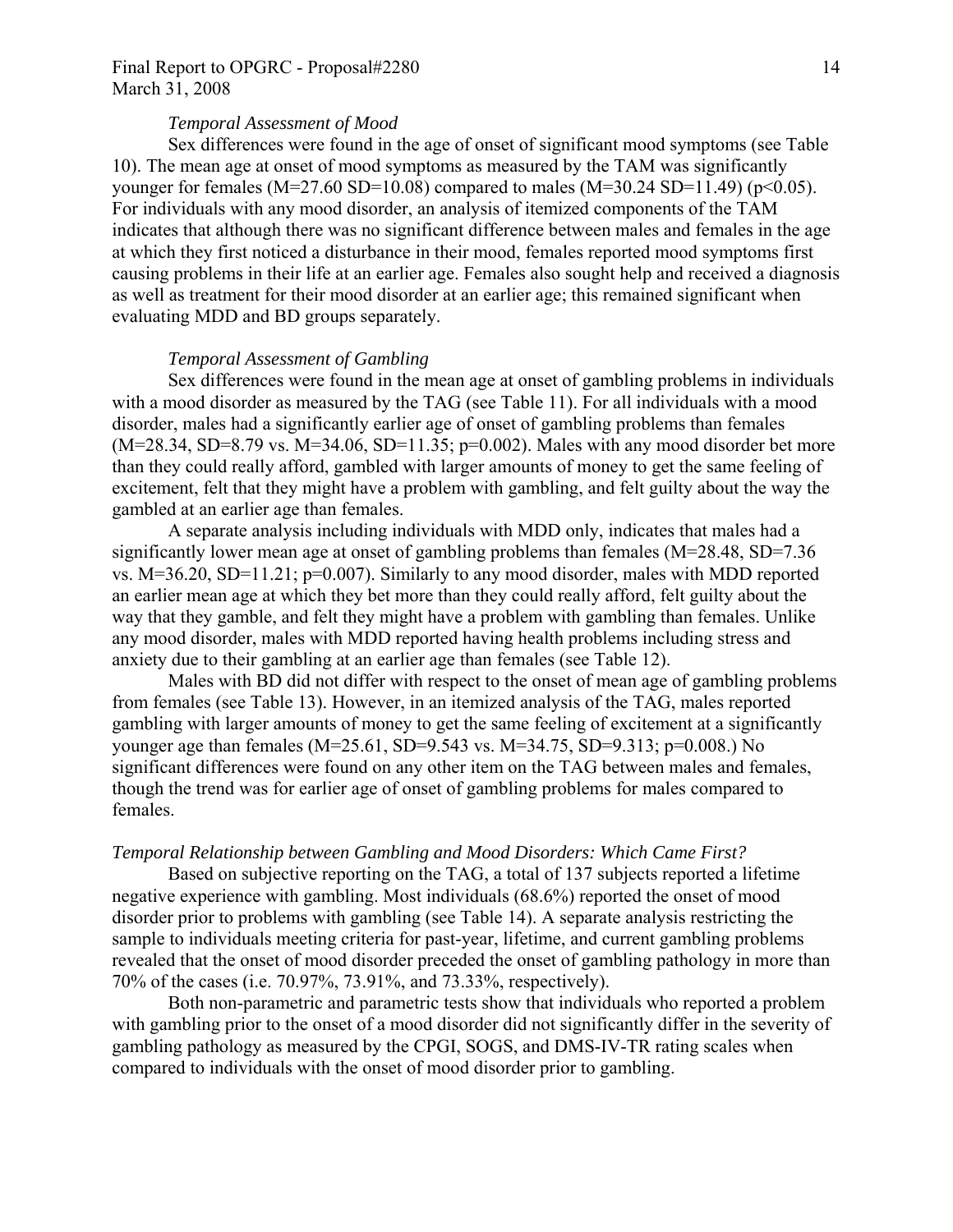### *Temporal Assessment of Mood*

Sex differences were found in the age of onset of significant mood symptoms (see Table 10). The mean age at onset of mood symptoms as measured by the TAM was significantly younger for females (M=27.60 SD=10.08) compared to males (M=30.24 SD=11.49) (p<0.05). For individuals with any mood disorder, an analysis of itemized components of the TAM indicates that although there was no significant difference between males and females in the age at which they first noticed a disturbance in their mood, females reported mood symptoms first causing problems in their life at an earlier age. Females also sought help and received a diagnosis as well as treatment for their mood disorder at an earlier age; this remained significant when evaluating MDD and BD groups separately.

#### *Temporal Assessment of Gambling*

Sex differences were found in the mean age at onset of gambling problems in individuals with a mood disorder as measured by the TAG (see Table 11). For all individuals with a mood disorder, males had a significantly earlier age of onset of gambling problems than females  $(M=28.34, SD=8.79 \text{ vs. } M=34.06, SD=11.35; p=0.002)$ . Males with any mood disorder bet more than they could really afford, gambled with larger amounts of money to get the same feeling of excitement, felt that they might have a problem with gambling, and felt guilty about the way the gambled at an earlier age than females.

A separate analysis including individuals with MDD only, indicates that males had a significantly lower mean age at onset of gambling problems than females (M=28.48, SD=7.36 vs. M=36.20, SD=11.21; p=0.007). Similarly to any mood disorder, males with MDD reported an earlier mean age at which they bet more than they could really afford, felt guilty about the way that they gamble, and felt they might have a problem with gambling than females. Unlike any mood disorder, males with MDD reported having health problems including stress and anxiety due to their gambling at an earlier age than females (see Table 12).

Males with BD did not differ with respect to the onset of mean age of gambling problems from females (see Table 13). However, in an itemized analysis of the TAG, males reported gambling with larger amounts of money to get the same feeling of excitement at a significantly younger age than females (M=25.61, SD=9.543 vs. M=34.75, SD=9.313; p=0.008.) No significant differences were found on any other item on the TAG between males and females, though the trend was for earlier age of onset of gambling problems for males compared to females.

#### *Temporal Relationship between Gambling and Mood Disorders: Which Came First?*

Based on subjective reporting on the TAG, a total of 137 subjects reported a lifetime negative experience with gambling. Most individuals (68.6%) reported the onset of mood disorder prior to problems with gambling (see Table 14). A separate analysis restricting the sample to individuals meeting criteria for past-year, lifetime, and current gambling problems revealed that the onset of mood disorder preceded the onset of gambling pathology in more than 70% of the cases (i.e. 70.97%, 73.91%, and 73.33%, respectively).

Both non-parametric and parametric tests show that individuals who reported a problem with gambling prior to the onset of a mood disorder did not significantly differ in the severity of gambling pathology as measured by the CPGI, SOGS, and DMS-IV-TR rating scales when compared to individuals with the onset of mood disorder prior to gambling.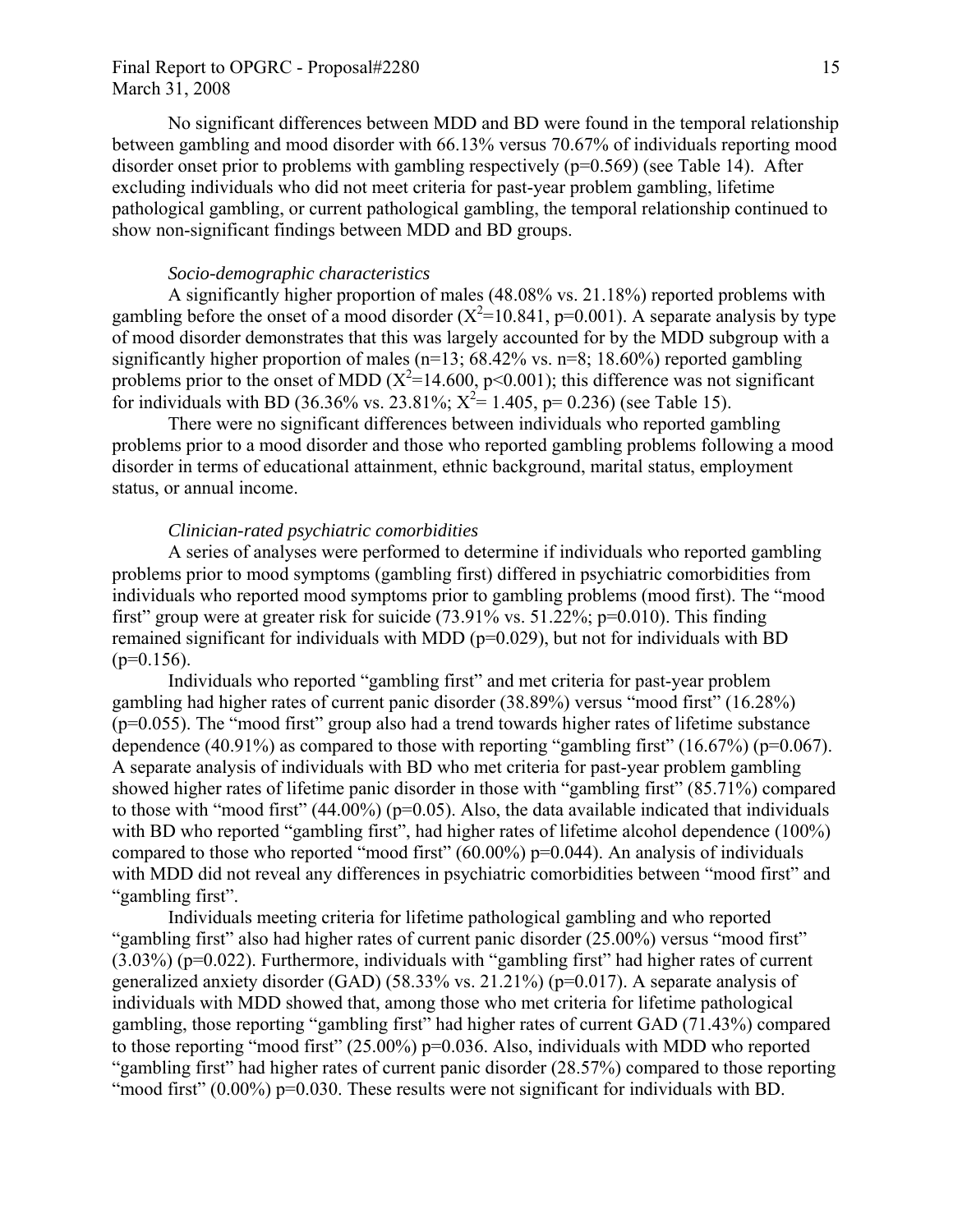## Final Report to OPGRC - Proposal#2280 15 March 31, 2008

No significant differences between MDD and BD were found in the temporal relationship between gambling and mood disorder with 66.13% versus 70.67% of individuals reporting mood disorder onset prior to problems with gambling respectively  $(p=0.569)$  (see Table 14). After excluding individuals who did not meet criteria for past-year problem gambling, lifetime pathological gambling, or current pathological gambling, the temporal relationship continued to show non-significant findings between MDD and BD groups.

### *Socio-demographic characteristics*

A significantly higher proportion of males (48.08% vs. 21.18%) reported problems with gambling before the onset of a mood disorder  $(X^2=10.841, p=0.001)$ . A separate analysis by type of mood disorder demonstrates that this was largely accounted for by the MDD subgroup with a significantly higher proportion of males ( $n=13$ ; 68.42% vs.  $n=8$ ; 18.60%) reported gambling problems prior to the onset of MDD  $(X^2=14.600, p<0.001)$ ; this difference was not significant for individuals with BD (36.36% vs. 23.81%;  $X^2 = 1.405$ , p= 0.236) (see Table 15).

There were no significant differences between individuals who reported gambling problems prior to a mood disorder and those who reported gambling problems following a mood disorder in terms of educational attainment, ethnic background, marital status, employment status, or annual income.

#### *Clinician-rated psychiatric comorbidities*

A series of analyses were performed to determine if individuals who reported gambling problems prior to mood symptoms (gambling first) differed in psychiatric comorbidities from individuals who reported mood symptoms prior to gambling problems (mood first). The "mood first" group were at greater risk for suicide  $(73.91\% \text{ vs. } 51.22\%; \text{ p=0.010})$ . This finding remained significant for individuals with MDD ( $p=0.029$ ), but not for individuals with BD  $(p=0.156)$ .

Individuals who reported "gambling first" and met criteria for past-year problem gambling had higher rates of current panic disorder (38.89%) versus "mood first" (16.28%) (p=0.055). The "mood first" group also had a trend towards higher rates of lifetime substance dependence (40.91%) as compared to those with reporting "gambling first" (16.67%) ( $p=0.067$ ). A separate analysis of individuals with BD who met criteria for past-year problem gambling showed higher rates of lifetime panic disorder in those with "gambling first" (85.71%) compared to those with "mood first"  $(44.00\%)$  (p=0.05). Also, the data available indicated that individuals with BD who reported "gambling first", had higher rates of lifetime alcohol dependence (100%) compared to those who reported "mood first" (60.00%) p=0.044). An analysis of individuals with MDD did not reveal any differences in psychiatric comorbidities between "mood first" and "gambling first".

Individuals meeting criteria for lifetime pathological gambling and who reported "gambling first" also had higher rates of current panic disorder (25.00%) versus "mood first" (3.03%) (p=0.022). Furthermore, individuals with "gambling first" had higher rates of current generalized anxiety disorder (GAD) (58.33% vs. 21.21%) (p=0.017). A separate analysis of individuals with MDD showed that, among those who met criteria for lifetime pathological gambling, those reporting "gambling first" had higher rates of current GAD (71.43%) compared to those reporting "mood first" (25.00%) p=0.036. Also, individuals with MDD who reported "gambling first" had higher rates of current panic disorder (28.57%) compared to those reporting "mood first" (0.00%) p=0.030. These results were not significant for individuals with BD.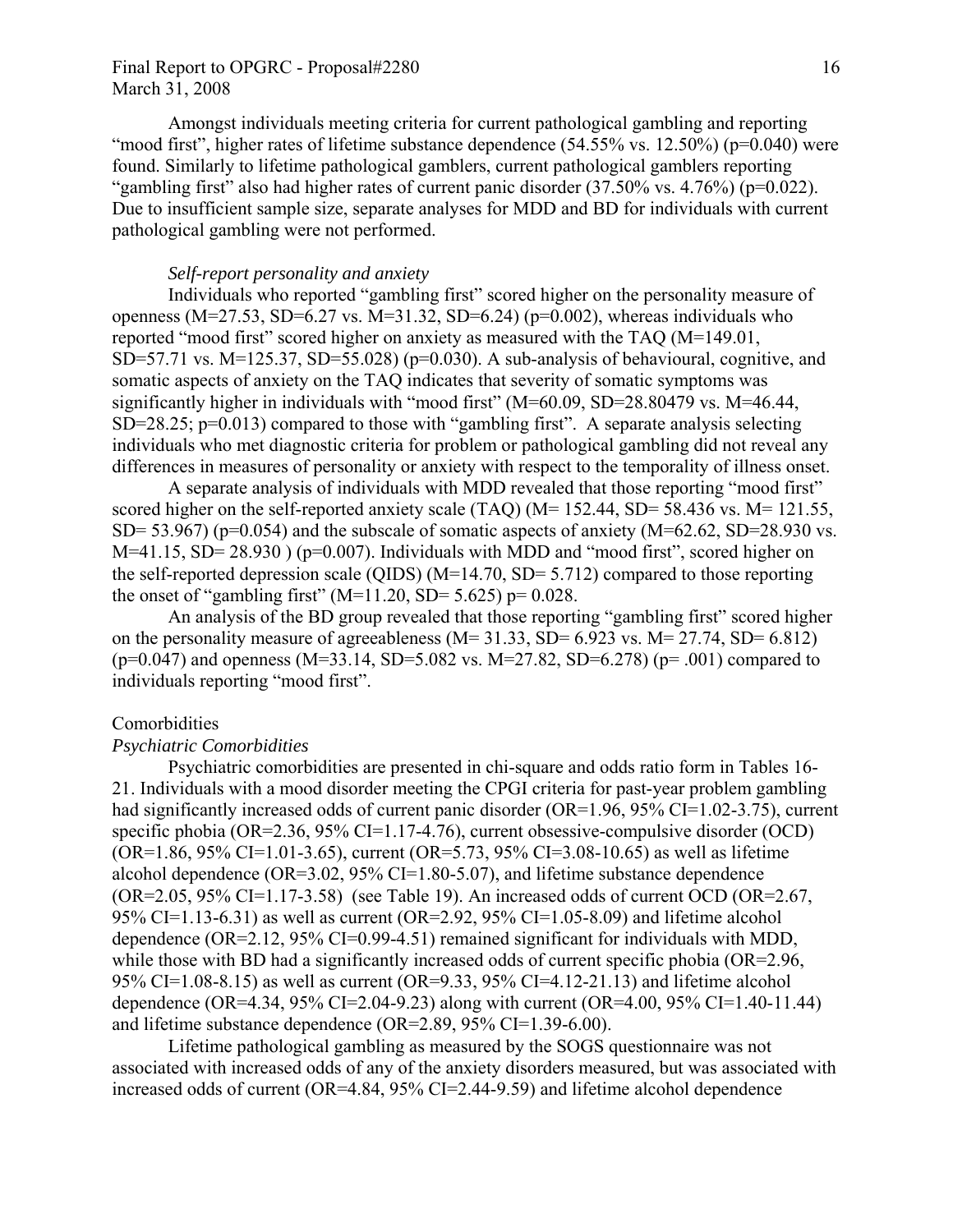## Final Report to OPGRC - Proposal#2280 16 March 31, 2008

Amongst individuals meeting criteria for current pathological gambling and reporting "mood first", higher rates of lifetime substance dependence (54.55% vs. 12.50%) (p=0.040) were found. Similarly to lifetime pathological gamblers, current pathological gamblers reporting "gambling first" also had higher rates of current panic disorder  $(37.50\% \text{ vs. } 4.76\%)$  (p=0.022). Due to insufficient sample size, separate analyses for MDD and BD for individuals with current pathological gambling were not performed.

## *Self-report personality and anxiety*

Individuals who reported "gambling first" scored higher on the personality measure of openness (M=27.53, SD=6.27 vs. M=31.32, SD=6.24) ( $p=0.002$ ), whereas individuals who reported "mood first" scored higher on anxiety as measured with the TAQ (M=149.01, SD=57.71 vs. M=125.37, SD=55.028) ( $p=0.030$ ). A sub-analysis of behavioural, cognitive, and somatic aspects of anxiety on the TAQ indicates that severity of somatic symptoms was significantly higher in individuals with "mood first" (M=60.09, SD=28.80479 vs. M=46.44, SD=28.25; p=0.013) compared to those with "gambling first". A separate analysis selecting individuals who met diagnostic criteria for problem or pathological gambling did not reveal any differences in measures of personality or anxiety with respect to the temporality of illness onset.

A separate analysis of individuals with MDD revealed that those reporting "mood first" scored higher on the self-reported anxiety scale (TAQ) (M= 152.44, SD= 58.436 vs. M= 121.55, SD= 53.967) ( $p=0.054$ ) and the subscale of somatic aspects of anxiety ( $M=62.62$ , SD=28.930 vs. M=41.15, SD= 28.930 ) (p=0.007). Individuals with MDD and "mood first", scored higher on the self-reported depression scale (QIDS) (M=14.70, SD= 5.712) compared to those reporting the onset of "gambling first" (M=11.20, SD= 5.625) p=  $0.028$ .

An analysis of the BD group revealed that those reporting "gambling first" scored higher on the personality measure of agreeableness ( $M= 31.33$ ,  $SD= 6.923$  vs.  $M= 27.74$ ,  $SD= 6.812$ )  $(p=0.047)$  and openness (M=33.14, SD=5.082 vs. M=27.82, SD=6.278) (p= .001) compared to individuals reporting "mood first".

#### Comorbidities

## *Psychiatric Comorbidities*

Psychiatric comorbidities are presented in chi-square and odds ratio form in Tables 16- 21. Individuals with a mood disorder meeting the CPGI criteria for past-year problem gambling had significantly increased odds of current panic disorder (OR=1.96, 95% CI=1.02-3.75), current specific phobia (OR=2.36, 95% CI=1.17-4.76), current obsessive-compulsive disorder (OCD) (OR=1.86, 95% CI=1.01-3.65), current (OR=5.73, 95% CI=3.08-10.65) as well as lifetime alcohol dependence ( $OR=3.02$ ,  $95\%$  CI=1.80-5.07), and lifetime substance dependence  $(OR=2.05, 95\% CI=1.17-3.58)$  (see Table 19). An increased odds of current OCD (OR=2.67, 95% CI=1.13-6.31) as well as current (OR=2.92, 95% CI=1.05-8.09) and lifetime alcohol dependence (OR=2.12, 95% CI=0.99-4.51) remained significant for individuals with MDD, while those with BD had a significantly increased odds of current specific phobia (OR=2.96, 95% CI=1.08-8.15) as well as current (OR=9.33, 95% CI=4.12-21.13) and lifetime alcohol dependence (OR=4.34, 95% CI=2.04-9.23) along with current (OR=4.00, 95% CI=1.40-11.44) and lifetime substance dependence (OR=2.89, 95% CI=1.39-6.00).

Lifetime pathological gambling as measured by the SOGS questionnaire was not associated with increased odds of any of the anxiety disorders measured, but was associated with increased odds of current (OR=4.84, 95% CI=2.44-9.59) and lifetime alcohol dependence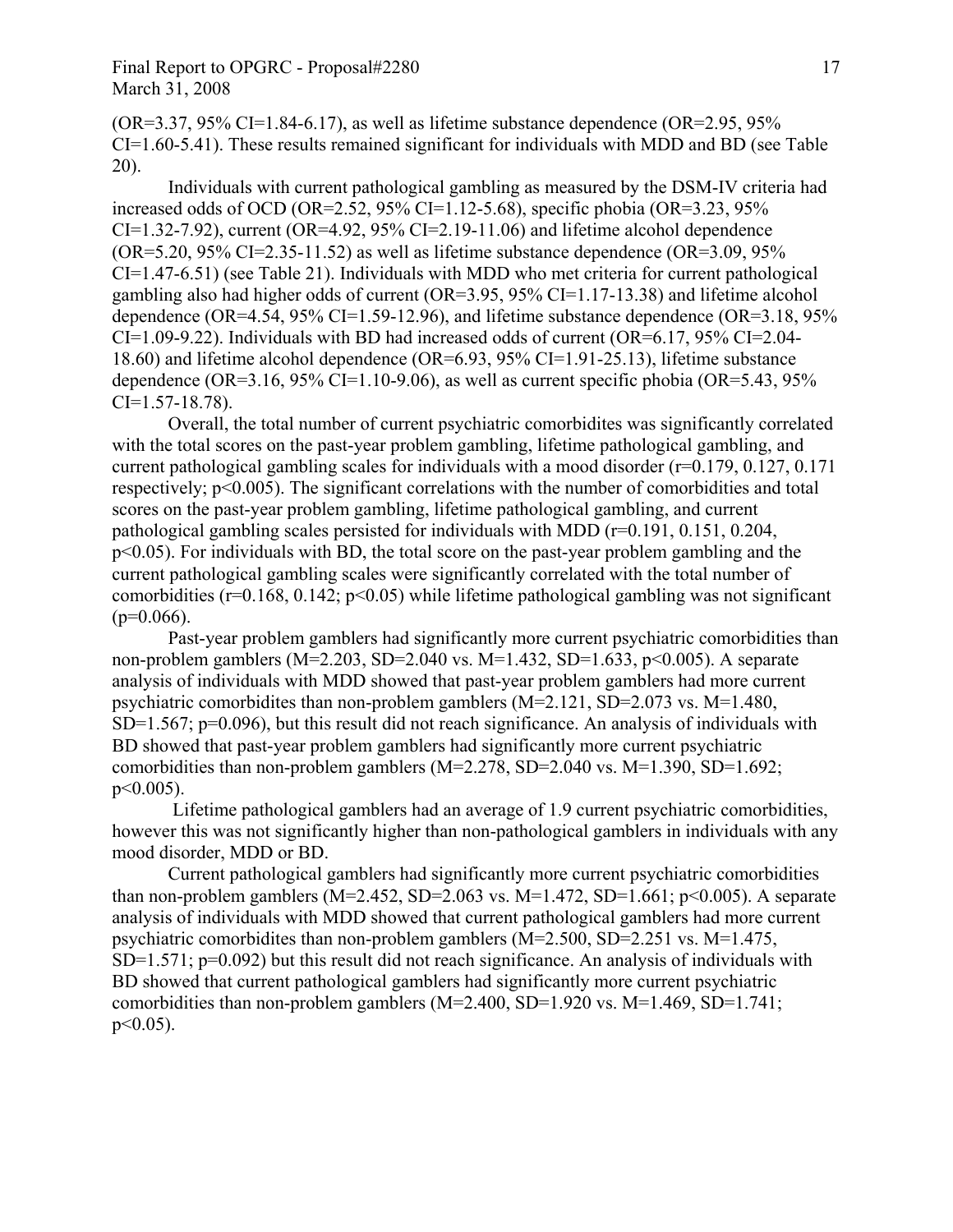## Final Report to OPGRC - Proposal#2280 17 March 31, 2008

 $(OR=3.37, 95\% CI=1.84-6.17)$ , as well as lifetime substance dependence  $(OR=2.95, 95\%$ CI=1.60-5.41). These results remained significant for individuals with MDD and BD (see Table 20).

Individuals with current pathological gambling as measured by the DSM-IV criteria had increased odds of OCD (OR=2.52, 95% CI=1.12-5.68), specific phobia (OR=3.23, 95%)  $CI=1.32-7.92$ ), current (OR=4.92, 95% CI=2.19-11.06) and lifetime alcohol dependence  $(OR=5.20, 95\% CI=2.35-11.52)$  as well as lifetime substance dependence  $(OR=3.09, 95\%$ CI=1.47-6.51) (see Table 21). Individuals with MDD who met criteria for current pathological gambling also had higher odds of current (OR=3.95, 95% CI=1.17-13.38) and lifetime alcohol dependence (OR=4.54,  $95\%$  CI=1.59-12.96), and lifetime substance dependence (OR=3.18,  $95\%$ )  $CI=1.09-9.22$ ). Individuals with BD had increased odds of current (OR=6.17, 95% CI=2.04-18.60) and lifetime alcohol dependence (OR=6.93, 95% CI=1.91-25.13), lifetime substance dependence (OR=3.16, 95% CI=1.10-9.06), as well as current specific phobia (OR=5.43, 95%)  $CI=1.57-18.78$ ).

 Overall, the total number of current psychiatric comorbidites was significantly correlated with the total scores on the past-year problem gambling, lifetime pathological gambling, and current pathological gambling scales for individuals with a mood disorder (r=0.179, 0.127, 0.171 respectively; p<0.005). The significant correlations with the number of comorbidities and total scores on the past-year problem gambling, lifetime pathological gambling, and current pathological gambling scales persisted for individuals with MDD (r=0.191, 0.151, 0.204, p<0.05). For individuals with BD, the total score on the past-year problem gambling and the current pathological gambling scales were significantly correlated with the total number of comorbidities ( $r=0.168$ , 0.142;  $p<0.05$ ) while lifetime pathological gambling was not significant  $(p=0.066)$ .

Past-year problem gamblers had significantly more current psychiatric comorbidities than non-problem gamblers (M=2.203, SD=2.040 vs. M=1.432, SD=1.633, p<0.005). A separate analysis of individuals with MDD showed that past-year problem gamblers had more current psychiatric comorbidites than non-problem gamblers (M=2.121, SD=2.073 vs. M=1.480,  $SD=1.567$ ;  $p=0.096$ ), but this result did not reach significance. An analysis of individuals with BD showed that past-year problem gamblers had significantly more current psychiatric comorbidities than non-problem gamblers  $(M=2.278, SD=2.040 \text{ vs. } M=1.390, SD=1.692;$ p<0.005).

 Lifetime pathological gamblers had an average of 1.9 current psychiatric comorbidities, however this was not significantly higher than non-pathological gamblers in individuals with any mood disorder, MDD or BD.

Current pathological gamblers had significantly more current psychiatric comorbidities than non-problem gamblers (M=2.452, SD=2.063 vs. M=1.472, SD=1.661;  $p<0.005$ ). A separate analysis of individuals with MDD showed that current pathological gamblers had more current psychiatric comorbidites than non-problem gamblers (M=2.500, SD=2.251 vs. M=1.475, SD=1.571; p=0.092) but this result did not reach significance. An analysis of individuals with BD showed that current pathological gamblers had significantly more current psychiatric comorbidities than non-problem gamblers  $(M=2.400, SD=1.920$  vs.  $M=1.469, SD=1.741$ ; p<0.05).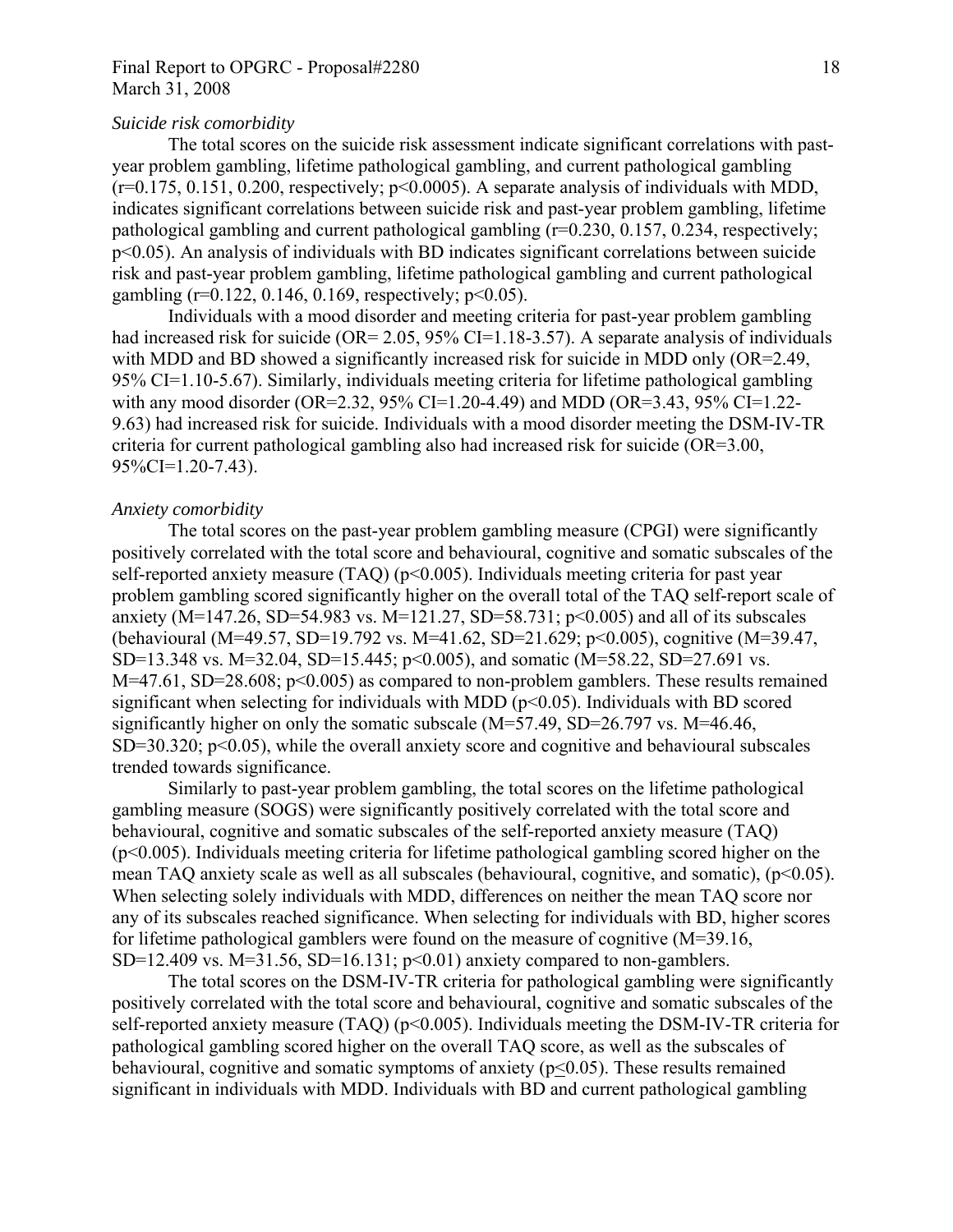## Final Report to OPGRC - Proposal#2280 18 March 31, 2008

#### *Suicide risk comorbidity*

The total scores on the suicide risk assessment indicate significant correlations with pastyear problem gambling, lifetime pathological gambling, and current pathological gambling  $(r=0.175, 0.151, 0.200,$  respectively;  $p<0.0005$ ). A separate analysis of individuals with MDD, indicates significant correlations between suicide risk and past-year problem gambling, lifetime pathological gambling and current pathological gambling (r=0.230, 0.157, 0.234, respectively; p<0.05). An analysis of individuals with BD indicates significant correlations between suicide risk and past-year problem gambling, lifetime pathological gambling and current pathological gambling ( $r=0.122$ , 0.146, 0.169, respectively;  $p<0.05$ ).

Individuals with a mood disorder and meeting criteria for past-year problem gambling had increased risk for suicide (OR= 2.05, 95% CI=1.18-3.57). A separate analysis of individuals with MDD and BD showed a significantly increased risk for suicide in MDD only (OR=2.49, 95% CI=1.10-5.67). Similarly, individuals meeting criteria for lifetime pathological gambling with any mood disorder (OR=2.32, 95% CI=1.20-4.49) and MDD (OR=3.43, 95% CI=1.22- 9.63) had increased risk for suicide. Individuals with a mood disorder meeting the DSM-IV-TR criteria for current pathological gambling also had increased risk for suicide (OR=3.00, 95%CI=1.20-7.43).

#### *Anxiety comorbidity*

 The total scores on the past-year problem gambling measure (CPGI) were significantly positively correlated with the total score and behavioural, cognitive and somatic subscales of the self-reported anxiety measure  $(TAO)$  ( $p<0.005$ ). Individuals meeting criteria for past year problem gambling scored significantly higher on the overall total of the TAQ self-report scale of anxiety (M=147.26, SD=54.983 vs. M=121.27, SD=58.731;  $p$ <0.005) and all of its subscales (behavioural (M=49.57, SD=19.792 vs. M=41.62, SD=21.629; p<0.005), cognitive (M=39.47, SD=13.348 vs. M=32.04, SD=15.445; p<0.005), and somatic (M=58.22, SD=27.691 vs. M=47.61, SD=28.608; p<0.005) as compared to non-problem gamblers. These results remained significant when selecting for individuals with MDD ( $p<0.05$ ). Individuals with BD scored significantly higher on only the somatic subscale (M=57.49, SD=26.797 vs. M=46.46,  $SD=30.320$ ;  $p<0.05$ ), while the overall anxiety score and cognitive and behavioural subscales trended towards significance.

 Similarly to past-year problem gambling, the total scores on the lifetime pathological gambling measure (SOGS) were significantly positively correlated with the total score and behavioural, cognitive and somatic subscales of the self-reported anxiety measure (TAQ) (p<0.005). Individuals meeting criteria for lifetime pathological gambling scored higher on the mean TAQ anxiety scale as well as all subscales (behavioural, cognitive, and somatic), (p<0.05). When selecting solely individuals with MDD, differences on neither the mean TAQ score nor any of its subscales reached significance. When selecting for individuals with BD, higher scores for lifetime pathological gamblers were found on the measure of cognitive (M=39.16, SD=12.409 vs. M=31.56, SD=16.131;  $p<0.01$ ) anxiety compared to non-gamblers.

 The total scores on the DSM-IV-TR criteria for pathological gambling were significantly positively correlated with the total score and behavioural, cognitive and somatic subscales of the self-reported anxiety measure (TAQ) (p<0.005). Individuals meeting the DSM-IV-TR criteria for pathological gambling scored higher on the overall TAQ score, as well as the subscales of behavioural, cognitive and somatic symptoms of anxiety  $(p<0.05)$ . These results remained significant in individuals with MDD. Individuals with BD and current pathological gambling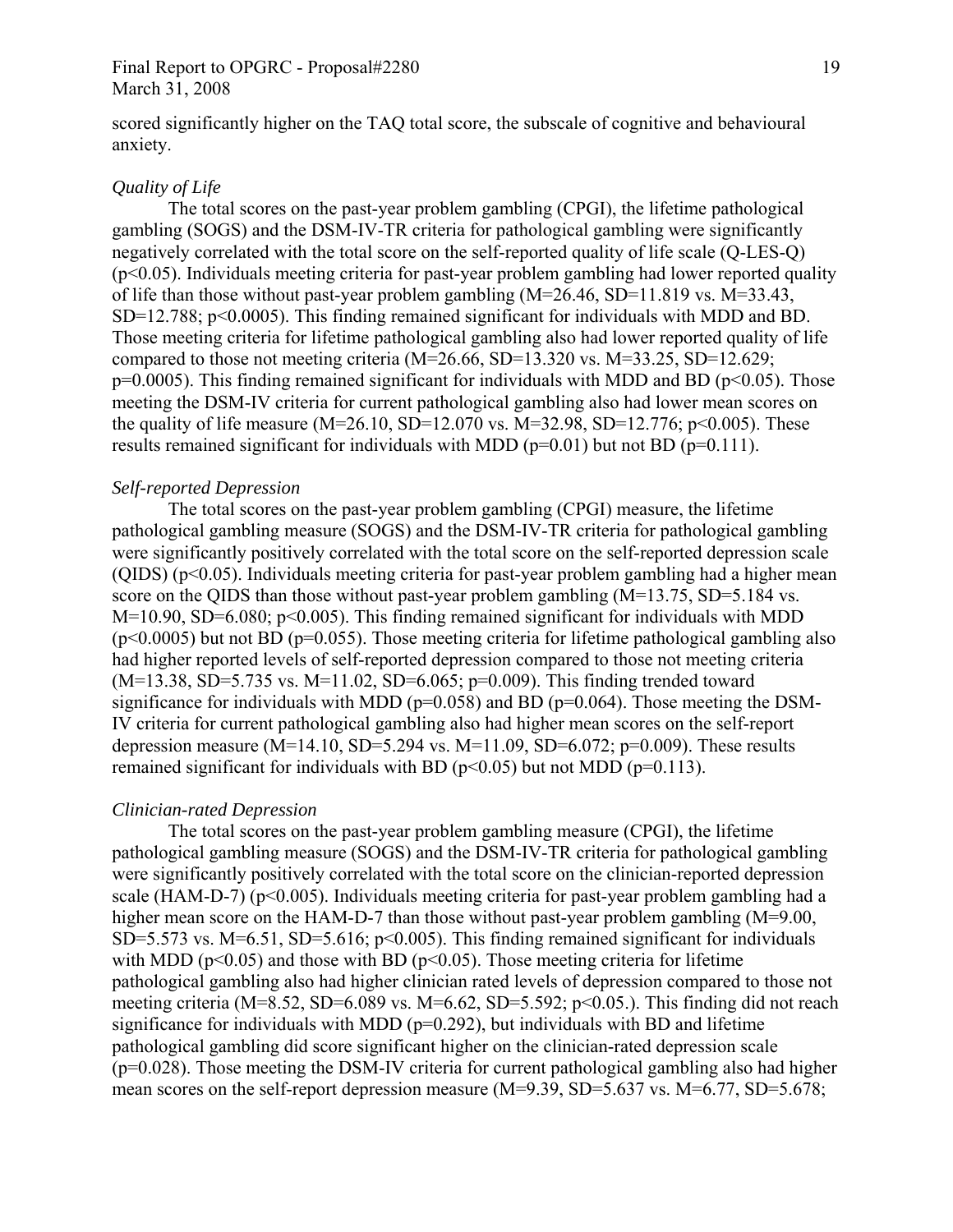## Final Report to OPGRC - Proposal#2280 19 March 31, 2008

scored significantly higher on the TAQ total score, the subscale of cognitive and behavioural anxiety.

#### *Quality of Life*

The total scores on the past-year problem gambling (CPGI), the lifetime pathological gambling (SOGS) and the DSM-IV-TR criteria for pathological gambling were significantly negatively correlated with the total score on the self-reported quality of life scale (Q-LES-Q) (p<0.05). Individuals meeting criteria for past-year problem gambling had lower reported quality of life than those without past-year problem gambling (M=26.46, SD=11.819 vs. M=33.43, SD=12.788; p<0.0005). This finding remained significant for individuals with MDD and BD. Those meeting criteria for lifetime pathological gambling also had lower reported quality of life compared to those not meeting criteria  $(M=26.66, SD=13.320$  vs.  $M=33.25, SD=12.629$ ;  $p=0.0005$ ). This finding remained significant for individuals with MDD and BD ( $p<0.05$ ). Those meeting the DSM-IV criteria for current pathological gambling also had lower mean scores on the quality of life measure  $(M=26.10, SD=12.070 \text{ vs. } M=32.98, SD=12.776; p<0.005)$ . These results remained significant for individuals with MDD ( $p=0.01$ ) but not BD ( $p=0.111$ ).

## *Self-reported Depression*

The total scores on the past-year problem gambling (CPGI) measure, the lifetime pathological gambling measure (SOGS) and the DSM-IV-TR criteria for pathological gambling were significantly positively correlated with the total score on the self-reported depression scale  $(QIDS)$  ( $p<0.05$ ). Individuals meeting criteria for past-year problem gambling had a higher mean score on the QIDS than those without past-year problem gambling  $(M=13.75, SD=5.184$  vs.  $M=10.90$ , SD=6.080; p<0.005). This finding remained significant for individuals with MDD  $(p<0.0005)$  but not BD ( $p=0.055$ ). Those meeting criteria for lifetime pathological gambling also had higher reported levels of self-reported depression compared to those not meeting criteria  $(M=13.38, SD=5.735 \text{ vs. } M=11.02, SD=6.065; p=0.009)$ . This finding trended toward significance for individuals with MDD ( $p=0.058$ ) and BD ( $p=0.064$ ). Those meeting the DSM-IV criteria for current pathological gambling also had higher mean scores on the self-report depression measure (M=14.10, SD=5.294 vs. M=11.09, SD=6.072; p=0.009). These results remained significant for individuals with BD ( $p<0.05$ ) but not MDD ( $p=0.113$ ).

#### *Clinician-rated Depression*

The total scores on the past-year problem gambling measure (CPGI), the lifetime pathological gambling measure (SOGS) and the DSM-IV-TR criteria for pathological gambling were significantly positively correlated with the total score on the clinician-reported depression scale (HAM-D-7) ( $p<0.005$ ). Individuals meeting criteria for past-year problem gambling had a higher mean score on the HAM-D-7 than those without past-year problem gambling (M=9.00, SD=5.573 vs. M=6.51, SD=5.616;  $p<0.005$ ). This finding remained significant for individuals with MDD ( $p<0.05$ ) and those with BD ( $p<0.05$ ). Those meeting criteria for lifetime pathological gambling also had higher clinician rated levels of depression compared to those not meeting criteria (M=8.52, SD=6.089 vs. M=6.62, SD=5.592; p<0.05.). This finding did not reach significance for individuals with MDD ( $p=0.292$ ), but individuals with BD and lifetime pathological gambling did score significant higher on the clinician-rated depression scale (p=0.028). Those meeting the DSM-IV criteria for current pathological gambling also had higher mean scores on the self-report depression measure (M=9.39, SD=5.637 vs. M=6.77, SD=5.678;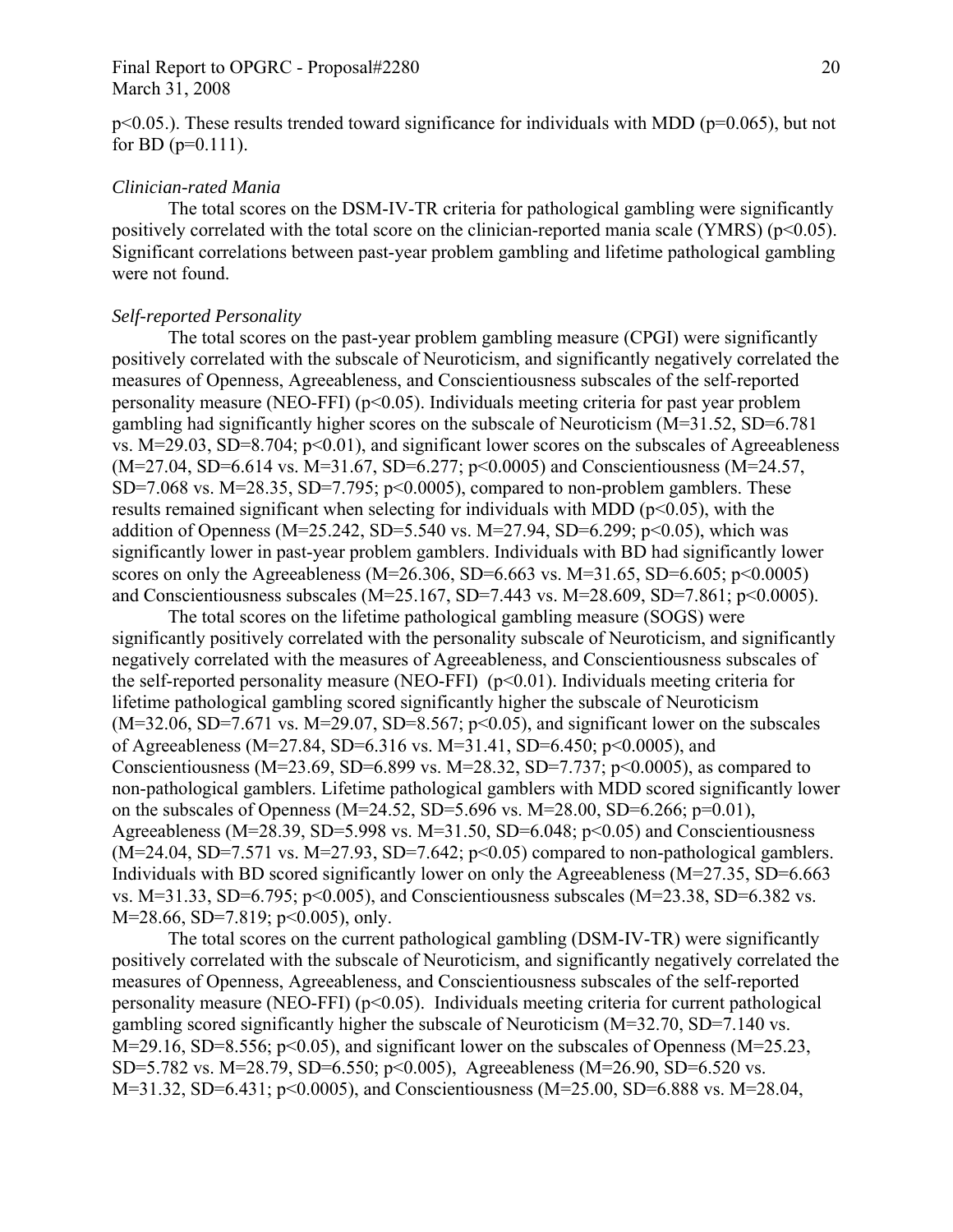### Final Report to OPGRC - Proposal#2280 20 March 31, 2008

 $p<0.05$ .). These results trended toward significance for individuals with MDD ( $p=0.065$ ), but not for BD ( $p=0.111$ ).

#### *Clinician-rated Mania*

 The total scores on the DSM-IV-TR criteria for pathological gambling were significantly positively correlated with the total score on the clinician-reported mania scale (YMRS) ( $p<0.05$ ). Significant correlations between past-year problem gambling and lifetime pathological gambling were not found.

#### *Self-reported Personality*

The total scores on the past-year problem gambling measure (CPGI) were significantly positively correlated with the subscale of Neuroticism, and significantly negatively correlated the measures of Openness, Agreeableness, and Conscientiousness subscales of the self-reported personality measure (NEO-FFI) ( $p<0.05$ ). Individuals meeting criteria for past year problem gambling had significantly higher scores on the subscale of Neuroticism (M=31.52, SD=6.781 vs.  $M=29.03$ ,  $SD=8.704$ ;  $p<0.01$ ), and significant lower scores on the subscales of Agreeableness (M=27.04, SD=6.614 vs. M=31.67, SD=6.277; p<0.0005) and Conscientiousness (M=24.57, SD=7.068 vs. M=28.35, SD=7.795;  $p<0.0005$ ), compared to non-problem gamblers. These results remained significant when selecting for individuals with MDD ( $p<0.05$ ), with the addition of Openness (M=25.242, SD=5.540 vs. M=27.94, SD=6.299; p<0.05), which was significantly lower in past-year problem gamblers. Individuals with BD had significantly lower scores on only the Agreeableness (M=26.306, SD=6.663 vs. M=31.65, SD=6.605; p<0.0005) and Conscientiousness subscales (M=25.167, SD=7.443 vs. M=28.609, SD=7.861; p<0.0005).

The total scores on the lifetime pathological gambling measure (SOGS) were significantly positively correlated with the personality subscale of Neuroticism, and significantly negatively correlated with the measures of Agreeableness, and Conscientiousness subscales of the self-reported personality measure (NEO-FFI)  $(p<0.01)$ . Individuals meeting criteria for lifetime pathological gambling scored significantly higher the subscale of Neuroticism  $(M=32.06, SD=7.671$  vs.  $M=29.07, SD=8.567; p<0.05)$ , and significant lower on the subscales of Agreeableness (M=27.84, SD=6.316 vs. M=31.41, SD=6.450; p<0.0005), and Conscientiousness (M=23.69, SD=6.899 vs. M=28.32, SD=7.737; p<0.0005), as compared to non-pathological gamblers. Lifetime pathological gamblers with MDD scored significantly lower on the subscales of Openness (M=24.52, SD=5.696 vs. M=28.00, SD=6.266; p=0.01), Agreeableness ( $M=28.39$ ,  $SD=5.998$  vs.  $M=31.50$ ,  $SD=6.048$ ;  $p<0.05$ ) and Conscientiousness  $(M=24.04, SD=7.571 \text{ vs. } M=27.93, SD=7.642; p<0.05)$  compared to non-pathological gamblers. Individuals with BD scored significantly lower on only the Agreeableness (M=27.35, SD=6.663 vs. M=31.33, SD=6.795;  $p<0.005$ ), and Conscientiousness subscales (M=23.38, SD=6.382 vs. M=28.66, SD=7.819; p<0.005), only.

The total scores on the current pathological gambling (DSM-IV-TR) were significantly positively correlated with the subscale of Neuroticism, and significantly negatively correlated the measures of Openness, Agreeableness, and Conscientiousness subscales of the self-reported personality measure (NEO-FFI)  $(p<0.05)$ . Individuals meeting criteria for current pathological gambling scored significantly higher the subscale of Neuroticism (M=32.70, SD=7.140 vs. M=29.16, SD=8.556; p<0.05), and significant lower on the subscales of Openness (M=25.23, SD=5.782 vs. M=28.79, SD=6.550; p<0.005), Agreeableness (M=26.90, SD=6.520 vs. M=31.32, SD=6.431; p<0.0005), and Conscientiousness (M=25.00, SD=6.888 vs. M=28.04,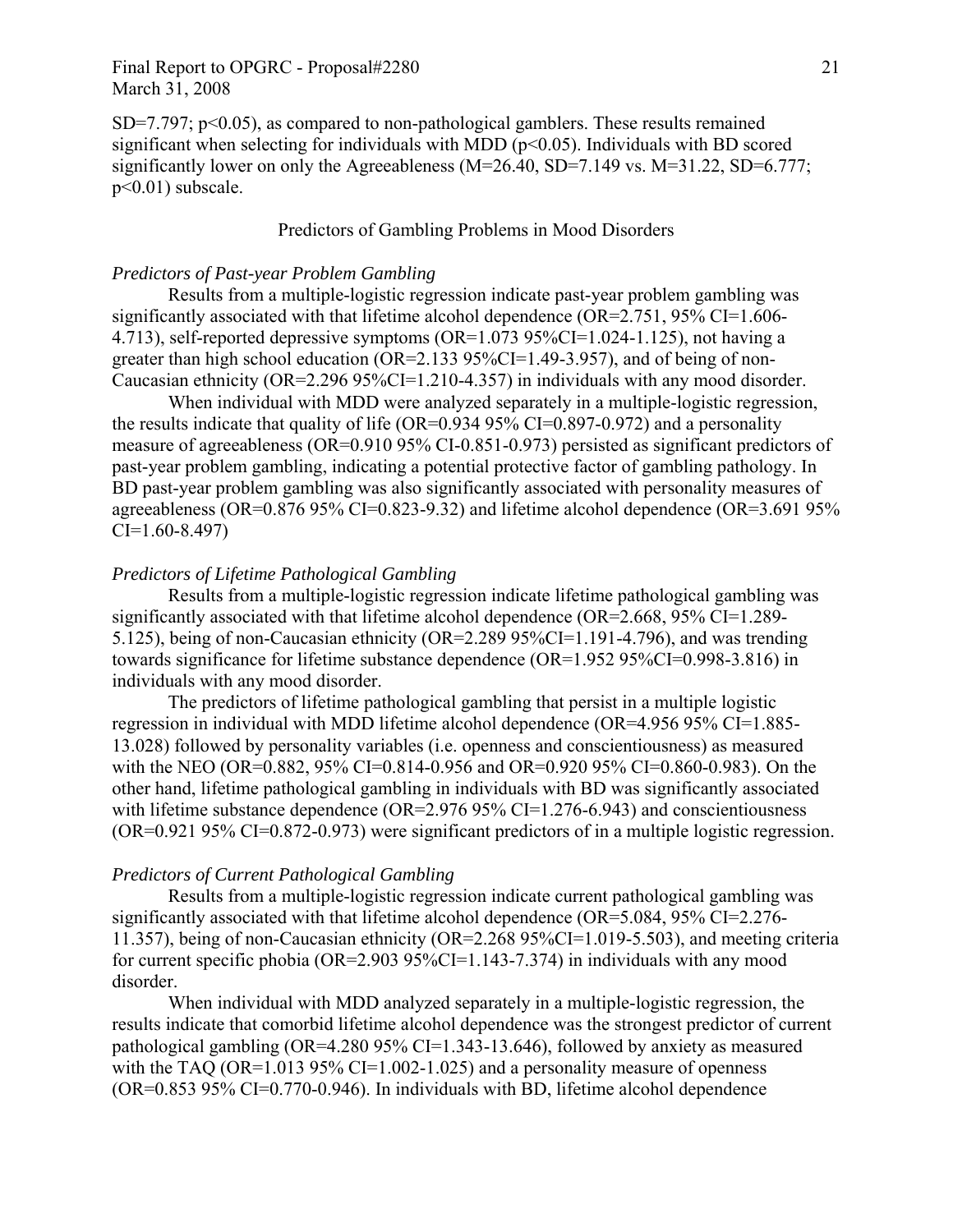$SD=7.797$ ;  $p<0.05$ ), as compared to non-pathological gamblers. These results remained significant when selecting for individuals with MDD ( $p<0.05$ ). Individuals with BD scored significantly lower on only the Agreeableness (M=26.40, SD=7.149 vs. M=31.22, SD=6.777; p<0.01) subscale.

## Predictors of Gambling Problems in Mood Disorders

## *Predictors of Past-year Problem Gambling*

Results from a multiple-logistic regression indicate past-year problem gambling was significantly associated with that lifetime alcohol dependence (OR=2.751, 95% CI=1.606-4.713), self-reported depressive symptoms (OR=1.073 95%CI=1.024-1.125), not having a greater than high school education (OR=2.133 95%CI=1.49-3.957), and of being of non-Caucasian ethnicity (OR=2.296 95%CI=1.210-4.357) in individuals with any mood disorder.

When individual with MDD were analyzed separately in a multiple-logistic regression, the results indicate that quality of life (OR=0.934 95% CI=0.897-0.972) and a personality measure of agreeableness (OR=0.910 95% CI-0.851-0.973) persisted as significant predictors of past-year problem gambling, indicating a potential protective factor of gambling pathology. In BD past-year problem gambling was also significantly associated with personality measures of agreeableness (OR=0.876 95% CI=0.823-9.32) and lifetime alcohol dependence (OR=3.691 95% CI=1.60-8.497)

### *Predictors of Lifetime Pathological Gambling*

Results from a multiple-logistic regression indicate lifetime pathological gambling was significantly associated with that lifetime alcohol dependence (OR=2.668, 95% CI=1.289- 5.125), being of non-Caucasian ethnicity (OR=2.289 95%CI=1.191-4.796), and was trending towards significance for lifetime substance dependence (OR=1.952 95%CI=0.998-3.816) in individuals with any mood disorder.

The predictors of lifetime pathological gambling that persist in a multiple logistic regression in individual with MDD lifetime alcohol dependence (OR=4.956 95% CI=1.885- 13.028) followed by personality variables (i.e. openness and conscientiousness) as measured with the NEO (OR=0.882, 95% CI=0.814-0.956 and OR=0.920 95% CI=0.860-0.983). On the other hand, lifetime pathological gambling in individuals with BD was significantly associated with lifetime substance dependence (OR=2.976 95% CI=1.276-6.943) and conscientiousness (OR=0.921 95% CI=0.872-0.973) were significant predictors of in a multiple logistic regression.

#### *Predictors of Current Pathological Gambling*

Results from a multiple-logistic regression indicate current pathological gambling was significantly associated with that lifetime alcohol dependence (OR=5.084, 95% CI=2.276- 11.357), being of non-Caucasian ethnicity (OR=2.268 95%CI=1.019-5.503), and meeting criteria for current specific phobia (OR=2.903 95%CI=1.143-7.374) in individuals with any mood disorder.

When individual with MDD analyzed separately in a multiple-logistic regression, the results indicate that comorbid lifetime alcohol dependence was the strongest predictor of current pathological gambling (OR=4.280 95% CI=1.343-13.646), followed by anxiety as measured with the TAQ (OR=1.013 95% CI=1.002-1.025) and a personality measure of openness (OR=0.853 95% CI=0.770-0.946). In individuals with BD, lifetime alcohol dependence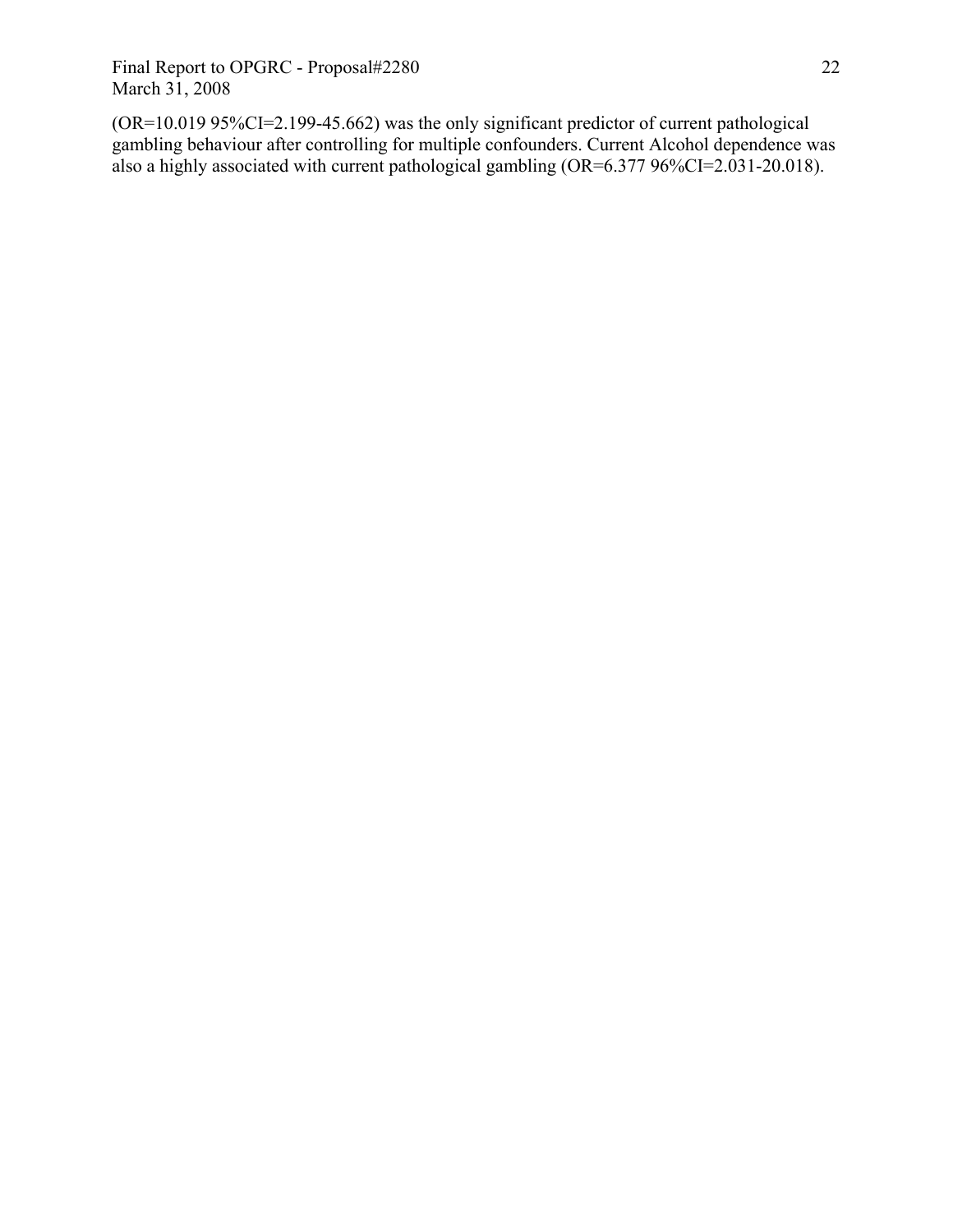(OR=10.019 95%CI=2.199-45.662) was the only significant predictor of current pathological gambling behaviour after controlling for multiple confounders. Current Alcohol dependence was also a highly associated with current pathological gambling (OR=6.377 96%CI=2.031-20.018).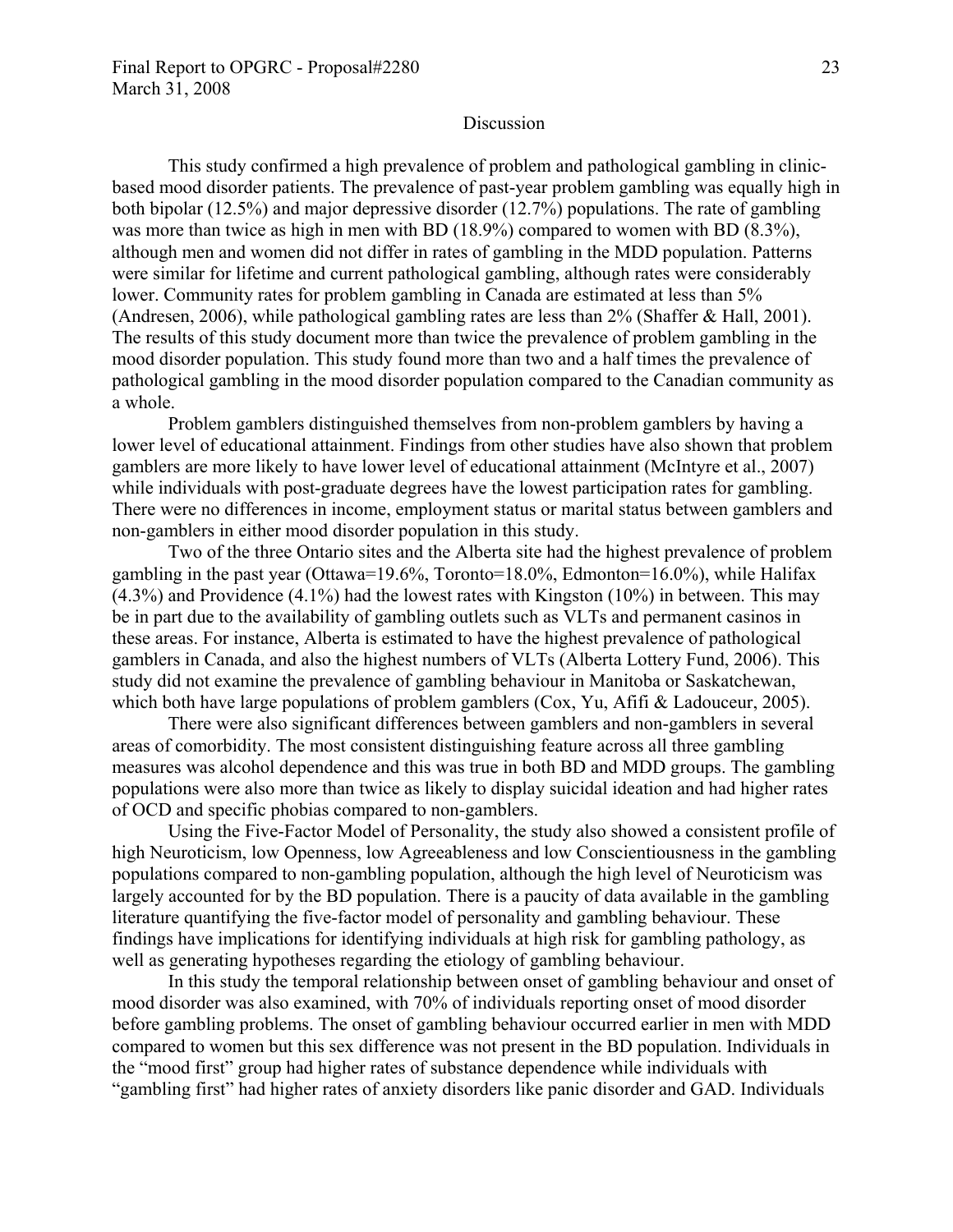### Discussion

This study confirmed a high prevalence of problem and pathological gambling in clinicbased mood disorder patients. The prevalence of past-year problem gambling was equally high in both bipolar (12.5%) and major depressive disorder (12.7%) populations. The rate of gambling was more than twice as high in men with BD (18.9%) compared to women with BD (8.3%), although men and women did not differ in rates of gambling in the MDD population. Patterns were similar for lifetime and current pathological gambling, although rates were considerably lower. Community rates for problem gambling in Canada are estimated at less than 5% (Andresen, 2006), while pathological gambling rates are less than 2% (Shaffer & Hall, 2001). The results of this study document more than twice the prevalence of problem gambling in the mood disorder population. This study found more than two and a half times the prevalence of pathological gambling in the mood disorder population compared to the Canadian community as a whole.

Problem gamblers distinguished themselves from non-problem gamblers by having a lower level of educational attainment. Findings from other studies have also shown that problem gamblers are more likely to have lower level of educational attainment (McIntyre et al., 2007) while individuals with post-graduate degrees have the lowest participation rates for gambling. There were no differences in income, employment status or marital status between gamblers and non-gamblers in either mood disorder population in this study.

Two of the three Ontario sites and the Alberta site had the highest prevalence of problem gambling in the past year (Ottawa=19.6%, Toronto=18.0%, Edmonton=16.0%), while Halifax (4.3%) and Providence (4.1%) had the lowest rates with Kingston (10%) in between. This may be in part due to the availability of gambling outlets such as VLTs and permanent casinos in these areas. For instance, Alberta is estimated to have the highest prevalence of pathological gamblers in Canada, and also the highest numbers of VLTs (Alberta Lottery Fund, 2006). This study did not examine the prevalence of gambling behaviour in Manitoba or Saskatchewan, which both have large populations of problem gamblers (Cox, Yu, Afifi & Ladouceur, 2005).

 There were also significant differences between gamblers and non-gamblers in several areas of comorbidity. The most consistent distinguishing feature across all three gambling measures was alcohol dependence and this was true in both BD and MDD groups. The gambling populations were also more than twice as likely to display suicidal ideation and had higher rates of OCD and specific phobias compared to non-gamblers.

Using the Five-Factor Model of Personality, the study also showed a consistent profile of high Neuroticism, low Openness, low Agreeableness and low Conscientiousness in the gambling populations compared to non-gambling population, although the high level of Neuroticism was largely accounted for by the BD population. There is a paucity of data available in the gambling literature quantifying the five-factor model of personality and gambling behaviour. These findings have implications for identifying individuals at high risk for gambling pathology, as well as generating hypotheses regarding the etiology of gambling behaviour.

 In this study the temporal relationship between onset of gambling behaviour and onset of mood disorder was also examined, with 70% of individuals reporting onset of mood disorder before gambling problems. The onset of gambling behaviour occurred earlier in men with MDD compared to women but this sex difference was not present in the BD population. Individuals in the "mood first" group had higher rates of substance dependence while individuals with "gambling first" had higher rates of anxiety disorders like panic disorder and GAD. Individuals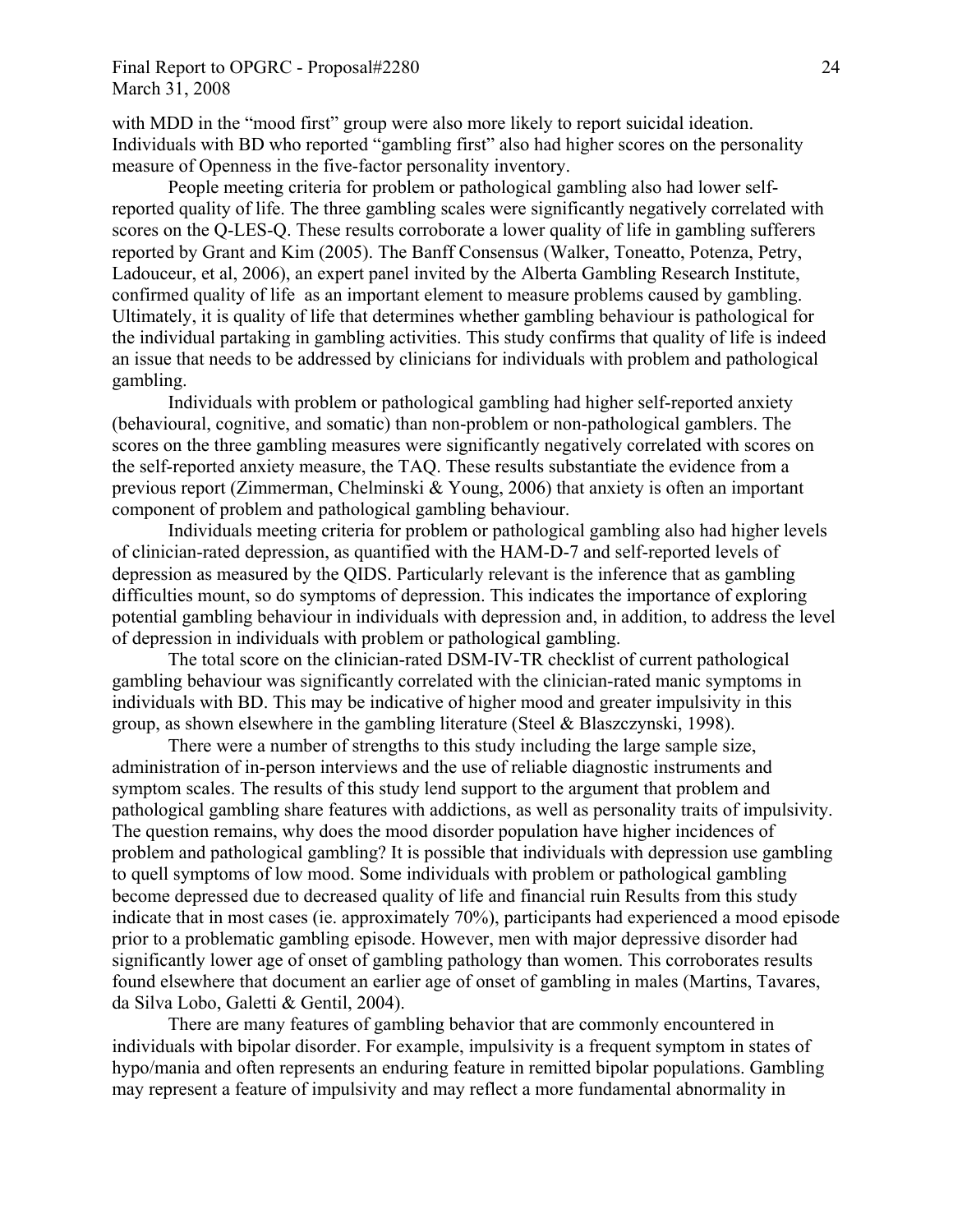with MDD in the "mood first" group were also more likely to report suicidal ideation. Individuals with BD who reported "gambling first" also had higher scores on the personality measure of Openness in the five-factor personality inventory.

 People meeting criteria for problem or pathological gambling also had lower selfreported quality of life. The three gambling scales were significantly negatively correlated with scores on the Q-LES-Q. These results corroborate a lower quality of life in gambling sufferers reported by Grant and Kim (2005). The Banff Consensus (Walker, Toneatto, Potenza, Petry, Ladouceur, et al, 2006), an expert panel invited by the Alberta Gambling Research Institute, confirmed quality of life as an important element to measure problems caused by gambling. Ultimately, it is quality of life that determines whether gambling behaviour is pathological for the individual partaking in gambling activities. This study confirms that quality of life is indeed an issue that needs to be addressed by clinicians for individuals with problem and pathological gambling.

Individuals with problem or pathological gambling had higher self-reported anxiety (behavioural, cognitive, and somatic) than non-problem or non-pathological gamblers. The scores on the three gambling measures were significantly negatively correlated with scores on the self-reported anxiety measure, the TAQ. These results substantiate the evidence from a previous report (Zimmerman, Chelminski & Young, 2006) that anxiety is often an important component of problem and pathological gambling behaviour.

 Individuals meeting criteria for problem or pathological gambling also had higher levels of clinician-rated depression, as quantified with the HAM-D-7 and self-reported levels of depression as measured by the QIDS. Particularly relevant is the inference that as gambling difficulties mount, so do symptoms of depression. This indicates the importance of exploring potential gambling behaviour in individuals with depression and, in addition, to address the level of depression in individuals with problem or pathological gambling.

 The total score on the clinician-rated DSM-IV-TR checklist of current pathological gambling behaviour was significantly correlated with the clinician-rated manic symptoms in individuals with BD. This may be indicative of higher mood and greater impulsivity in this group, as shown elsewhere in the gambling literature (Steel & Blaszczynski, 1998).

 There were a number of strengths to this study including the large sample size, administration of in-person interviews and the use of reliable diagnostic instruments and symptom scales. The results of this study lend support to the argument that problem and pathological gambling share features with addictions, as well as personality traits of impulsivity. The question remains, why does the mood disorder population have higher incidences of problem and pathological gambling? It is possible that individuals with depression use gambling to quell symptoms of low mood. Some individuals with problem or pathological gambling become depressed due to decreased quality of life and financial ruin Results from this study indicate that in most cases (ie. approximately 70%), participants had experienced a mood episode prior to a problematic gambling episode. However, men with major depressive disorder had significantly lower age of onset of gambling pathology than women. This corroborates results found elsewhere that document an earlier age of onset of gambling in males (Martins, Tavares, da Silva Lobo, Galetti & Gentil, 2004).

 There are many features of gambling behavior that are commonly encountered in individuals with bipolar disorder. For example, impulsivity is a frequent symptom in states of hypo/mania and often represents an enduring feature in remitted bipolar populations. Gambling may represent a feature of impulsivity and may reflect a more fundamental abnormality in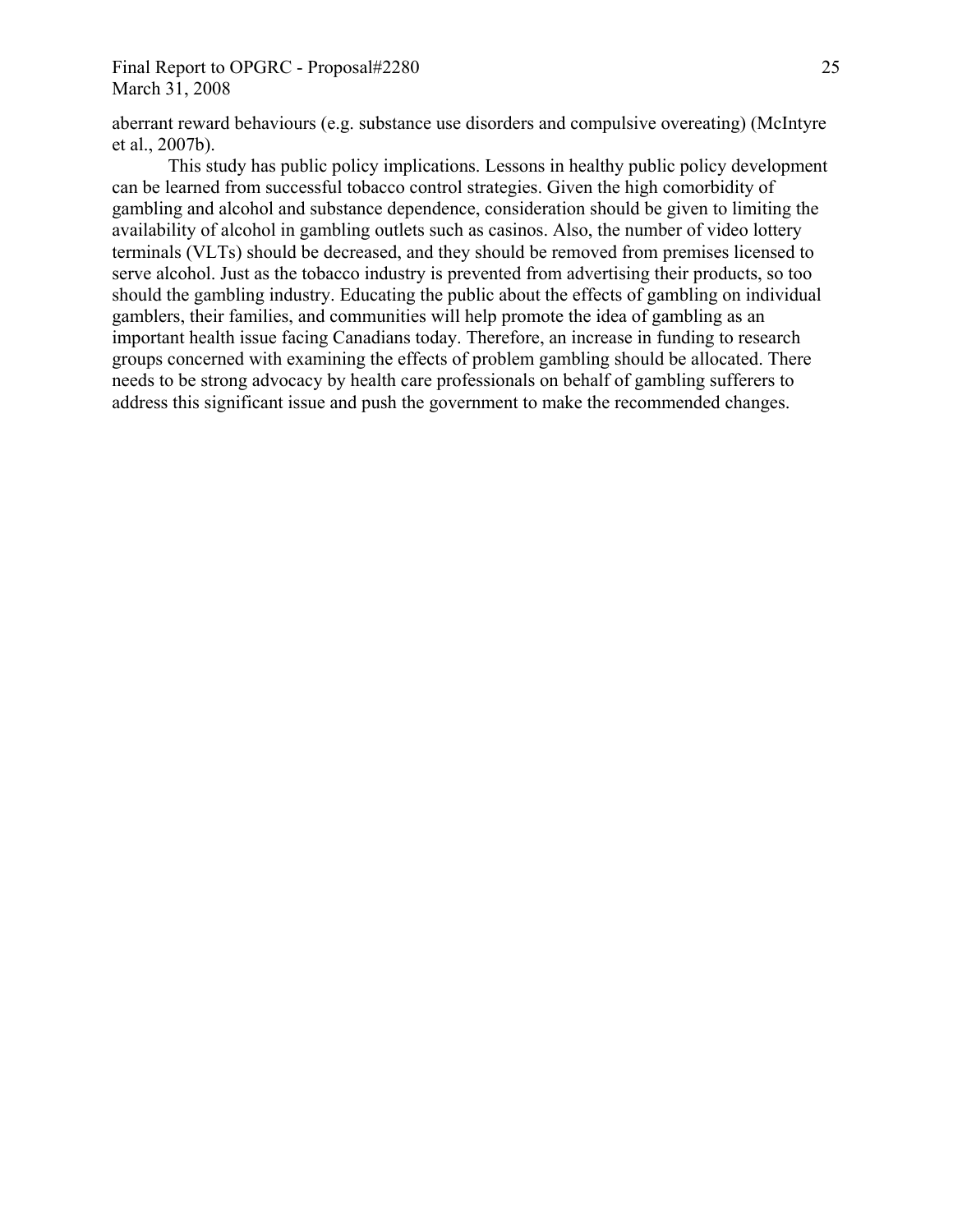## Final Report to OPGRC - Proposal#2280 25 March 31, 2008

aberrant reward behaviours (e.g. substance use disorders and compulsive overeating) (McIntyre et al., 2007b).

This study has public policy implications. Lessons in healthy public policy development can be learned from successful tobacco control strategies. Given the high comorbidity of gambling and alcohol and substance dependence, consideration should be given to limiting the availability of alcohol in gambling outlets such as casinos. Also, the number of video lottery terminals (VLTs) should be decreased, and they should be removed from premises licensed to serve alcohol. Just as the tobacco industry is prevented from advertising their products, so too should the gambling industry. Educating the public about the effects of gambling on individual gamblers, their families, and communities will help promote the idea of gambling as an important health issue facing Canadians today. Therefore, an increase in funding to research groups concerned with examining the effects of problem gambling should be allocated. There needs to be strong advocacy by health care professionals on behalf of gambling sufferers to address this significant issue and push the government to make the recommended changes.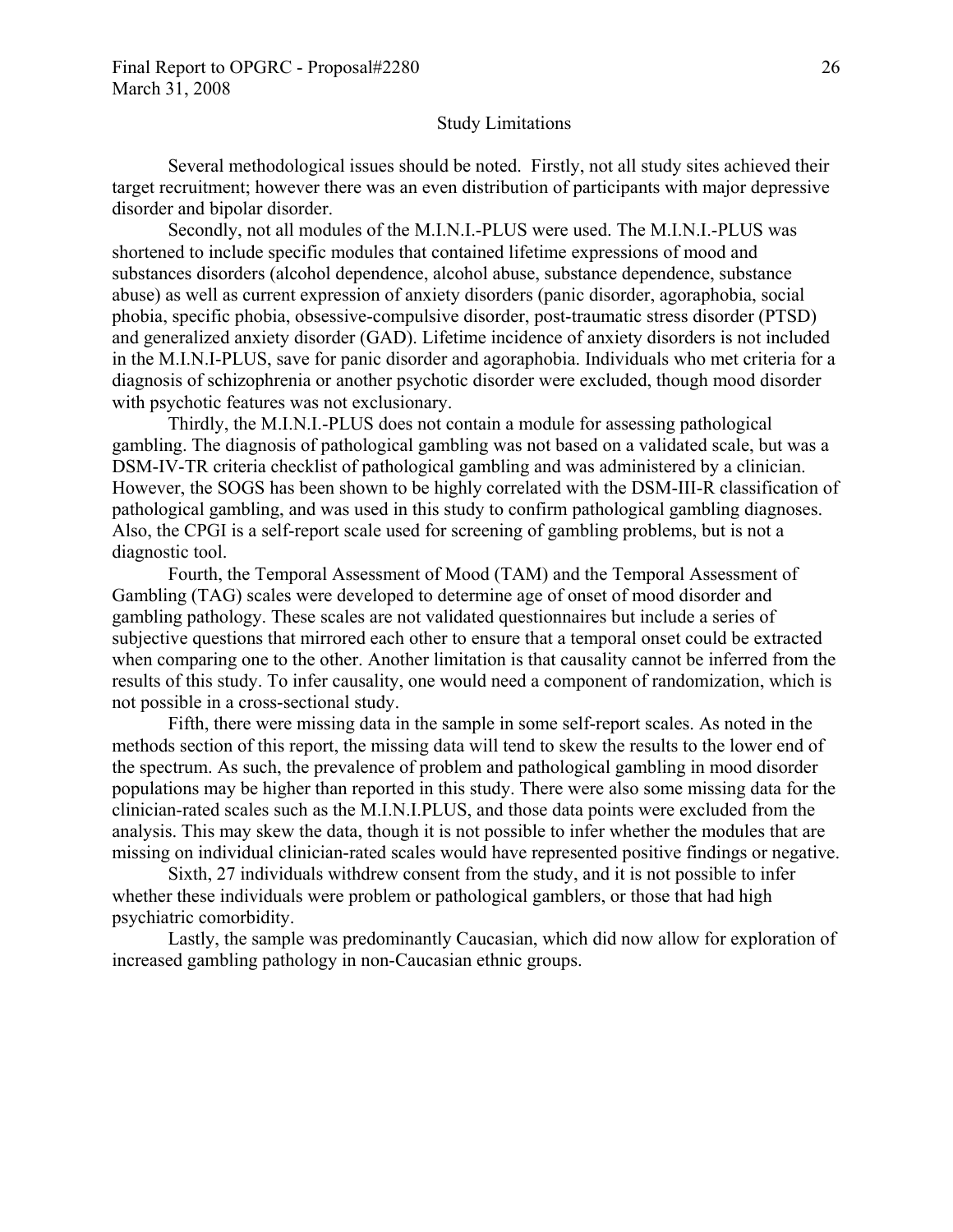#### Study Limitations

Several methodological issues should be noted. Firstly, not all study sites achieved their target recruitment; however there was an even distribution of participants with major depressive disorder and bipolar disorder.

Secondly, not all modules of the M.I.N.I.-PLUS were used. The M.I.N.I.-PLUS was shortened to include specific modules that contained lifetime expressions of mood and substances disorders (alcohol dependence, alcohol abuse, substance dependence, substance abuse) as well as current expression of anxiety disorders (panic disorder, agoraphobia, social phobia, specific phobia, obsessive-compulsive disorder, post-traumatic stress disorder (PTSD) and generalized anxiety disorder (GAD). Lifetime incidence of anxiety disorders is not included in the M.I.N.I-PLUS, save for panic disorder and agoraphobia. Individuals who met criteria for a diagnosis of schizophrenia or another psychotic disorder were excluded, though mood disorder with psychotic features was not exclusionary.

Thirdly, the M.I.N.I.-PLUS does not contain a module for assessing pathological gambling. The diagnosis of pathological gambling was not based on a validated scale, but was a DSM-IV-TR criteria checklist of pathological gambling and was administered by a clinician. However, the SOGS has been shown to be highly correlated with the DSM-III-R classification of pathological gambling, and was used in this study to confirm pathological gambling diagnoses. Also, the CPGI is a self-report scale used for screening of gambling problems, but is not a diagnostic tool.

Fourth, the Temporal Assessment of Mood (TAM) and the Temporal Assessment of Gambling (TAG) scales were developed to determine age of onset of mood disorder and gambling pathology. These scales are not validated questionnaires but include a series of subjective questions that mirrored each other to ensure that a temporal onset could be extracted when comparing one to the other. Another limitation is that causality cannot be inferred from the results of this study. To infer causality, one would need a component of randomization, which is not possible in a cross-sectional study.

Fifth, there were missing data in the sample in some self-report scales. As noted in the methods section of this report, the missing data will tend to skew the results to the lower end of the spectrum. As such, the prevalence of problem and pathological gambling in mood disorder populations may be higher than reported in this study. There were also some missing data for the clinician-rated scales such as the M.I.N.I.PLUS, and those data points were excluded from the analysis. This may skew the data, though it is not possible to infer whether the modules that are missing on individual clinician-rated scales would have represented positive findings or negative.

Sixth, 27 individuals withdrew consent from the study, and it is not possible to infer whether these individuals were problem or pathological gamblers, or those that had high psychiatric comorbidity.

Lastly, the sample was predominantly Caucasian, which did now allow for exploration of increased gambling pathology in non-Caucasian ethnic groups.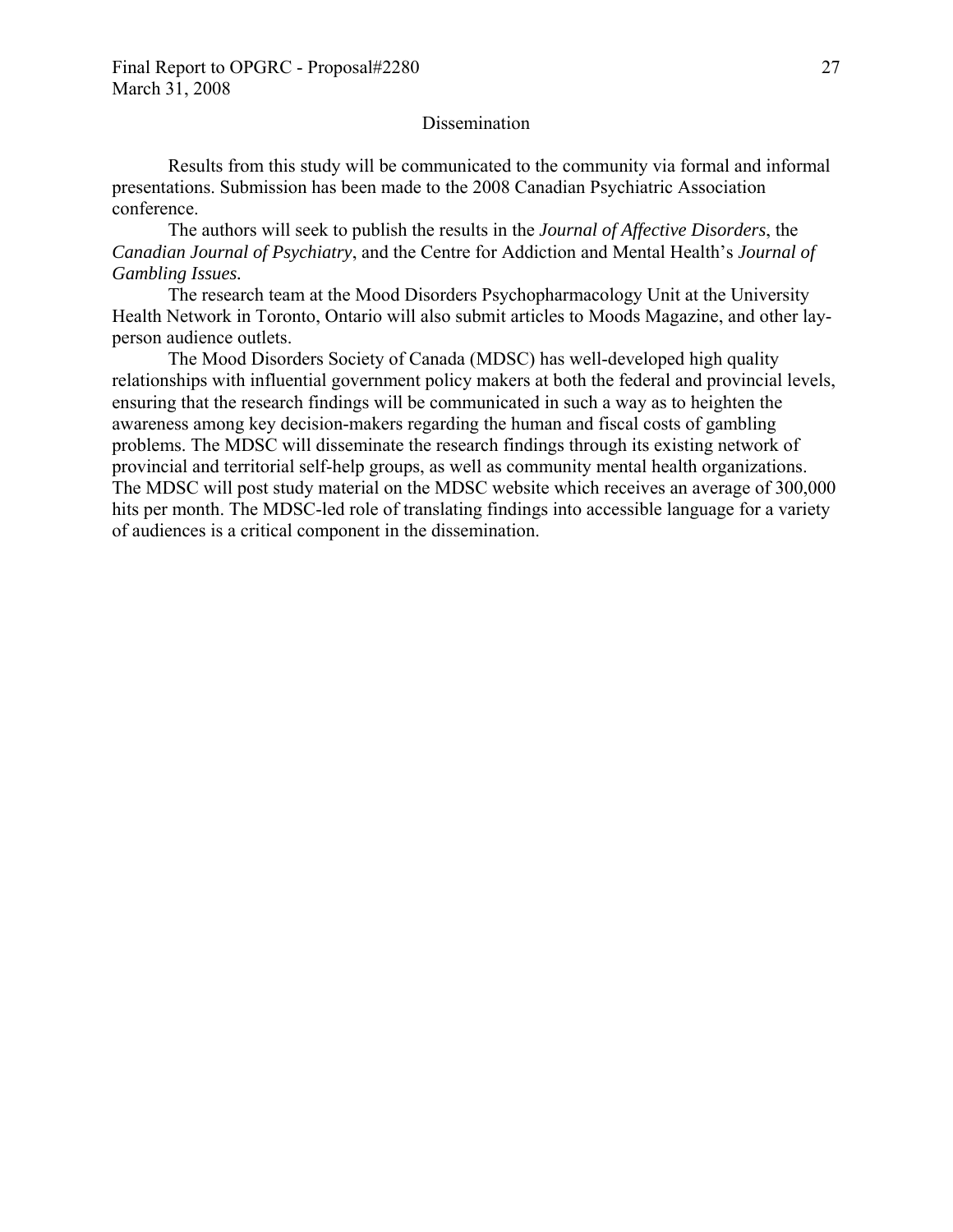## **Dissemination**

 Results from this study will be communicated to the community via formal and informal presentations. Submission has been made to the 2008 Canadian Psychiatric Association conference.

The authors will seek to publish the results in the *Journal of Affective Disorders*, the *Canadian Journal of Psychiatry*, and the Centre for Addiction and Mental Health's *Journal of Gambling Issues.*

 The research team at the Mood Disorders Psychopharmacology Unit at the University Health Network in Toronto, Ontario will also submit articles to Moods Magazine, and other layperson audience outlets.

 The Mood Disorders Society of Canada (MDSC) has well-developed high quality relationships with influential government policy makers at both the federal and provincial levels, ensuring that the research findings will be communicated in such a way as to heighten the awareness among key decision-makers regarding the human and fiscal costs of gambling problems. The MDSC will disseminate the research findings through its existing network of provincial and territorial self-help groups, as well as community mental health organizations. The MDSC will post study material on the MDSC website which receives an average of 300,000 hits per month. The MDSC-led role of translating findings into accessible language for a variety of audiences is a critical component in the dissemination.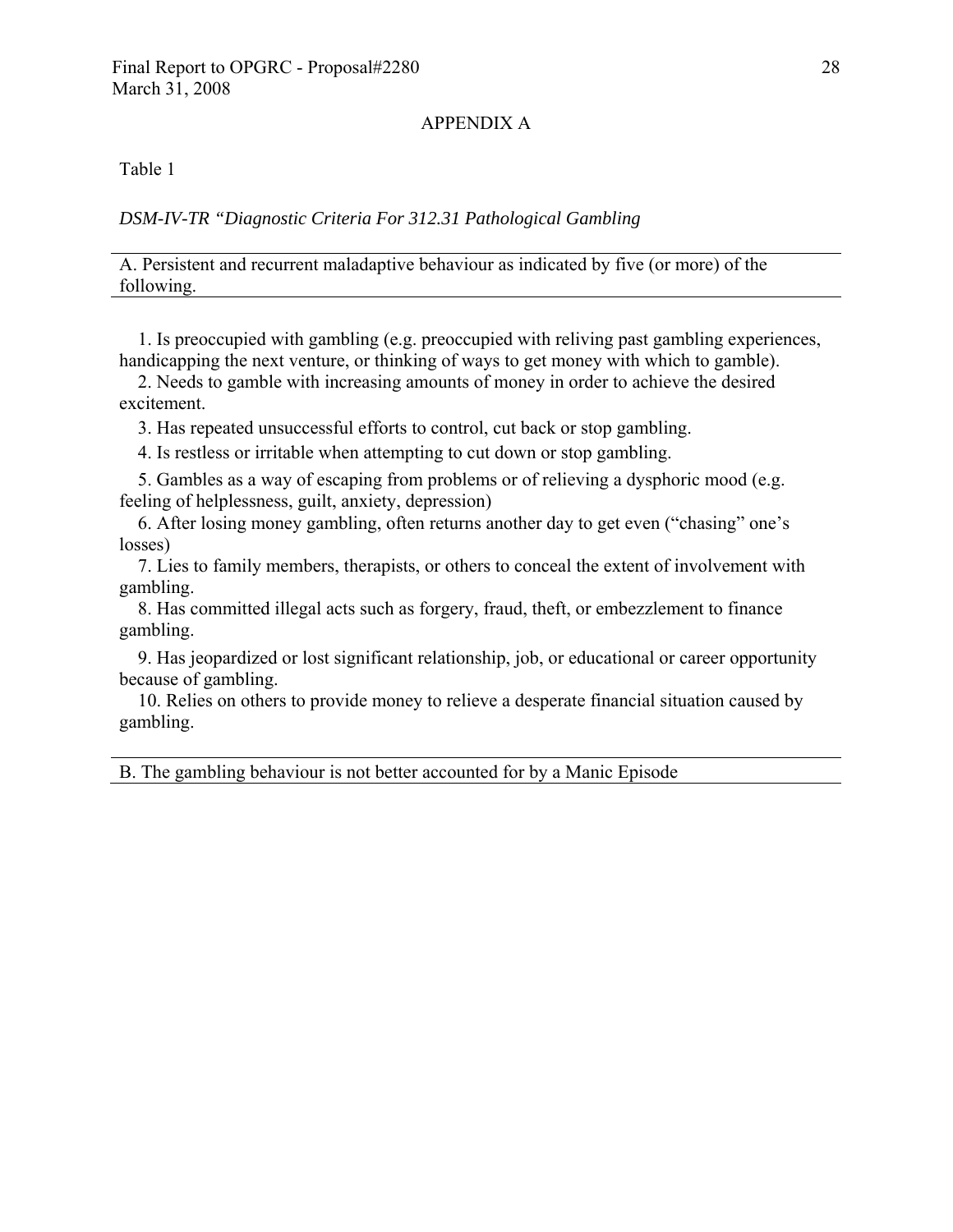#### APPENDIX A

Table 1

### *DSM-IV-TR "Diagnostic Criteria For 312.31 Pathological Gambling*

A. Persistent and recurrent maladaptive behaviour as indicated by five (or more) of the following.

1. Is preoccupied with gambling (e.g. preoccupied with reliving past gambling experiences, handicapping the next venture, or thinking of ways to get money with which to gamble).

2. Needs to gamble with increasing amounts of money in order to achieve the desired excitement.

3. Has repeated unsuccessful efforts to control, cut back or stop gambling.

4. Is restless or irritable when attempting to cut down or stop gambling.

5. Gambles as a way of escaping from problems or of relieving a dysphoric mood (e.g. feeling of helplessness, guilt, anxiety, depression)

6. After losing money gambling, often returns another day to get even ("chasing" one's losses)

7. Lies to family members, therapists, or others to conceal the extent of involvement with gambling.

8. Has committed illegal acts such as forgery, fraud, theft, or embezzlement to finance gambling.

9. Has jeopardized or lost significant relationship, job, or educational or career opportunity because of gambling.

10. Relies on others to provide money to relieve a desperate financial situation caused by gambling.

B. The gambling behaviour is not better accounted for by a Manic Episode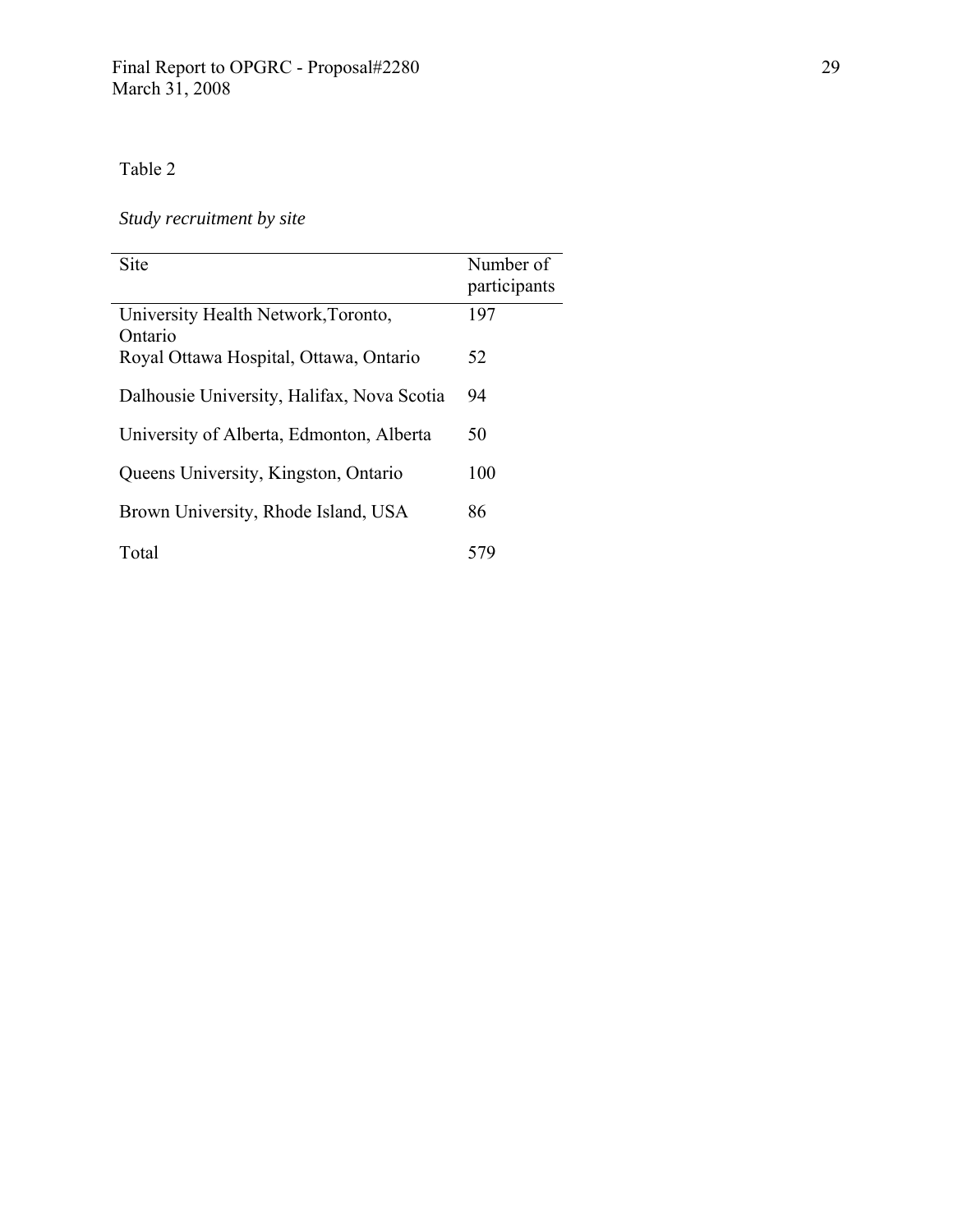# *Study recruitment by site*

| <b>Site</b>                                    | Number of<br>participants |
|------------------------------------------------|---------------------------|
| University Health Network, Toronto,<br>Ontario | 197                       |
| Royal Ottawa Hospital, Ottawa, Ontario         | 52                        |
| Dalhousie University, Halifax, Nova Scotia     | 94                        |
| University of Alberta, Edmonton, Alberta       | 50                        |
| Queens University, Kingston, Ontario           | 100                       |
| Brown University, Rhode Island, USA            | 86                        |
| Total                                          | 579                       |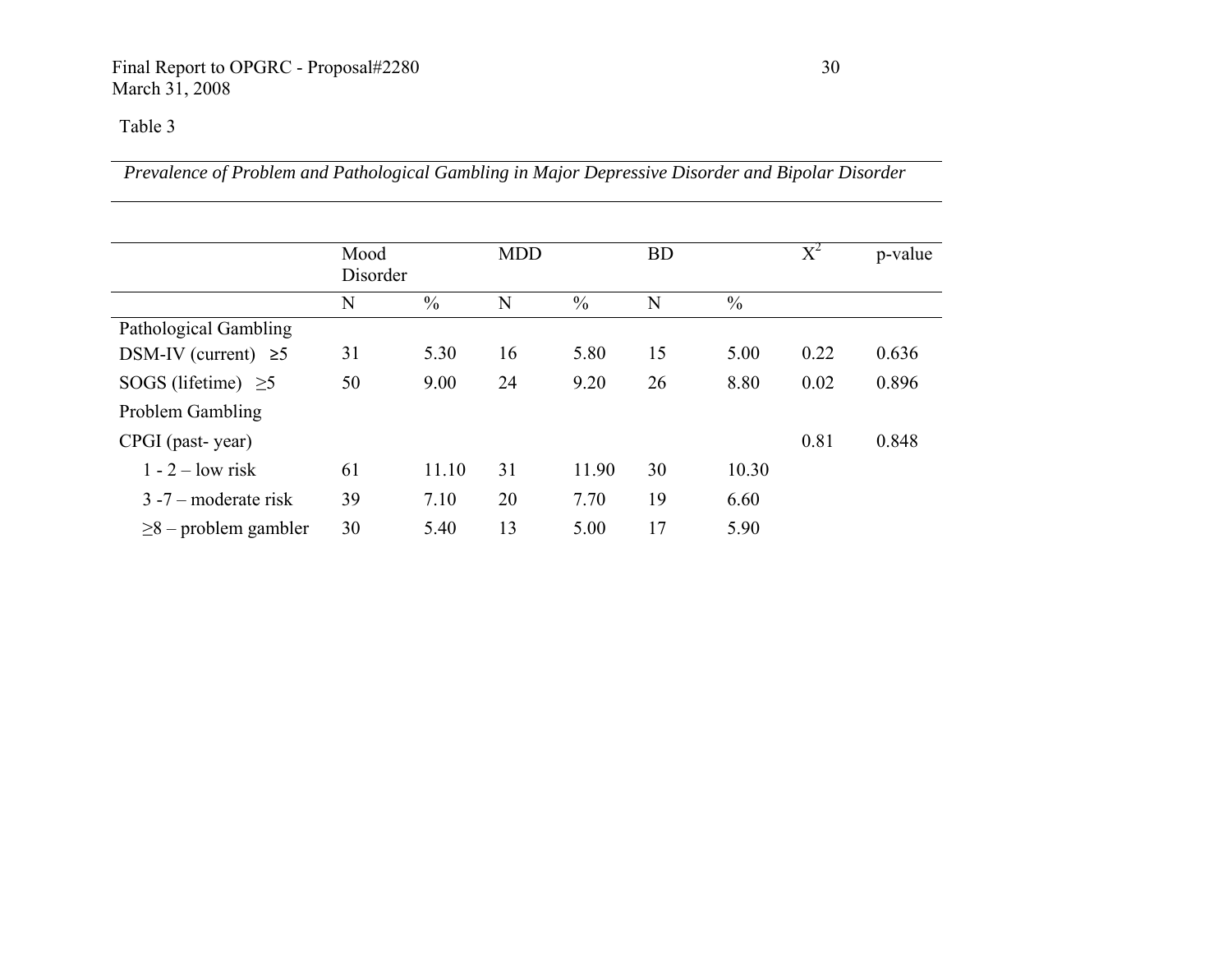*Prevalence of Problem and Pathological Gambling in Major Depressive Disorder and Bipolar Disorder* 

|                            | Mood     |               | <b>MDD</b> |               | <b>BD</b> |               | $\mathrm{X}^2$ | p-value |
|----------------------------|----------|---------------|------------|---------------|-----------|---------------|----------------|---------|
|                            | Disorder |               |            |               |           |               |                |         |
|                            | N        | $\frac{0}{0}$ | N          | $\frac{0}{0}$ | N         | $\frac{0}{0}$ |                |         |
| Pathological Gambling      |          |               |            |               |           |               |                |         |
| DSM-IV (current) $\geq 5$  | 31       | 5.30          | 16         | 5.80          | 15        | 5.00          | 0.22           | 0.636   |
| SOGS (lifetime) $\geq$ 5   | 50       | 9.00          | 24         | 9.20          | 26        | 8.80          | 0.02           | 0.896   |
| Problem Gambling           |          |               |            |               |           |               |                |         |
| CPGI (past-year)           |          |               |            |               |           |               | 0.81           | 0.848   |
| $1 - 2 - low risk$         | 61       | 11.10         | 31         | 11.90         | 30        | 10.30         |                |         |
| $3 - 7$ – moderate risk    | 39       | 7.10          | 20         | 7.70          | 19        | 6.60          |                |         |
| $\geq$ 8 – problem gambler | 30       | 5.40          | 13         | 5.00          | 17        | 5.90          |                |         |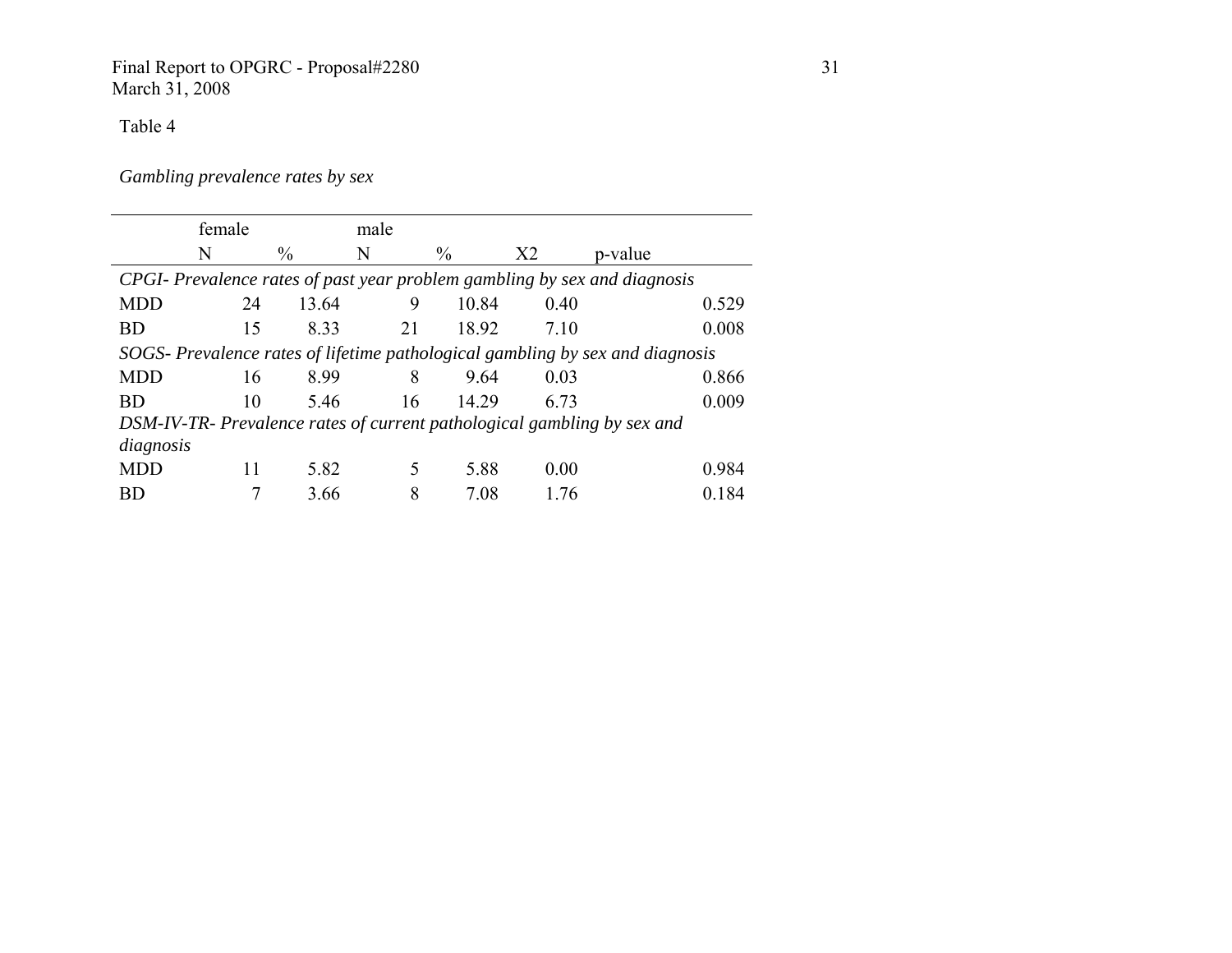### Final Report to OPGRC - Proposal#2280 31 March 31, 2008

Table 4

*Gambling prevalence rates by sex* 

|                                                                              | female |               | male |               |                |                                                                           |       |  |  |  |
|------------------------------------------------------------------------------|--------|---------------|------|---------------|----------------|---------------------------------------------------------------------------|-------|--|--|--|
|                                                                              | N      | $\frac{0}{0}$ | N    | $\frac{0}{0}$ | X <sub>2</sub> | p-value                                                                   |       |  |  |  |
|                                                                              |        |               |      |               |                | CPGI- Prevalence rates of past year problem gambling by sex and diagnosis |       |  |  |  |
| <b>MDD</b>                                                                   | 24     | 13.64         | 9    | 10.84         | 0.40           |                                                                           | 0.529 |  |  |  |
| <b>BD</b>                                                                    | 15     | 8.33          | 21   | 18.92         | 7.10           |                                                                           | 0.008 |  |  |  |
| SOGS-Prevalence rates of lifetime pathological gambling by sex and diagnosis |        |               |      |               |                |                                                                           |       |  |  |  |
| <b>MDD</b>                                                                   | 16     | 8.99          | 8    | 9.64          | 0.03           |                                                                           | 0.866 |  |  |  |
| <b>BD</b>                                                                    | 10     | 5.46          | 16   | 14.29         | 6.73           |                                                                           | 0.009 |  |  |  |
|                                                                              |        |               |      |               |                | DSM-IV-TR- Prevalence rates of current pathological gambling by sex and   |       |  |  |  |
| diagnosis                                                                    |        |               |      |               |                |                                                                           |       |  |  |  |
| <b>MDD</b>                                                                   | 11     | 5.82          | 5    | 5.88          | 0.00           |                                                                           | 0.984 |  |  |  |
| BD                                                                           |        | 3.66          | 8    | 7.08          | 1.76           |                                                                           | 0.184 |  |  |  |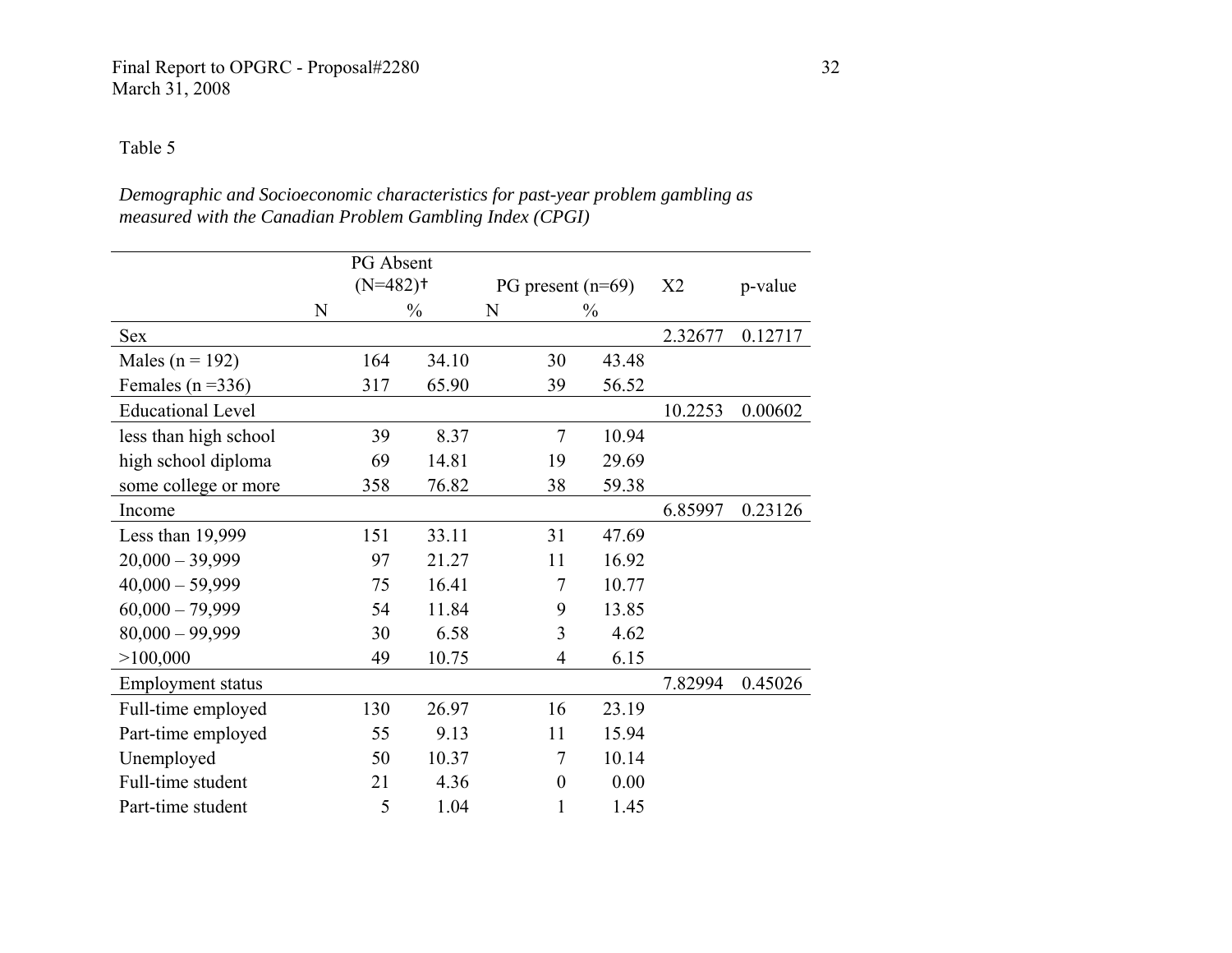### Final Report to OPGRC - Proposal#2280 32 March 31, 2008

## Table 5

## *Demographic and Socioeconomic characteristics for past-year problem gambling as measured with the Canadian Problem Gambling Index (CPGI)*

|                          |   | PG Absent              |               |                  |                     |                |         |
|--------------------------|---|------------------------|---------------|------------------|---------------------|----------------|---------|
|                          |   | $(N=482)$ <sup>+</sup> |               |                  | PG present $(n=69)$ | X <sub>2</sub> | p-value |
|                          | N |                        | $\frac{0}{0}$ | N                | $\frac{0}{0}$       |                |         |
| <b>Sex</b>               |   |                        |               |                  |                     | 2.32677        | 0.12717 |
| Males ( $n = 192$ )      |   | 164                    | 34.10         | 30               | 43.48               |                |         |
| Females ( $n = 336$ )    |   | 317                    | 65.90         | 39               | 56.52               |                |         |
| <b>Educational Level</b> |   |                        |               |                  |                     | 10.2253        | 0.00602 |
| less than high school    |   | 39                     | 8.37          | 7                | 10.94               |                |         |
| high school diploma      |   | 69                     | 14.81         | 19               | 29.69               |                |         |
| some college or more     |   | 358                    | 76.82         | 38               | 59.38               |                |         |
| Income                   |   |                        |               |                  |                     | 6.85997        | 0.23126 |
| Less than 19,999         |   | 151                    | 33.11         | 31               | 47.69               |                |         |
| $20,000 - 39,999$        |   | 97                     | 21.27         | 11               | 16.92               |                |         |
| $40,000 - 59,999$        |   | 75                     | 16.41         | 7                | 10.77               |                |         |
| $60,000 - 79,999$        |   | 54                     | 11.84         | 9                | 13.85               |                |         |
| $80,000 - 99,999$        |   | 30                     | 6.58          | 3                | 4.62                |                |         |
| >100,000                 |   | 49                     | 10.75         | 4                | 6.15                |                |         |
| <b>Employment status</b> |   |                        |               |                  |                     | 7.82994        | 0.45026 |
| Full-time employed       |   | 130                    | 26.97         | 16               | 23.19               |                |         |
| Part-time employed       |   | 55                     | 9.13          | 11               | 15.94               |                |         |
| Unemployed               |   | 50                     | 10.37         | 7                | 10.14               |                |         |
| Full-time student        |   | 21                     | 4.36          | $\boldsymbol{0}$ | 0.00                |                |         |
| Part-time student        |   | 5                      | 1.04          |                  | 1.45                |                |         |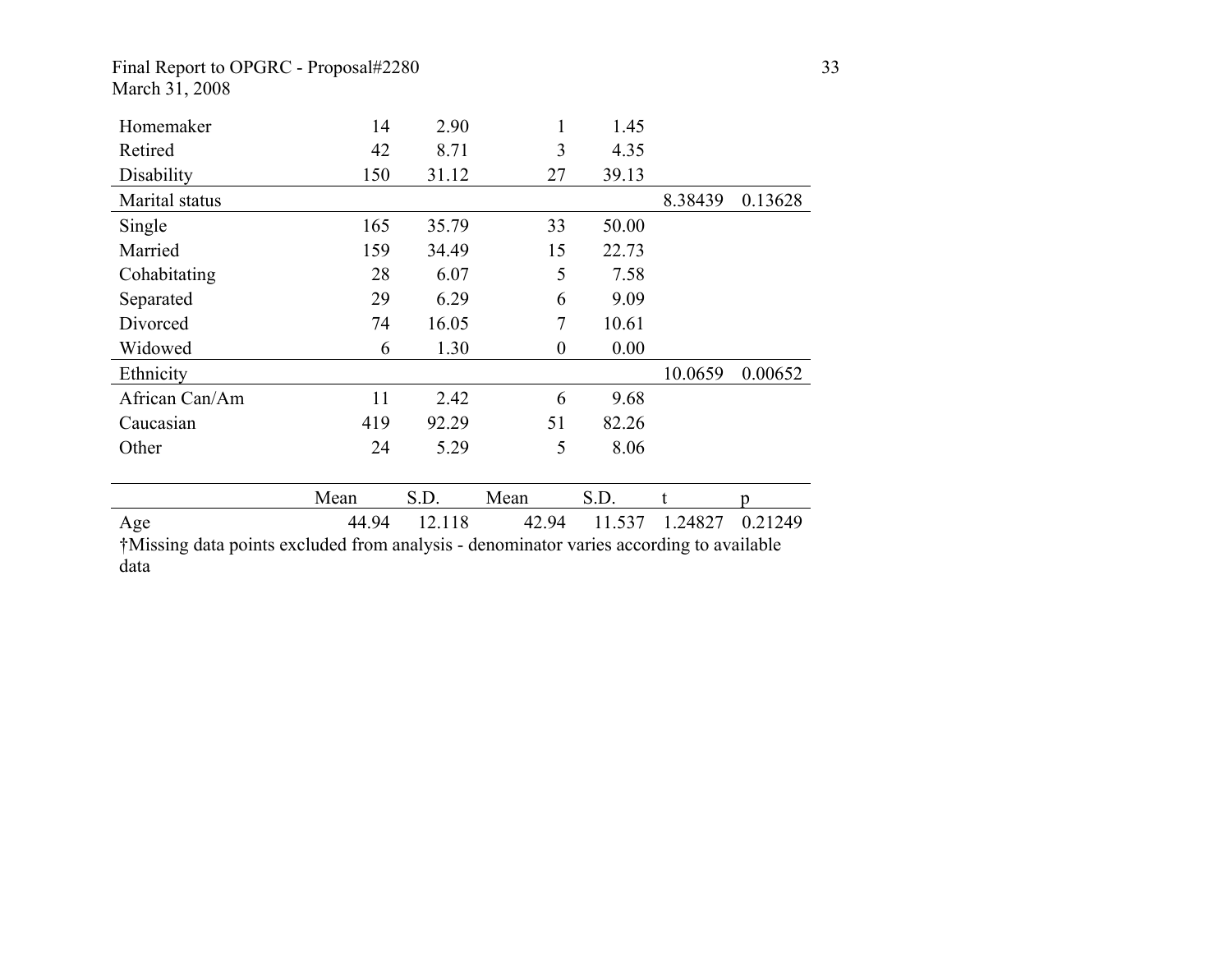### Final Report to OPGRC - Proposal#2280 33 March 31, 2008

| Homemaker      | 14    | 2.90   | 1        | 1.45   |         |         |
|----------------|-------|--------|----------|--------|---------|---------|
| Retired        | 42    | 8.71   | 3        | 4.35   |         |         |
| Disability     | 150   | 31.12  | 27       | 39.13  |         |         |
| Marital status |       |        |          |        | 8.38439 | 0.13628 |
| Single         | 165   | 35.79  | 33       | 50.00  |         |         |
| Married        | 159   | 34.49  | 15       | 22.73  |         |         |
| Cohabitating   | 28    | 6.07   | 5        | 7.58   |         |         |
| Separated      | 29    | 6.29   | 6        | 9.09   |         |         |
| Divorced       | 74    | 16.05  | 7        | 10.61  |         |         |
| Widowed        | 6     | 1.30   | $\theta$ | 0.00   |         |         |
| Ethnicity      |       |        |          |        | 10.0659 | 0.00652 |
| African Can/Am | 11    | 2.42   | 6        | 9.68   |         |         |
| Caucasian      | 419   | 92.29  | 51       | 82.26  |         |         |
| Other          | 24    | 5.29   | 5        | 8.06   |         |         |
|                |       |        |          |        |         |         |
|                |       |        |          |        |         |         |
|                | Mean  | S.D.   | Mean     | S.D.   |         | n       |
| Age            | 44.94 | 12.118 | 42.94    | 11.537 | 1.24827 | 0.21249 |

data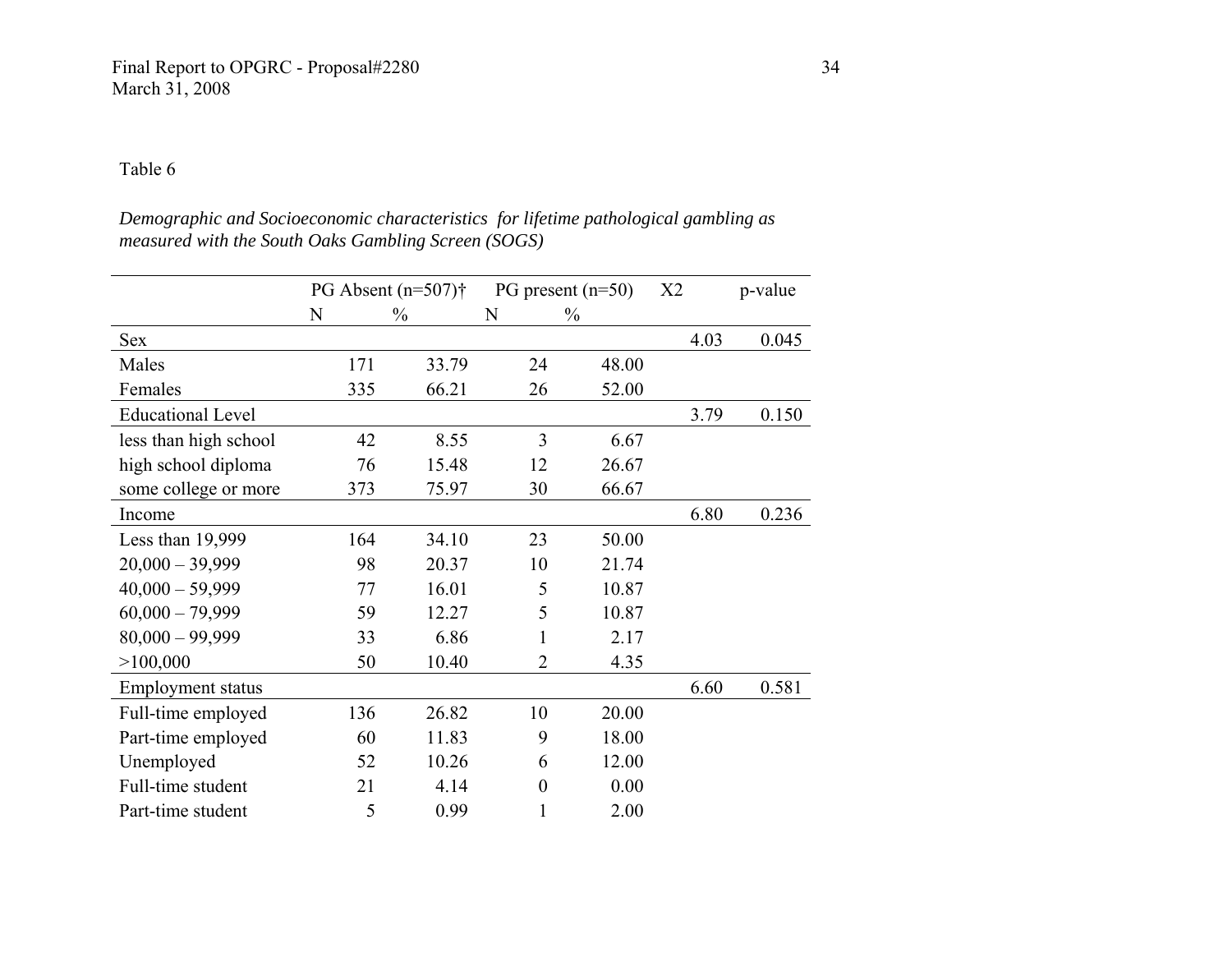*Demographic and Socioeconomic characteristics for lifetime pathological gambling as measured with the South Oaks Gambling Screen (SOGS)* 

|                          |     | PG Absent $(n=507)$ † |                | $PG$ present ( $n=50$ ) | X2   | p-value |
|--------------------------|-----|-----------------------|----------------|-------------------------|------|---------|
|                          | N   | $\frac{0}{0}$         | N              | $\frac{0}{0}$           |      |         |
| Sex                      |     |                       |                |                         | 4.03 | 0.045   |
| Males                    | 171 | 33.79                 | 24             | 48.00                   |      |         |
| Females                  | 335 | 66.21                 | 26             | 52.00                   |      |         |
| <b>Educational Level</b> |     |                       |                |                         | 3.79 | 0.150   |
| less than high school    | 42  | 8.55                  | $\overline{3}$ | 6.67                    |      |         |
| high school diploma      | 76  | 15.48                 | 12             | 26.67                   |      |         |
| some college or more     | 373 | 75.97                 | 30             | 66.67                   |      |         |
| Income                   |     |                       |                |                         | 6.80 | 0.236   |
| Less than 19,999         | 164 | 34.10                 | 23             | 50.00                   |      |         |
| $20,000 - 39,999$        | 98  | 20.37                 | 10             | 21.74                   |      |         |
| $40,000 - 59,999$        | 77  | 16.01                 | 5              | 10.87                   |      |         |
| $60,000 - 79,999$        | 59  | 12.27                 | 5              | 10.87                   |      |         |
| $80,000 - 99,999$        | 33  | 6.86                  | 1              | 2.17                    |      |         |
| >100,000                 | 50  | 10.40                 | $\overline{2}$ | 4.35                    |      |         |
| <b>Employment status</b> |     |                       |                |                         | 6.60 | 0.581   |
| Full-time employed       | 136 | 26.82                 | 10             | 20.00                   |      |         |
| Part-time employed       | 60  | 11.83                 | 9              | 18.00                   |      |         |
| Unemployed               | 52  | 10.26                 | 6              | 12.00                   |      |         |
| Full-time student        | 21  | 4.14                  | $\theta$       | 0.00                    |      |         |
| Part-time student        | 5   | 0.99                  |                | 2.00                    |      |         |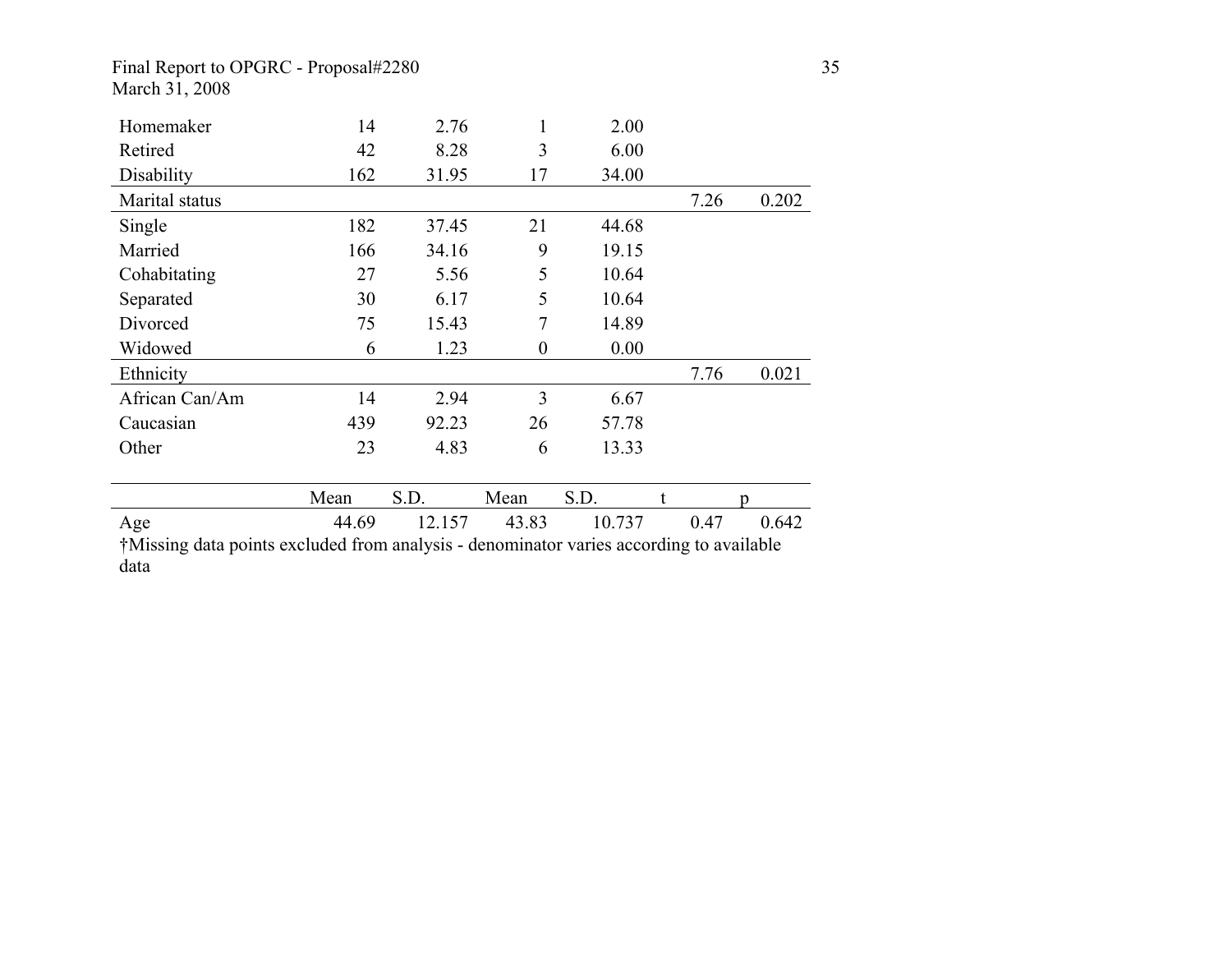## Final Report to OPGRC - Proposal#2280 35 March 31, 2008

| Homemaker                                                                               | 14    | 2.76   | 1                | 2.00   |      |       |
|-----------------------------------------------------------------------------------------|-------|--------|------------------|--------|------|-------|
| Retired                                                                                 | 42    | 8.28   | 3                | 6.00   |      |       |
| Disability                                                                              | 162   | 31.95  | 17               | 34.00  |      |       |
| Marital status                                                                          |       |        |                  |        | 7.26 | 0.202 |
| Single                                                                                  | 182   | 37.45  | 21               | 44.68  |      |       |
| Married                                                                                 | 166   | 34.16  | 9                | 19.15  |      |       |
| Cohabitating                                                                            | 27    | 5.56   | 5                | 10.64  |      |       |
| Separated                                                                               | 30    | 6.17   | 5                | 10.64  |      |       |
| Divorced                                                                                | 75    | 15.43  | 7                | 14.89  |      |       |
| Widowed                                                                                 | 6     | 1.23   | $\boldsymbol{0}$ | 0.00   |      |       |
| Ethnicity                                                                               |       |        |                  |        | 7.76 | 0.021 |
| African Can/Am                                                                          | 14    | 2.94   | 3                | 6.67   |      |       |
| Caucasian                                                                               | 439   | 92.23  | 26               | 57.78  |      |       |
| Other                                                                                   | 23    | 4.83   | 6                | 13.33  |      |       |
|                                                                                         | Mean  | S.D.   | Mean             | S.D.   |      | n     |
| Age                                                                                     | 44.69 | 12.157 | 43.83            | 10.737 | 0.47 | 0.642 |
| †Missing data points excluded from analysis - denominator varies according to available |       |        |                  |        |      |       |

data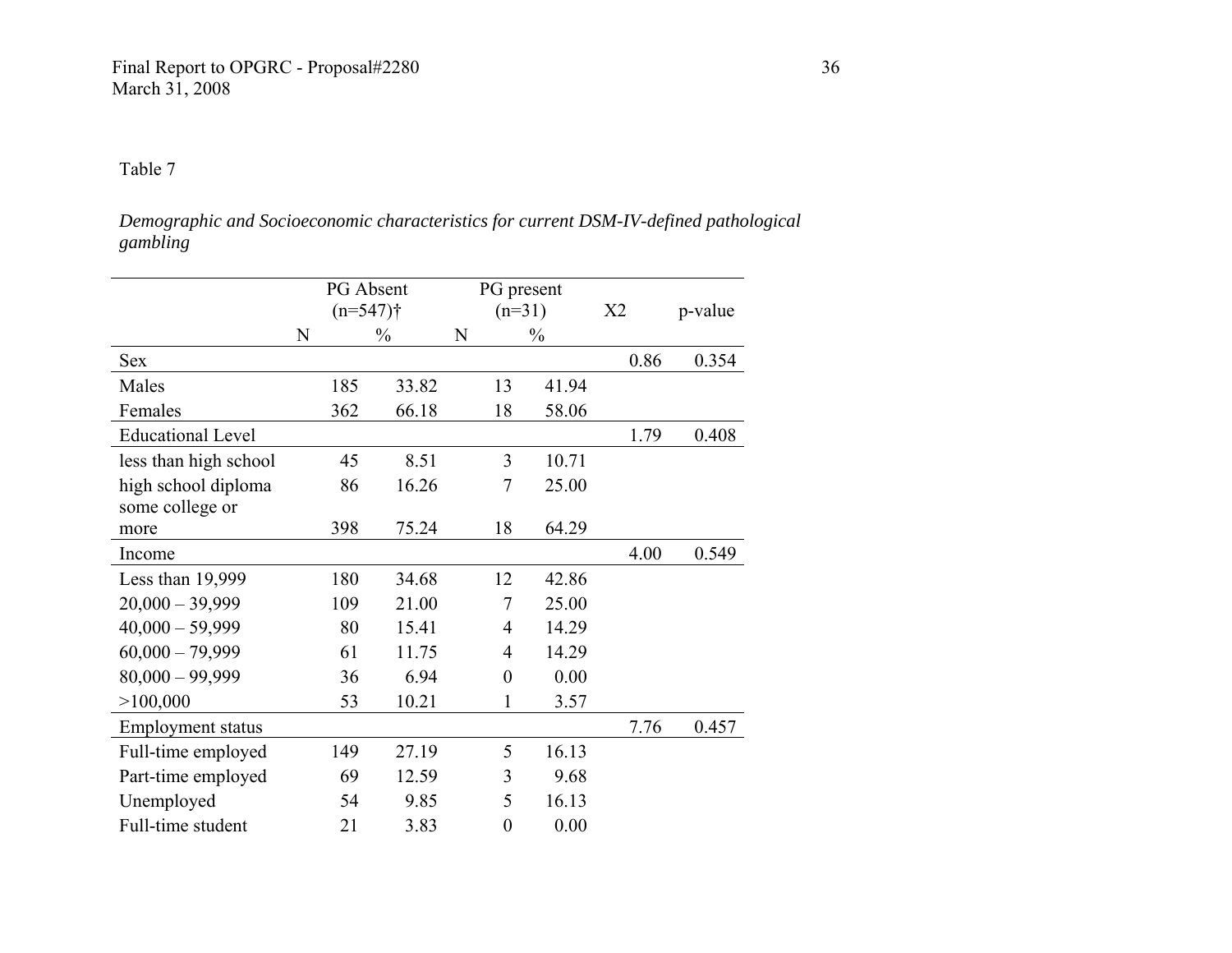*Demographic and Socioeconomic characteristics for current DSM-IV-defined pathological gambling* 

|                          |             | PG Absent<br>$(n=547)$ † |               |   | PG present<br>$(n=31)$ |               | X2   | p-value |
|--------------------------|-------------|--------------------------|---------------|---|------------------------|---------------|------|---------|
|                          | $\mathbf N$ |                          | $\frac{0}{0}$ | N |                        | $\frac{0}{0}$ |      |         |
| Sex                      |             |                          |               |   |                        |               | 0.86 | 0.354   |
| Males                    |             | 185                      | 33.82         |   | 13                     | 41.94         |      |         |
| Females                  |             | 362                      | 66.18         |   | 18                     | 58.06         |      |         |
| <b>Educational Level</b> |             |                          |               |   |                        |               | 1.79 | 0.408   |
| less than high school    |             | 45                       | 8.51          |   | 3                      | 10.71         |      |         |
| high school diploma      |             | 86                       | 16.26         |   | 7                      | 25.00         |      |         |
| some college or<br>more  |             | 398                      | 75.24         |   | 18                     | 64.29         |      |         |
| Income                   |             |                          |               |   |                        |               | 4.00 | 0.549   |
| Less than 19,999         |             | 180                      | 34.68         |   | 12                     | 42.86         |      |         |
| $20,000 - 39,999$        |             | 109                      | 21.00         |   | 7                      | 25.00         |      |         |
| $40,000 - 59,999$        |             | 80                       | 15.41         |   | 4                      | 14.29         |      |         |
| $60,000 - 79,999$        |             | 61                       | 11.75         |   | 4                      | 14.29         |      |         |
| $80,000 - 99,999$        |             | 36                       | 6.94          |   | $\boldsymbol{0}$       | 0.00          |      |         |
| >100,000                 |             | 53                       | 10.21         |   | 1                      | 3.57          |      |         |
| <b>Employment status</b> |             |                          |               |   |                        |               | 7.76 | 0.457   |
| Full-time employed       |             | 149                      | 27.19         |   | 5                      | 16.13         |      |         |
| Part-time employed       |             | 69                       | 12.59         |   | 3                      | 9.68          |      |         |
| Unemployed               |             | 54                       | 9.85          |   | 5                      | 16.13         |      |         |
| Full-time student        |             | 21                       | 3.83          |   | $\overline{0}$         | 0.00          |      |         |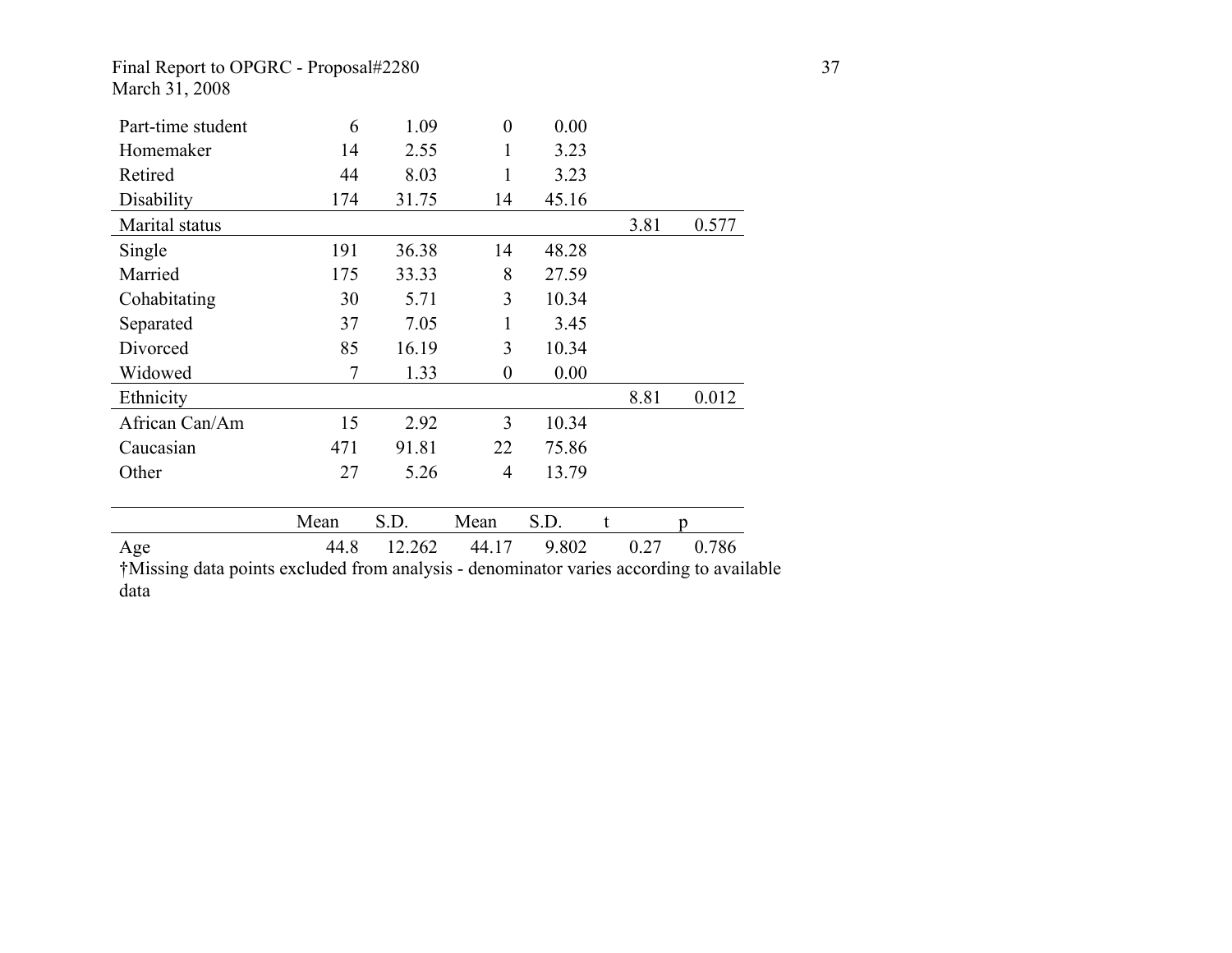## Final Report to OPGRC - Proposal#2280 37 March 31, 2008

| Part-time student                                                                   | 6              | 1.09   | $\boldsymbol{0}$ | 0.00  |   |      |       |
|-------------------------------------------------------------------------------------|----------------|--------|------------------|-------|---|------|-------|
| Homemaker                                                                           | 14             | 2.55   | 1                | 3.23  |   |      |       |
| Retired                                                                             | 44             | 8.03   | 1                | 3.23  |   |      |       |
| Disability                                                                          | 174            | 31.75  | 14               | 45.16 |   |      |       |
| Marital status                                                                      |                |        |                  |       |   | 3.81 | 0.577 |
| Single                                                                              | 191            | 36.38  | 14               | 48.28 |   |      |       |
| Married                                                                             | 175            | 33.33  | 8                | 27.59 |   |      |       |
| Cohabitating                                                                        | 30             | 5.71   | 3                | 10.34 |   |      |       |
| Separated                                                                           | 37             | 7.05   | 1                | 3.45  |   |      |       |
| Divorced                                                                            | 85             | 16.19  | 3                | 10.34 |   |      |       |
| Widowed                                                                             | $\overline{7}$ | 1.33   | $\boldsymbol{0}$ | 0.00  |   |      |       |
| Ethnicity                                                                           |                |        |                  |       |   | 8.81 | 0.012 |
| African Can/Am                                                                      | 15             | 2.92   | 3                | 10.34 |   |      |       |
| Caucasian                                                                           | 471            | 91.81  | 22               | 75.86 |   |      |       |
| Other                                                                               | 27             | 5.26   | $\overline{4}$   | 13.79 |   |      |       |
|                                                                                     |                |        |                  |       |   |      |       |
|                                                                                     | Mean           | S.D.   | Mean             | S.D.  | t |      |       |
| Age                                                                                 | 44.8           | 12.262 | 44.17            | 9.802 |   | 0.27 | 0.786 |
| *Missing data points excluded from analysis - denominator varies according to avail |                |        |                  |       |   |      |       |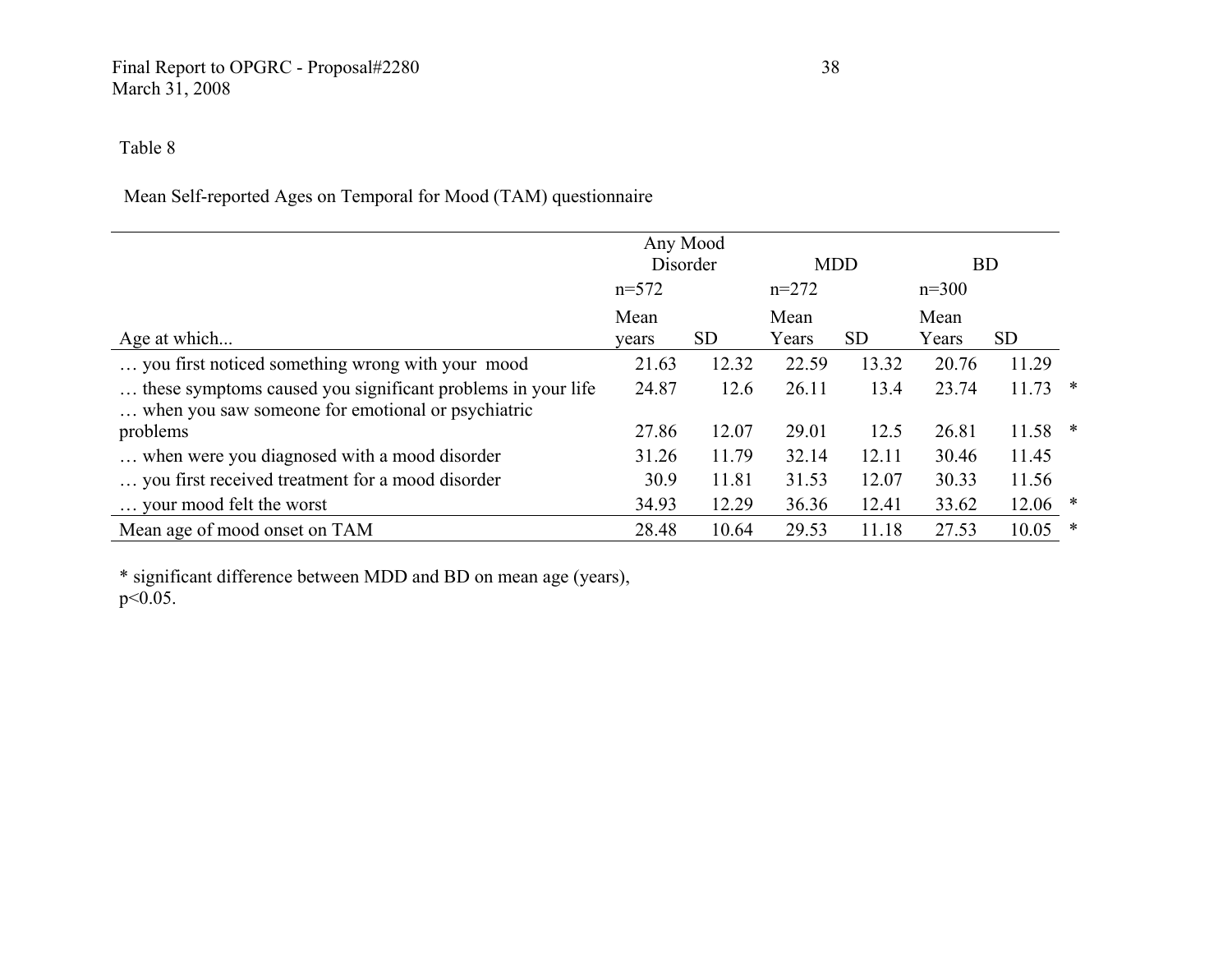## Final Report to OPGRC - Proposal#2280 38 March 31, 2008

## Table 8

## Mean Self-reported Ages on Temporal for Mood (TAM) questionnaire

|                                                                                                                  |         | Any Mood<br>Disorder |         | <b>MDD</b> |         | <b>BD</b> |        |
|------------------------------------------------------------------------------------------------------------------|---------|----------------------|---------|------------|---------|-----------|--------|
|                                                                                                                  | $n=572$ |                      | $n=272$ |            | $n=300$ |           |        |
|                                                                                                                  | Mean    |                      | Mean    |            | Mean    |           |        |
| Age at which                                                                                                     | vears   | <b>SD</b>            | Years   | <b>SD</b>  | Years   | <b>SD</b> |        |
| you first noticed something wrong with your mood                                                                 | 21.63   | 12.32                | 22.59   | 13.32      | 20.76   | 11.29     |        |
| these symptoms caused you significant problems in your life<br>when you saw someone for emotional or psychiatric | 24.87   | 12.6                 | 26.11   | 13.4       | 23.74   | $11.73$ * |        |
| problems                                                                                                         | 27.86   | 12.07                | 29.01   | 12.5       | 26.81   | $11.58$ * |        |
| when were you diagnosed with a mood disorder                                                                     | 31.26   | 11.79                | 32.14   | 12.11      | 30.46   | 11.45     |        |
| you first received treatment for a mood disorder                                                                 | 30.9    | 11.81                | 31.53   | 12.07      | 30.33   | 11.56     |        |
| your mood felt the worst                                                                                         | 34.93   | 12.29                | 36.36   | 12.41      | 33.62   | $12.06$ * |        |
| Mean age of mood onset on TAM                                                                                    | 28.48   | 10.64                | 29.53   | 11.18      | 27.53   | 10.05     | $\ast$ |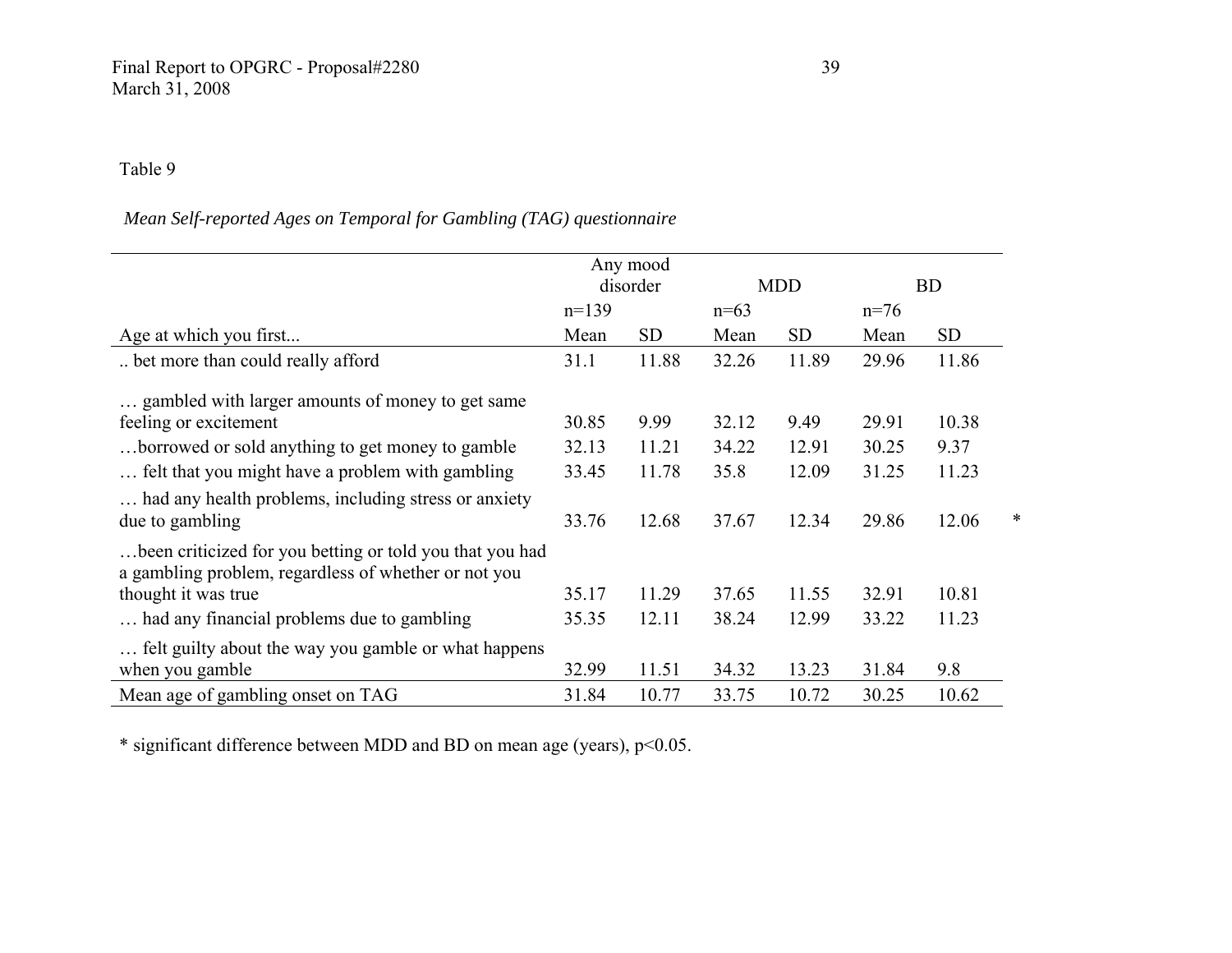## *Mean Self-reported Ages on Temporal for Gambling (TAG) questionnaire*

|                                                                                                                  | Any mood<br>disorder |           | <b>MDD</b> |           | <b>BD</b> |           |   |
|------------------------------------------------------------------------------------------------------------------|----------------------|-----------|------------|-----------|-----------|-----------|---|
|                                                                                                                  | $n=139$              |           | $n=63$     |           | $n=76$    |           |   |
| Age at which you first                                                                                           | Mean                 | <b>SD</b> | Mean       | <b>SD</b> | Mean      | <b>SD</b> |   |
| bet more than could really afford                                                                                | 31.1                 | 11.88     | 32.26      | 11.89     | 29.96     | 11.86     |   |
| gambled with larger amounts of money to get same                                                                 |                      |           |            |           |           |           |   |
| feeling or excitement                                                                                            | 30.85                | 9.99      | 32.12      | 9.49      | 29.91     | 10.38     |   |
| borrowed or sold anything to get money to gamble.                                                                | 32.13                | 11.21     | 34.22      | 12.91     | 30.25     | 9.37      |   |
| felt that you might have a problem with gambling                                                                 | 33.45                | 11.78     | 35.8       | 12.09     | 31.25     | 11.23     |   |
| had any health problems, including stress or anxiety                                                             |                      |           |            |           |           |           |   |
| due to gambling                                                                                                  | 33.76                | 12.68     | 37.67      | 12.34     | 29.86     | 12.06     | * |
| been criticized for you betting or told you that you had<br>a gambling problem, regardless of whether or not you |                      |           |            |           |           |           |   |
| thought it was true                                                                                              | 35.17                | 11.29     | 37.65      | 11.55     | 32.91     | 10.81     |   |
| had any financial problems due to gambling                                                                       | 35.35                | 12.11     | 38.24      | 12.99     | 33.22     | 11.23     |   |
| felt guilty about the way you gamble or what happens                                                             |                      |           |            |           |           |           |   |
| when you gamble                                                                                                  | 32.99                | 11.51     | 34.32      | 13.23     | 31.84     | 9.8       |   |
| Mean age of gambling onset on TAG                                                                                | 31.84                | 10.77     | 33.75      | 10.72     | 30.25     | 10.62     |   |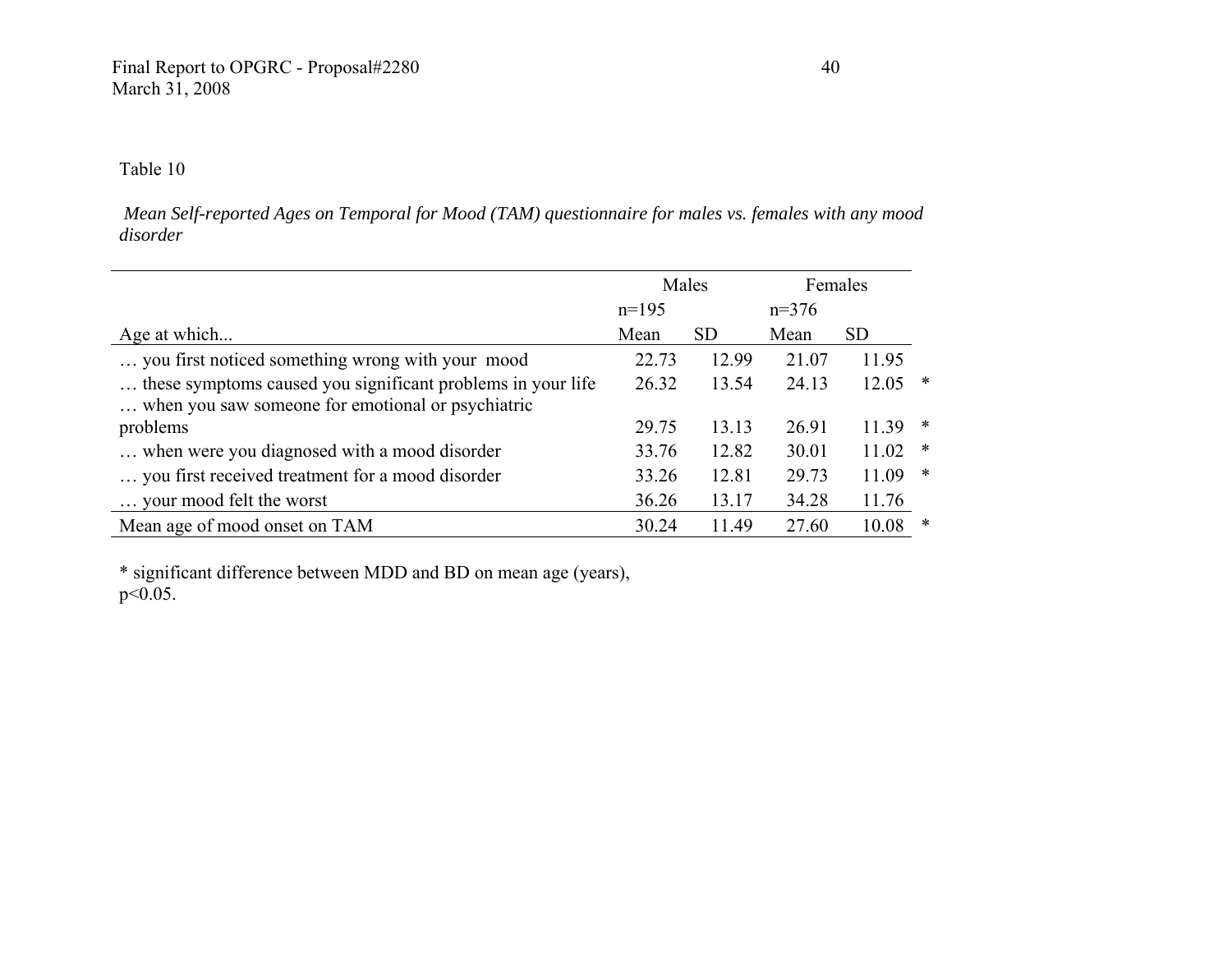*Mean Self-reported Ages on Temporal for Mood (TAM) questionnaire for males vs. females with any mood disorder* 

|                                                             |         | Males     |         | Females   |        |
|-------------------------------------------------------------|---------|-----------|---------|-----------|--------|
|                                                             | $n=195$ |           | $n=376$ |           |        |
| Age at which                                                | Mean    | <b>SD</b> | Mean    | <b>SD</b> |        |
| you first noticed something wrong with your mood            | 22.73   | 12.99     | 21.07   | 11.95     |        |
| these symptoms caused you significant problems in your life | 26.32   | 13.54     | 24.13   | 12.05     | *      |
| when you saw someone for emotional or psychiatric           |         |           |         |           |        |
| problems                                                    | 29.75   | 13.13     | 26.91   | 11.39     | *      |
| when were you diagnosed with a mood disorder                | 33.76   | 12.82     | 30.01   | 11.02     | *      |
| you first received treatment for a mood disorder            | 33.26   | 12.81     | 29.73   | 11.09     | $\ast$ |
| your mood felt the worst                                    | 36.26   | 13.17     | 34.28   | 11.76     |        |
| Mean age of mood onset on TAM                               | 30.24   | 11.49     | 27.60   | 10.08     | ∗      |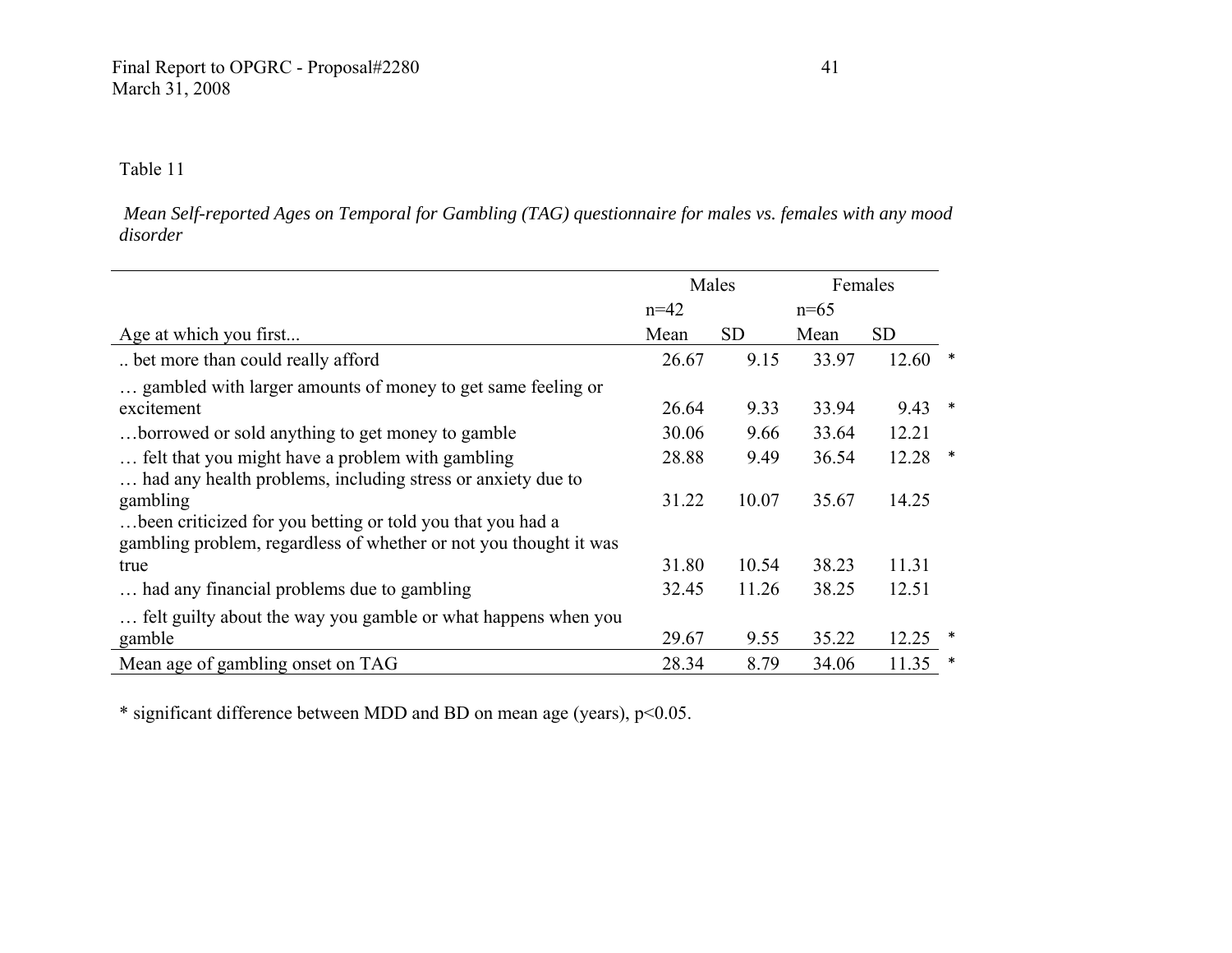*Mean Self-reported Ages on Temporal for Gambling (TAG) questionnaire for males vs. females with any mood disorder* 

|                                                                   |        | Males     |        | Females   |        |
|-------------------------------------------------------------------|--------|-----------|--------|-----------|--------|
|                                                                   | $n=42$ |           | $n=65$ |           |        |
| Age at which you first                                            | Mean   | <b>SD</b> | Mean   | <b>SD</b> |        |
| bet more than could really afford                                 | 26.67  | 9.15      | 33.97  | 12.60     |        |
| gambled with larger amounts of money to get same feeling or       |        |           |        |           |        |
| excitement                                                        | 26.64  | 9.33      | 33.94  | 9.43      | $\ast$ |
| borrowed or sold anything to get money to gamble                  | 30.06  | 9.66      | 33.64  | 12.21     |        |
| felt that you might have a problem with gambling                  | 28.88  | 9.49      | 36.54  | 12.28     |        |
| had any health problems, including stress or anxiety due to       |        |           |        |           |        |
| gambling                                                          | 31.22  | 10.07     | 35.67  | 14.25     |        |
| been criticized for you betting or told you that you had a        |        |           |        |           |        |
| gambling problem, regardless of whether or not you thought it was |        |           |        |           |        |
| true                                                              | 31.80  | 10.54     | 38.23  | 11.31     |        |
| had any financial problems due to gambling                        | 32.45  | 11.26     | 38.25  | 12.51     |        |
| felt guilty about the way you gamble or what happens when you     |        |           |        |           |        |
| gamble                                                            | 29.67  | 9.55      | 35.22  | 12.25     |        |
| Mean age of gambling onset on TAG                                 | 28.34  | 8.79      | 34.06  | 11.35     |        |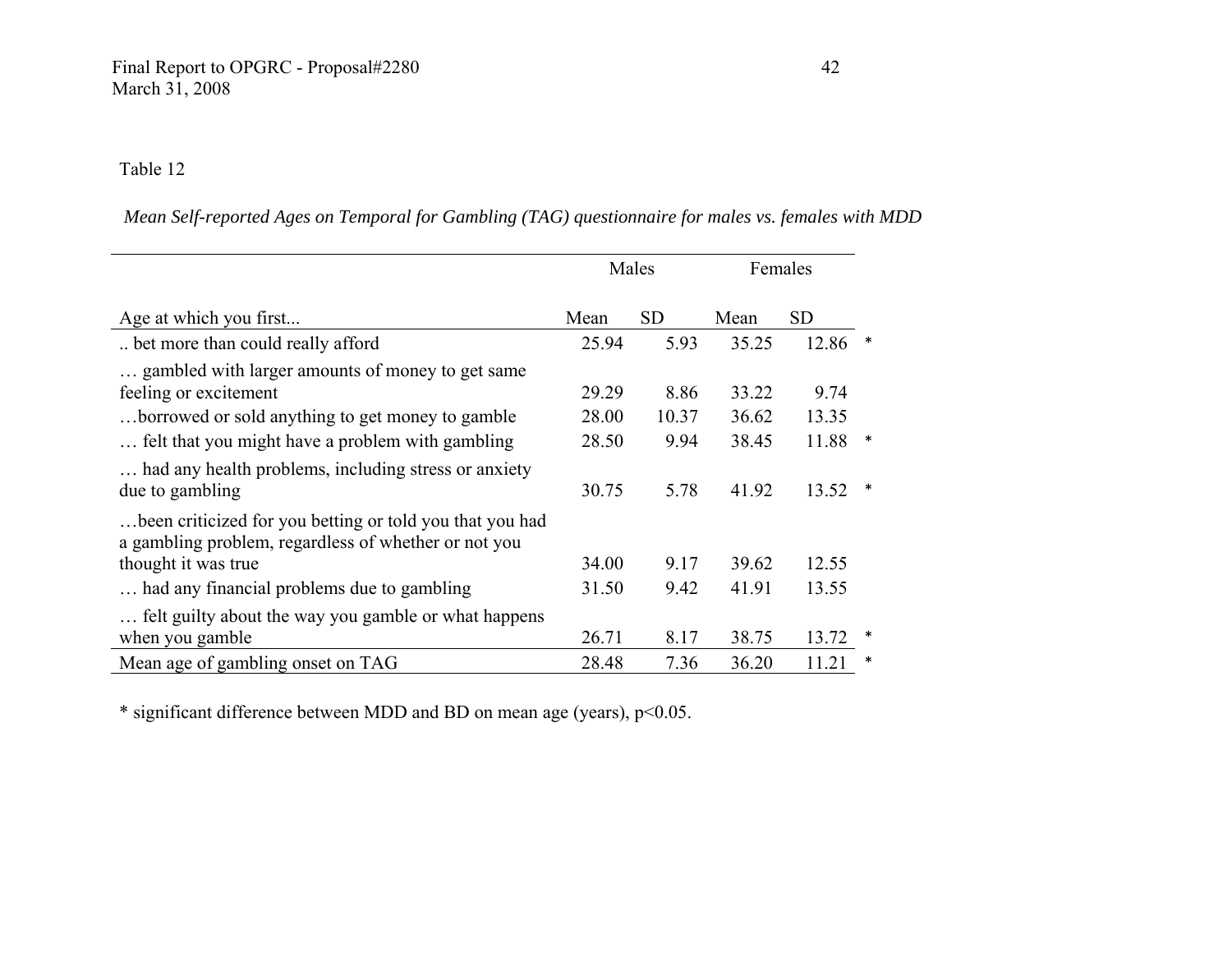*Mean Self-reported Ages on Temporal for Gambling (TAG) questionnaire for males vs. females with MDD*

|                                                                                                                  |       | Males     |       | Females   |   |
|------------------------------------------------------------------------------------------------------------------|-------|-----------|-------|-----------|---|
| Age at which you first                                                                                           | Mean  | <b>SD</b> | Mean  | <b>SD</b> |   |
| bet more than could really afford                                                                                | 25.94 | 5.93      | 35.25 | 12.86     |   |
| gambled with larger amounts of money to get same<br>feeling or excitement                                        | 29.29 | 8.86      | 33.22 | 9.74      |   |
| borrowed or sold anything to get money to gamble                                                                 | 28.00 | 10.37     | 36.62 | 13.35     |   |
| felt that you might have a problem with gambling                                                                 | 28.50 | 9.94      | 38.45 | 11.88     | * |
| had any health problems, including stress or anxiety<br>due to gambling                                          | 30.75 | 5.78      | 41.92 | 13.52     | ∗ |
| been criticized for you betting or told you that you had<br>a gambling problem, regardless of whether or not you |       |           |       |           |   |
| thought it was true                                                                                              | 34.00 | 9.17      | 39.62 | 12.55     |   |
| had any financial problems due to gambling                                                                       | 31.50 | 9.42      | 41.91 | 13.55     |   |
| felt guilty about the way you gamble or what happens<br>when you gamble                                          | 26.71 | 8.17      | 38.75 | 13.72     |   |
| Mean age of gambling onset on TAG                                                                                | 28.48 | 7.36      | 36.20 | 11.21     | * |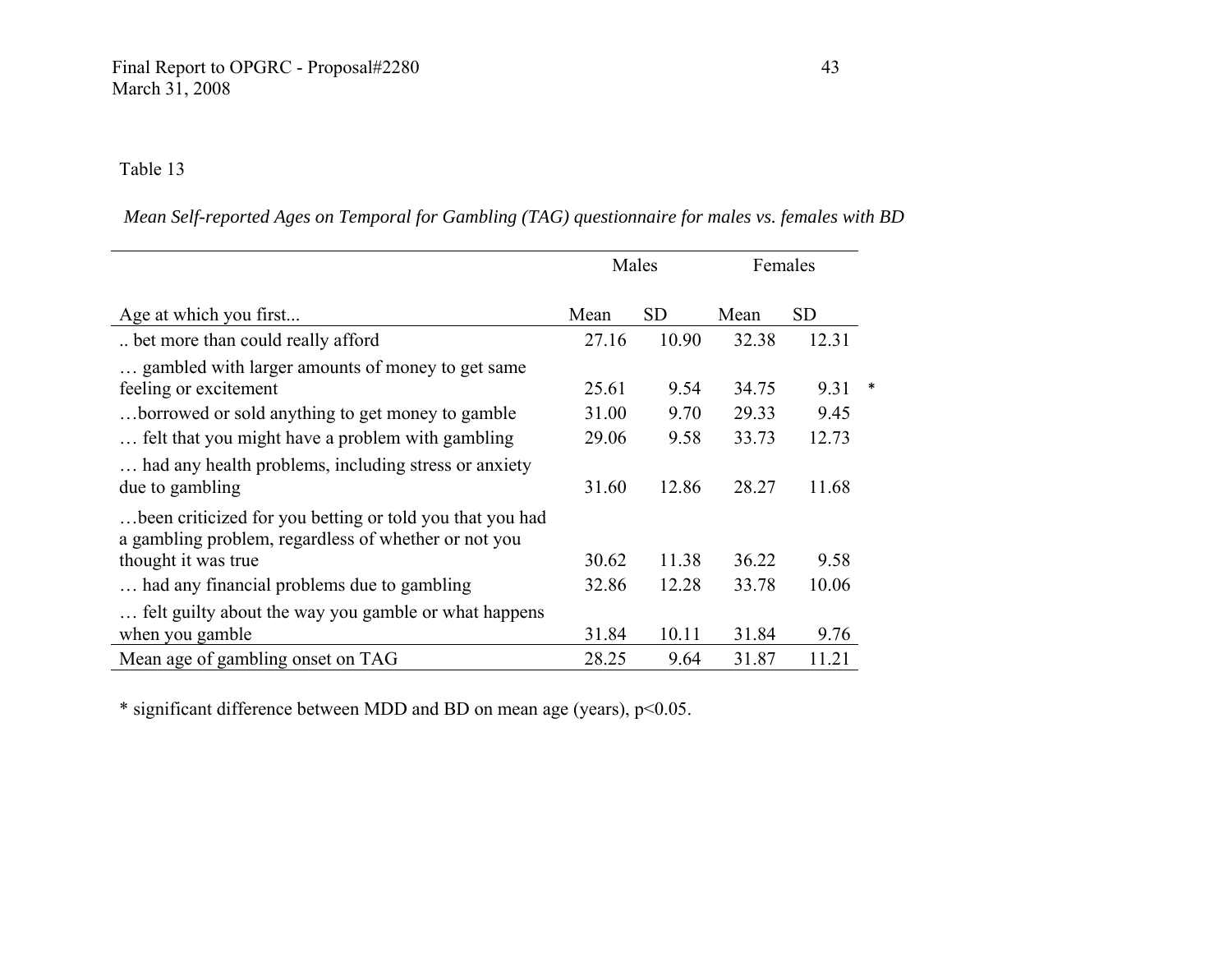*Mean Self-reported Ages on Temporal for Gambling (TAG) questionnaire for males vs. females with BD* 

|                                                                                                                  |       | Males     |       | Females   |  |
|------------------------------------------------------------------------------------------------------------------|-------|-----------|-------|-----------|--|
| Age at which you first                                                                                           | Mean  | <b>SD</b> | Mean  | <b>SD</b> |  |
| bet more than could really afford                                                                                | 27.16 | 10.90     | 32.38 | 12.31     |  |
| gambled with larger amounts of money to get same<br>feeling or excitement                                        | 25.61 | 9.54      | 34.75 | 9.31      |  |
| borrowed or sold anything to get money to gamble.                                                                | 31.00 | 9.70      | 29.33 | 9.45      |  |
| felt that you might have a problem with gambling                                                                 | 29.06 | 9.58      | 33.73 | 12.73     |  |
| had any health problems, including stress or anxiety<br>due to gambling                                          | 31.60 | 12.86     | 28.27 | 11.68     |  |
| been criticized for you betting or told you that you had<br>a gambling problem, regardless of whether or not you |       |           |       |           |  |
| thought it was true                                                                                              | 30.62 | 11.38     | 36.22 | 9.58      |  |
| had any financial problems due to gambling                                                                       | 32.86 | 12.28     | 33.78 | 10.06     |  |
| felt guilty about the way you gamble or what happens<br>when you gamble                                          | 31.84 | 10.11     | 31.84 | 9.76      |  |
| Mean age of gambling onset on TAG                                                                                | 28.25 | 9.64      | 31.87 | 11.21     |  |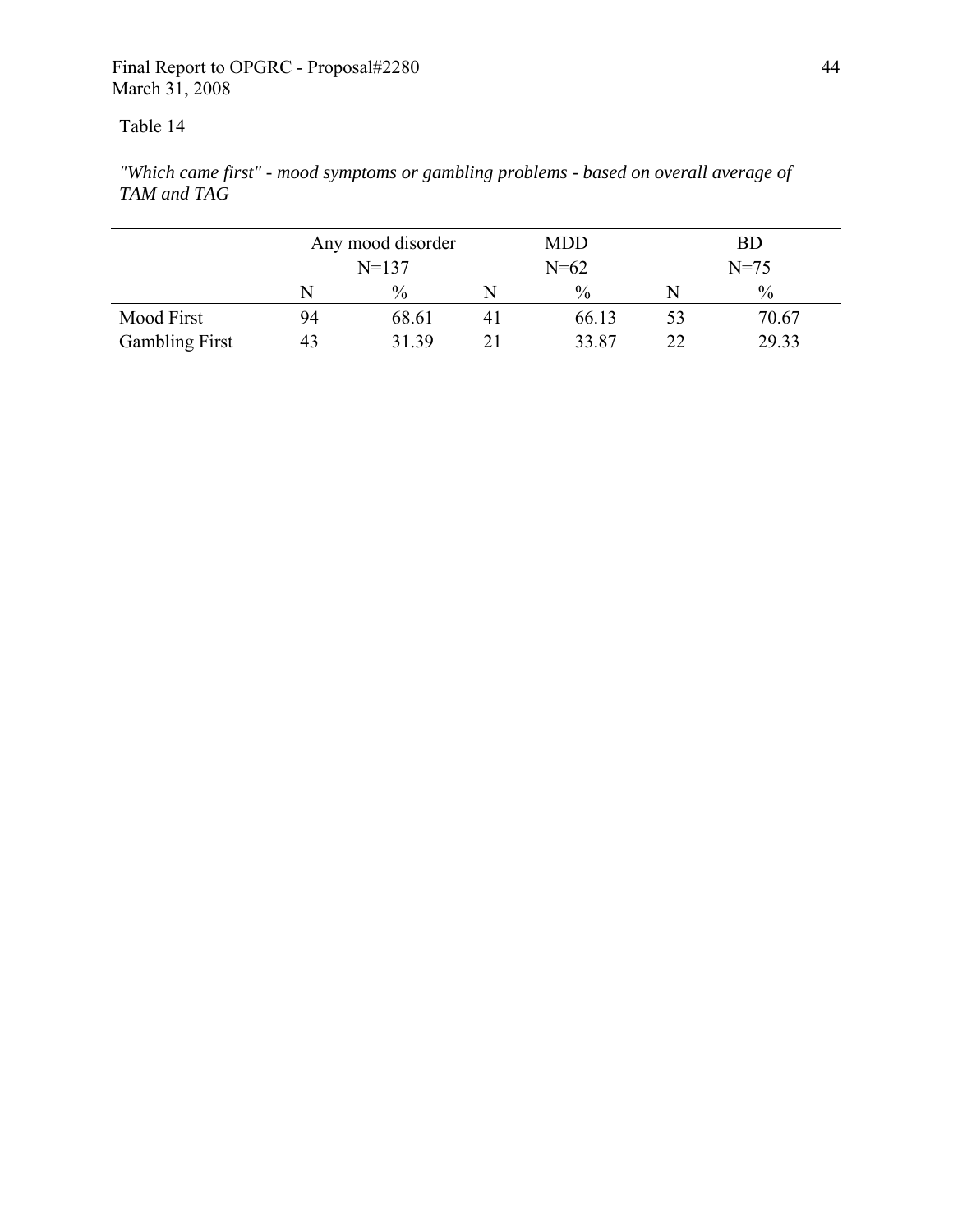*"Which came first" - mood symptoms or gambling problems - based on overall average of TAM and TAG* 

|                       |    | Any mood disorder |                | <b>MDD</b>    |    | BD            |
|-----------------------|----|-------------------|----------------|---------------|----|---------------|
|                       |    | $N = 137$         |                | $N = 62$      |    | $N = 75$      |
|                       | N  | $\%$              | N              | $\frac{0}{0}$ |    | $\frac{0}{0}$ |
| Mood First            | 94 | 68.61             | 4 <sub>1</sub> | 66.13         | 53 | 70.67         |
| <b>Gambling First</b> | 43 | 31.39             |                | 33.87         |    | 29.33         |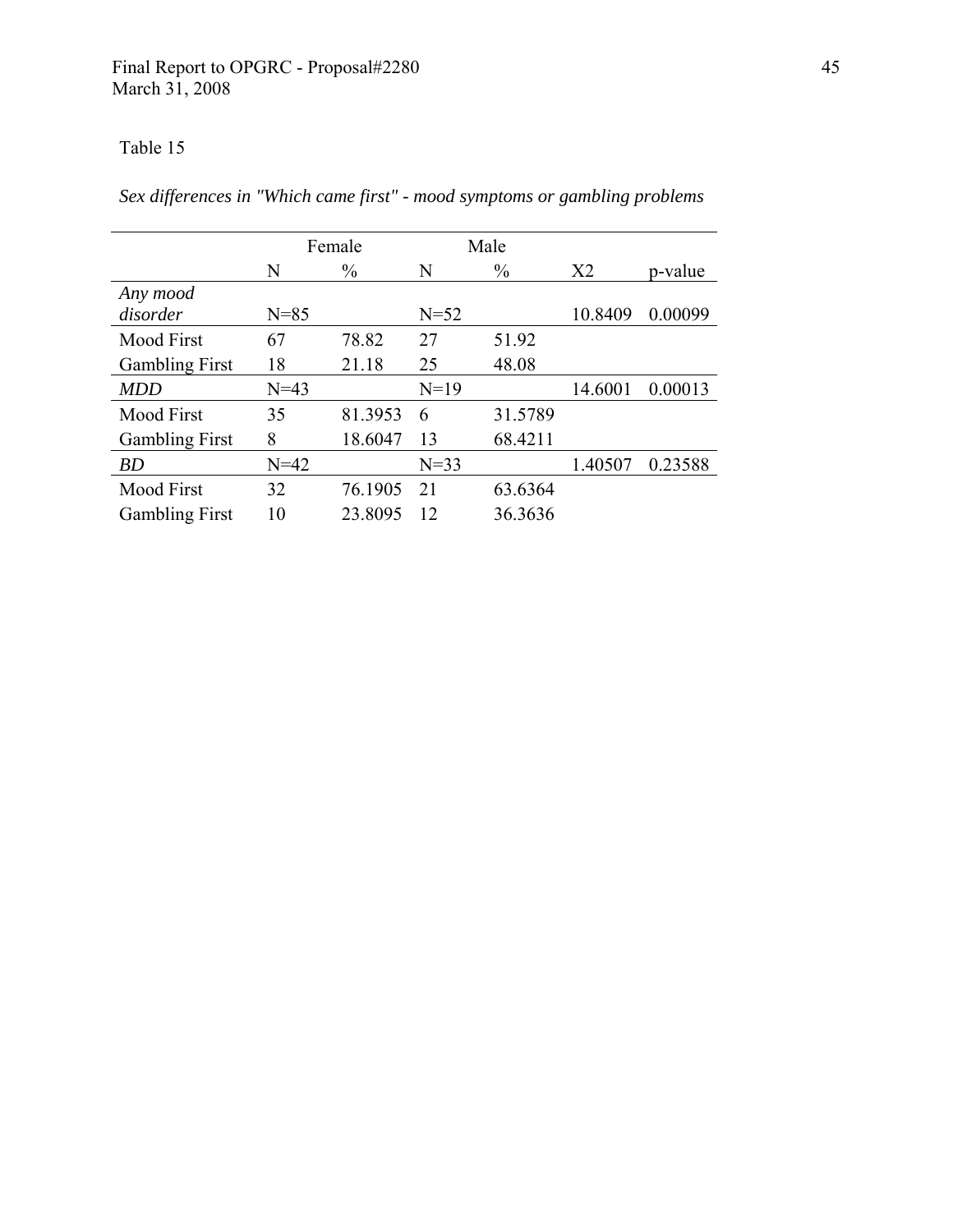*Sex differences in "Which came first" - mood symptoms or gambling problems* 

|                       |          | Female        |          | Male          |                |         |
|-----------------------|----------|---------------|----------|---------------|----------------|---------|
|                       | N        | $\frac{0}{0}$ | N        | $\frac{0}{0}$ | X <sub>2</sub> | p-value |
| Any mood              |          |               |          |               |                |         |
| disorder              | $N = 85$ |               | $N = 52$ |               | 10.8409        | 0.00099 |
| <b>Mood First</b>     | 67       | 78.82         | 27       | 51.92         |                |         |
| <b>Gambling First</b> | 18       | 21.18         | 25       | 48.08         |                |         |
| <b>MDD</b>            | $N = 43$ |               | $N=19$   |               | 14.6001        | 0.00013 |
| Mood First            | 35       | 81.3953       | 6        | 31.5789       |                |         |
| <b>Gambling First</b> | 8        | 18.6047       | 13       | 68.4211       |                |         |
| <i>BD</i>             | $N=42$   |               | $N=33$   |               | 1.40507        | 0.23588 |
| <b>Mood First</b>     | 32       | 76.1905       | 21       | 63.6364       |                |         |
| <b>Gambling First</b> | 10       | 23.8095       | 12       | 36.3636       |                |         |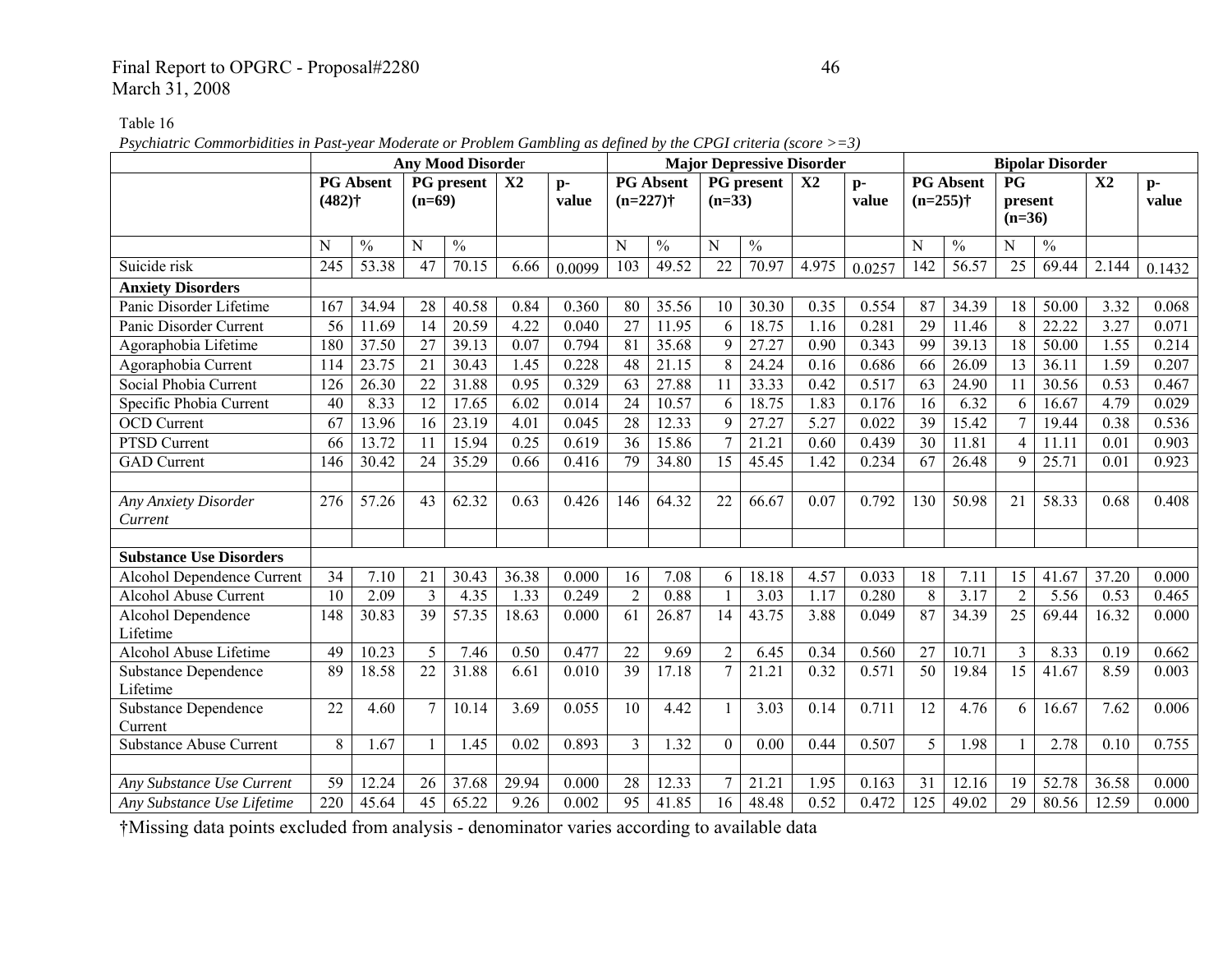## Final Report to OPGRC - Proposal#2280 46 March 31, 2008

Table 16

*Psychiatric Commorbidities in Past-year Moderate or Problem Gambling as defined by the CPGI criteria (score >=3)* 

|                                        |                 |                  |                 | <b>Any Mood Disorder</b> |                |               |                 |                  |                |               | <b>Major Depressive Disorder</b> |               |                  |                  |                                  | <b>Bipolar Disorder</b> |                |               |
|----------------------------------------|-----------------|------------------|-----------------|--------------------------|----------------|---------------|-----------------|------------------|----------------|---------------|----------------------------------|---------------|------------------|------------------|----------------------------------|-------------------------|----------------|---------------|
|                                        | $(482)$ †       | <b>PG Absent</b> | $(n=69)$        | PG present               | X <sub>2</sub> | $p-$<br>value | $(n=227)$ †     | <b>PG Absent</b> | $(n=33)$       | PG present    | X2                               | $p-$<br>value | $(n=255)$ †      | <b>PG Absent</b> | <b>PG</b><br>present<br>$(n=36)$ |                         | X <sub>2</sub> | $p-$<br>value |
|                                        | N               | $\frac{0}{0}$    | N               | $\frac{0}{0}$            |                |               | N               | $\frac{0}{0}$    | N              | $\frac{0}{0}$ |                                  |               | N                | $\frac{0}{0}$    | N                                | $\frac{0}{0}$           |                |               |
| Suicide risk                           | 245             | 53.38            | 47              | 70.15                    | 6.66           | 0.0099        | 103             | 49.52            | 22             | 70.97         | 4.975                            | 0.0257        | 142              | 56.57            | 25                               | 69.44                   | 2.144          | 0.1432        |
| <b>Anxiety Disorders</b>               |                 |                  |                 |                          |                |               |                 |                  |                |               |                                  |               |                  |                  |                                  |                         |                |               |
| Panic Disorder Lifetime                | 167             | 34.94            | 28              | 40.58                    | 0.84           | 0.360         | 80              | 35.56            | 10             | 30.30         | 0.35                             | 0.554         | 87               | 34.39            | 18                               | 50.00                   | 3.32           | 0.068         |
| Panic Disorder Current                 | $\overline{56}$ | 11.69            | $\overline{14}$ | 20.59                    | 4.22           | 0.040         | $\overline{27}$ | 11.95            | 6              | 18.75         | 1.16                             | 0.281         | $\overline{29}$  | 11.46            | 8                                | 22.22                   | 3.27           | 0.071         |
| Agoraphobia Lifetime                   | 180             | 37.50            | $\overline{27}$ | 39.13                    | 0.07           | 0.794         | $\overline{81}$ | 35.68            | 9              | 27.27         | 0.90                             | 0.343         | 99               | 39.13            | $\overline{18}$                  | 50.00                   | 1.55           | 0.214         |
| Agoraphobia Current                    | 114             | 23.75            | 21              | 30.43                    | 1.45           | 0.228         | 48              | 21.15            | 8              | 24.24         | 0.16                             | 0.686         | 66               | 26.09            | 13                               | 36.11                   | 1.59           | 0.207         |
| Social Phobia Current                  | 126             | 26.30            | 22              | 31.88                    | 0.95           | 0.329         | 63              | 27.88            | 11             | 33.33         | 0.42                             | 0.517         | 63               | 24.90            | 11                               | 30.56                   | 0.53           | 0.467         |
| Specific Phobia Current                | 40              | 8.33             | 12              | 17.65                    | 6.02           | 0.014         | 24              | 10.57            | 6              | 18.75         | 1.83                             | 0.176         | 16               | 6.32             | 6                                | 16.67                   | 4.79           | 0.029         |
| <b>OCD</b> Current                     | 67              | 13.96            | 16              | 23.19                    | 4.01           | 0.045         | $\overline{28}$ | 12.33            | 9              | 27.27         | 5.27                             | 0.022         | 39               | 15.42            | 7                                | 19.44                   | 0.38           | 0.536         |
| PTSD Current                           | 66              | 13.72            | 11              | 15.94                    | 0.25           | 0.619         | 36              | 15.86            | $\overline{7}$ | 21.21         | 0.60                             | 0.439         | 30               | 11.81            | $\overline{4}$                   | 11.11                   | 0.01           | 0.903         |
| <b>GAD</b> Current                     | 146             | 30.42            | 24              | 35.29                    | 0.66           | 0.416         | 79              | 34.80            | 15             | 45.45         | 1.42                             | 0.234         | 67               | 26.48            | 9                                | 25.71                   | 0.01           | 0.923         |
|                                        |                 |                  |                 |                          |                |               |                 |                  |                |               |                                  |               |                  |                  |                                  |                         |                |               |
| Any Anxiety Disorder                   | 276             | 57.26            | 43              | 62.32                    | 0.63           | 0.426         | 146             | 64.32            | 22             | 66.67         | 0.07                             | 0.792         | 130              | 50.98            | 21                               | 58.33                   | 0.68           | 0.408         |
| Current                                |                 |                  |                 |                          |                |               |                 |                  |                |               |                                  |               |                  |                  |                                  |                         |                |               |
|                                        |                 |                  |                 |                          |                |               |                 |                  |                |               |                                  |               |                  |                  |                                  |                         |                |               |
| <b>Substance Use Disorders</b>         |                 |                  |                 |                          |                |               |                 |                  |                |               |                                  |               |                  |                  |                                  |                         |                |               |
| Alcohol Dependence Current             | 34              | 7.10             | 21              | 30.43                    | 36.38          | 0.000         | 16              | 7.08             | 6              | 18.18         | 4.57                             | 0.033         | 18               | 7.11             | 15                               | 41.67                   | 37.20          | 0.000         |
| <b>Alcohol Abuse Current</b>           | 10              | 2.09             | $\overline{3}$  | 4.35                     | 1.33           | 0.249         | $\overline{2}$  | 0.88             |                | 3.03          | 1.17                             | 0.280         | 8                | 3.17             | $\overline{2}$                   | 5.56                    | 0.53           | 0.465         |
| Alcohol Dependence                     | 148             | 30.83            | 39              | 57.35                    | 18.63          | 0.000         | 61              | 26.87            | 14             | 43.75         | 3.88                             | 0.049         | $\overline{87}$  | 34.39            | 25                               | 69.44                   | 16.32          | 0.000         |
| Lifetime                               |                 |                  |                 |                          |                |               |                 |                  |                |               |                                  |               |                  |                  |                                  |                         |                |               |
| Alcohol Abuse Lifetime                 | 49              | 10.23            | 5               | 7.46                     | 0.50           | 0.477         | 22              | 9.69             | $\overline{2}$ | 6.45          | 0.34                             | 0.560         | $\overline{27}$  | 10.71            | 3                                | 8.33                    | 0.19           | 0.662         |
| <b>Substance Dependence</b>            | 89              | 18.58            | $\overline{22}$ | 31.88                    | 6.61           | 0.010         | $\overline{39}$ | 17.18            | $\tau$         | 21.21         | 0.32                             | 0.571         | 50               | 19.84            | $\overline{15}$                  | 41.67                   | 8.59           | 0.003         |
| Lifetime                               | 22              | 4.60             | $\overline{7}$  | 10.14                    | 3.69           | 0.055         | 10              | 4.42             |                | 3.03          | 0.14                             | 0.711         | $\overline{12}$  | 4.76             | 6                                | 16.67                   | 7.62           | 0.006         |
| <b>Substance Dependence</b><br>Current |                 |                  |                 |                          |                |               |                 |                  | $\mathbf{1}$   |               |                                  |               |                  |                  |                                  |                         |                |               |
| <b>Substance Abuse Current</b>         | 8               | 1.67             | $\mathbf{1}$    | 1.45                     | 0.02           | 0.893         | $\overline{3}$  | 1.32             | $\Omega$       | 0.00          | 0.44                             | 0.507         | 5                | 1.98             |                                  | 2.78                    | 0.10           | 0.755         |
|                                        |                 |                  |                 |                          |                |               |                 |                  |                |               |                                  |               |                  |                  |                                  |                         |                |               |
| Any Substance Use Current              | 59              | 12.24            | 26              | 37.68                    | 29.94          | 0.000         | 28              | 12.33            | 7              | 21.21         | 1.95                             | 0.163         | 31               | 12.16            | 19                               | 52.78                   | 36.58          | 0.000         |
| Any Substance Use Lifetime             | 220             | 45.64            | $\overline{45}$ | 65.22                    | 9.26           | 0.002         | $\overline{95}$ | 41.85            | 16             | 48.48         | 0.52                             | 0.472         | $\overline{125}$ | 49.02            | $\overline{29}$                  | 80.56                   | 12.59          | 0.000         |
|                                        |                 |                  |                 |                          |                |               |                 |                  |                |               |                                  |               |                  |                  |                                  |                         |                |               |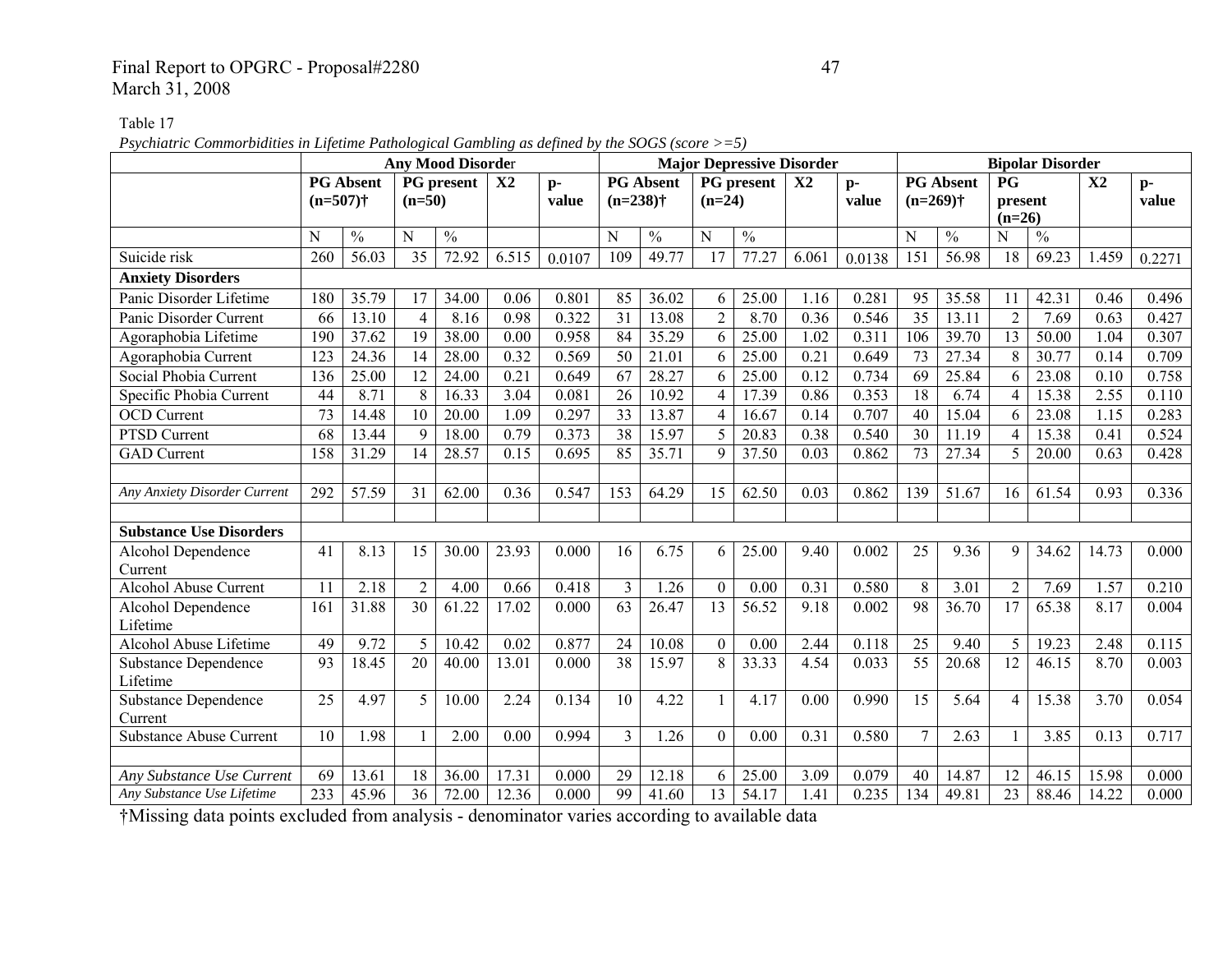## Final Report to OPGRC - Proposal#2280 47 March 31, 2008

Table 17

*Psychiatric Commorbidities in Lifetime Pathological Gambling as defined by the SOGS (score >=5)* 

|                                         |                 |                  |                | <b>Any Mood Disorder</b> |               |               |                |                  |                  |                   | <b>Major Depressive Disorder</b> |               |                 |                          |                                  | <b>Bipolar Disorder</b> |                |               |
|-----------------------------------------|-----------------|------------------|----------------|--------------------------|---------------|---------------|----------------|------------------|------------------|-------------------|----------------------------------|---------------|-----------------|--------------------------|----------------------------------|-------------------------|----------------|---------------|
|                                         | $(n=507)$ †     | <b>PG</b> Absent | $(n=50)$       | <b>PG</b> present        | $\mathbf{X}2$ | $p-$<br>value | $(n=238)$ †    | <b>PG</b> Absent | $(n=24)$         | PG present        | X <sub>2</sub>                   | $p-$<br>value | $(n=269)$ †     | <b>PG</b> Absent         | <b>PG</b><br>present<br>$(n=26)$ |                         | X <sub>2</sub> | $p-$<br>value |
|                                         | N               | $\frac{0}{0}$    | N              | $\frac{0}{0}$            |               |               | N              | $\frac{0}{0}$    | N                | $\frac{0}{0}$     |                                  |               | N               | $\overline{\frac{0}{0}}$ | N                                | $\frac{0}{0}$           |                |               |
| Suicide risk                            | 260             | 56.03            | 35             | 72.92                    | 6.515         | 0.0107        | 109            | 49.77            | 17               | 77.27             | 6.061                            | 0.0138        | 151             | 56.98                    | 18                               | 69.23                   | 1.459          | 0.2271        |
| <b>Anxiety Disorders</b>                |                 |                  |                |                          |               |               |                |                  |                  |                   |                                  |               |                 |                          |                                  |                         |                |               |
| Panic Disorder Lifetime                 | 180             | 35.79            | 17             | 34.00                    | 0.06          | 0.801         | 85             | 36.02            | 6                | 25.00             | 1.16                             | 0.281         | 95              | 35.58                    | 11                               | 42.31                   | 0.46           | 0.496         |
| Panic Disorder Current                  | 66              | 13.10            | $\overline{4}$ | 8.16                     | 0.98          | 0.322         | 31             | 13.08            | $\overline{2}$   | 8.70              | 0.36                             | 0.546         | $\overline{35}$ | 13.11                    | $\overline{2}$                   | 7.69                    | 0.63           | 0.427         |
| Agoraphobia Lifetime                    | 190             | 37.62            | 19             | 38.00                    | 0.00          | 0.958         | 84             | 35.29            | 6                | 25.00             | 1.02                             | 0.311         | 106             | 39.70                    | $\overline{13}$                  | 50.00                   | 1.04           | 0.307         |
| Agoraphobia Current                     | 123             | 24.36            | 14             | 28.00                    | 0.32          | 0.569         | 50             | 21.01            | 6                | 25.00             | 0.21                             | 0.649         | 73              | 27.34                    | 8                                | 30.77                   | 0.14           | 0.709         |
| Social Phobia Current                   | 136             | 25.00            | 12             | 24.00                    | 0.21          | 0.649         | 67             | 28.27            | 6                | 25.00             | 0.12                             | 0.734         | $\overline{69}$ | 25.84                    | 6                                | 23.08                   | 0.10           | 0.758         |
| Specific Phobia Current                 | 44              | 8.71             | 8              | 16.33                    | 3.04          | 0.081         | 26             | 10.92            | $\overline{4}$   | 17.39             | 0.86                             | 0.353         | $\overline{18}$ | 6.74                     | $\overline{4}$                   | 15.38                   | 2.55           | 0.110         |
| <b>OCD</b> Current                      | $\overline{73}$ | 14.48            | 10             | 20.00                    | 1.09          | 0.297         | 33             | 13.87            | $\overline{4}$   | 16.67             | 0.14                             | 0.707         | 40              | 15.04                    | 6                                | 23.08                   | 1.15           | 0.283         |
| PTSD Current                            | $\overline{68}$ | 13.44            | 9              | 18.00                    | 0.79          | 0.373         | 38             | 15.97            | 5                | 20.83             | 0.38                             | 0.540         | 30              | 11.19                    | $\overline{4}$                   | 15.38                   | 0.41           | 0.524         |
| <b>GAD</b> Current                      | 158             | 31.29            | 14             | 28.57                    | 0.15          | 0.695         | 85             | 35.71            | 9                | 37.50             | 0.03                             | 0.862         | 73              | 27.34                    | 5                                | 20.00                   | 0.63           | 0.428         |
|                                         |                 |                  |                |                          |               |               |                |                  |                  |                   |                                  |               |                 |                          |                                  |                         |                |               |
| Any Anxiety Disorder Current            | 292             | 57.59            | 31             | 62.00                    | 0.36          | 0.547         | 153            | 64.29            | 15               | 62.50             | 0.03                             | 0.862         | 139             | $\overline{51.67}$       | 16                               | 61.54                   | 0.93           | 0.336         |
|                                         |                 |                  |                |                          |               |               |                |                  |                  |                   |                                  |               |                 |                          |                                  |                         |                |               |
| <b>Substance Use Disorders</b>          |                 |                  |                |                          |               |               |                |                  |                  |                   |                                  |               |                 |                          |                                  |                         |                |               |
| Alcohol Dependence<br>Current           | 41              | 8.13             | 15             | 30.00                    | 23.93         | 0.000         | 16             | 6.75             | 6                | 25.00             | 9.40                             | 0.002         | 25              | 9.36                     | $\mathbf Q$                      | 34.62                   | 14.73          | 0.000         |
| <b>Alcohol Abuse Current</b>            | 11              | 2.18             | $\overline{2}$ | 4.00                     | 0.66          | 0.418         | $\overline{3}$ | 1.26             | $\mathbf{0}$     | 0.00              | 0.31                             | 0.580         | 8               | $\overline{3.01}$        | $\overline{2}$                   | 7.69                    | 1.57           | 0.210         |
| Alcohol Dependence<br>Lifetime          | 161             | 31.88            | 30             | 61.22                    | 17.02         | 0.000         | 63             | 26.47            | 13               | 56.52             | 9.18                             | 0.002         | 98              | 36.70                    | 17                               | 65.38                   | 8.17           | 0.004         |
| Alcohol Abuse Lifetime                  | 49              | 9.72             | 5              | 10.42                    | 0.02          | 0.877         | 24             | 10.08            | $\boldsymbol{0}$ | 0.00              | 2.44                             | 0.118         | 25              | 9.40                     | 5                                | 19.23                   | 2.48           | 0.115         |
| <b>Substance Dependence</b><br>Lifetime | 93              | 18.45            | 20             | 40.00                    | 13.01         | 0.000         | 38             | 15.97            | 8                | 33.33             | 4.54                             | 0.033         | 55              | 20.68                    | 12                               | 46.15                   | 8.70           | 0.003         |
| <b>Substance Dependence</b><br>Current  | 25              | 4.97             | $\varsigma$    | 10.00                    | 2.24          | 0.134         | 10             | 4.22             | $\mathbf{1}$     | 4.17              | 0.00                             | 0.990         | 15              | 5.64                     | $\overline{\mathcal{A}}$         | 15.38                   | 3.70           | 0.054         |
| <b>Substance Abuse Current</b>          | $\overline{10}$ | 1.98             |                | $\overline{2.00}$        | 0.00          | 0.994         | $\overline{3}$ | 1.26             | $\theta$         | $\overline{0.00}$ | 0.31                             | 0.580         | $\overline{7}$  | 2.63                     |                                  | 3.85                    | 0.13           | 0.717         |
|                                         |                 |                  |                |                          |               |               |                |                  |                  |                   |                                  |               |                 |                          |                                  |                         |                |               |
| Any Substance Use Current               | 69              | 13.61            | 18             | 36.00                    | 17.31         | 0.000         | 29             | 12.18            | 6                | 25.00             | 3.09                             | 0.079         | 40              | 14.87                    | 12                               | 46.15                   | 15.98          | 0.000         |
| Any Substance Use Lifetime              | 233             | 45.96            | 36             | 72.00                    | 12.36         | 0.000         | 99             | 41.60            | 13               | 54.17             | 1.41                             | 0.235         | 134             | 49.81                    | 23                               | 88.46                   | 14.22          | 0.000         |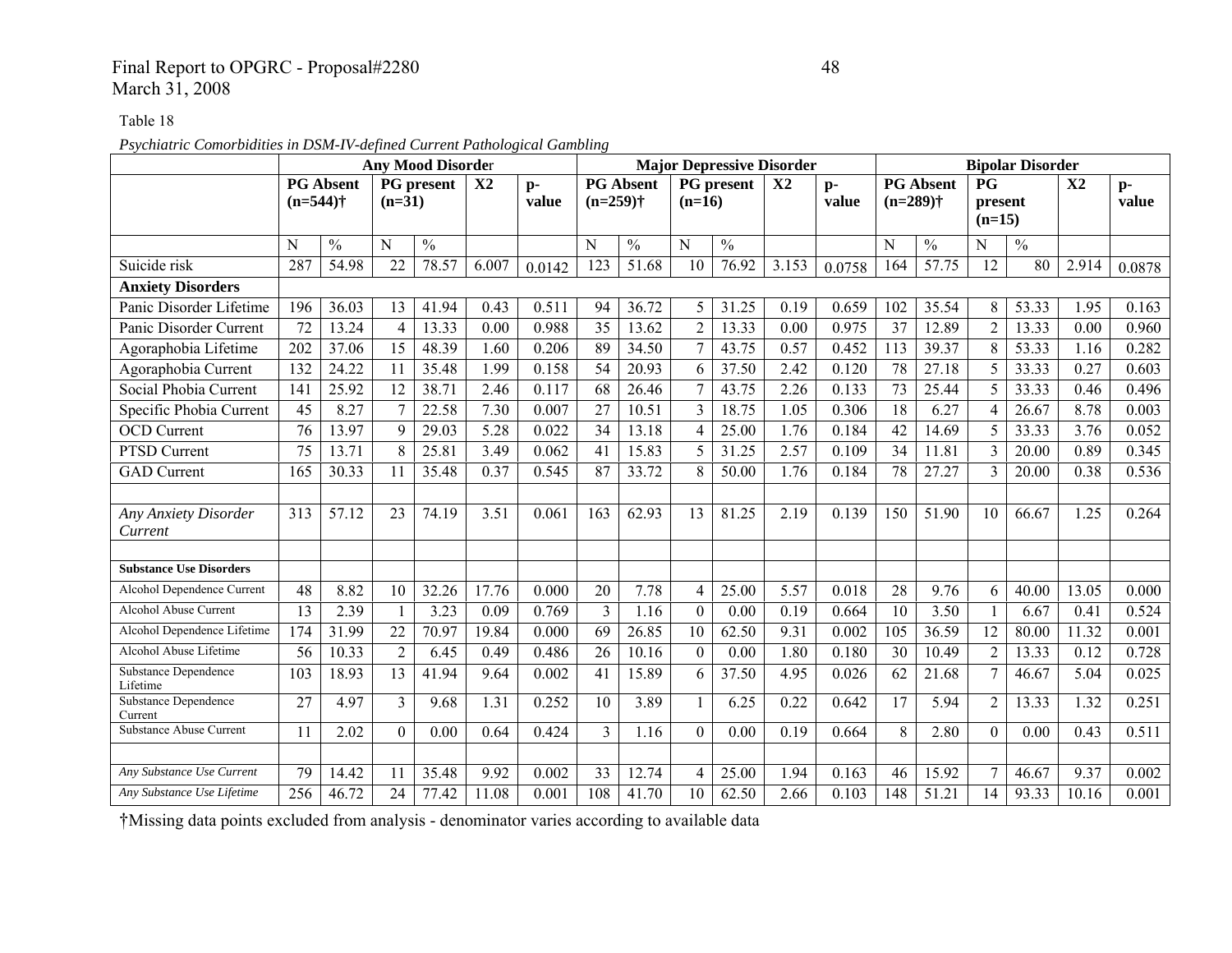## Final Report to OPGRC - Proposal#2280 48 March 31, 2008

Table 18

*Psychiatric Comorbidities in DSM-IV-defined Current Pathological Gambling* 

|                                        |                 |                  |                 | <b>Any Mood Disorder</b> |               |               |                 |                  |                  |                   | <b>Major Depressive Disorder</b> |               |                 |                  |                            | <b>Bipolar Disorder</b> |                |               |
|----------------------------------------|-----------------|------------------|-----------------|--------------------------|---------------|---------------|-----------------|------------------|------------------|-------------------|----------------------------------|---------------|-----------------|------------------|----------------------------|-------------------------|----------------|---------------|
|                                        | $(n=544)$ †     | <b>PG Absent</b> | $(n=31)$        | <b>PG</b> present        | $\mathbf{X}2$ | $p-$<br>value | $(n=259)$ †     | <b>PG Absent</b> | $(n=16)$         | <b>PG</b> present | $\mathbf{X}2$                    | $p-$<br>value | $(n=289)$ †     | <b>PG Absent</b> | P G<br>present<br>$(n=15)$ |                         | X <sub>2</sub> | $p-$<br>value |
|                                        | N               | $\frac{0}{0}$    | N               | $\frac{0}{0}$            |               |               | N               | $\frac{0}{0}$    | ${\bf N}$        | $\frac{0}{0}$     |                                  |               | N               | $\frac{0}{0}$    | N                          | $\frac{0}{0}$           |                |               |
| Suicide risk                           | 287             | 54.98            | $\overline{22}$ | 78.57                    | 6.007         | 0.0142        | 123             | 51.68            | 10               | 76.92             | 3.153                            | 0.0758        | 164             | 57.75            | 12                         | 80                      | 2.914          | 0.0878        |
| <b>Anxiety Disorders</b>               |                 |                  |                 |                          |               |               |                 |                  |                  |                   |                                  |               |                 |                  |                            |                         |                |               |
| Panic Disorder Lifetime                | 196             | 36.03            | 13              | 41.94                    | 0.43          | 0.511         | 94              | 36.72            | 5                | 31.25             | 0.19                             | 0.659         | 102             | 35.54            | 8                          | 53.33                   | 1.95           | 0.163         |
| Panic Disorder Current                 | 72              | 13.24            | $\overline{4}$  | 13.33                    | 0.00          | 0.988         | $\overline{35}$ | 13.62            | $\overline{2}$   | 13.33             | 0.00                             | 0.975         | 37              | 12.89            | $\overline{2}$             | 13.33                   | 0.00           | 0.960         |
| Agoraphobia Lifetime                   | 202             | 37.06            | 15              | 48.39                    | 1.60          | 0.206         | 89              | 34.50            | $\overline{7}$   | 43.75             | 0.57                             | 0.452         | 113             | 39.37            | 8                          | 53.33                   | 1.16           | 0.282         |
| Agoraphobia Current                    | 132             | 24.22            | 11              | 35.48                    | 1.99          | 0.158         | $\overline{54}$ | 20.93            | 6                | 37.50             | 2.42                             | 0.120         | 78              | 27.18            | 5                          | 33.33                   | 0.27           | 0.603         |
| Social Phobia Current                  | 141             | 25.92            | 12              | 38.71                    | 2.46          | 0.117         | 68              | 26.46            | 7                | 43.75             | 2.26                             | 0.133         | 73              | 25.44            | 5                          | 33.33                   | 0.46           | 0.496         |
| Specific Phobia Current                | 45              | 8.27             | $\overline{7}$  | 22.58                    | 7.30          | 0.007         | $\overline{27}$ | 10.51            | 3                | 18.75             | 1.05                             | 0.306         | 18              | 6.27             | $\overline{4}$             | 26.67                   | 8.78           | 0.003         |
| <b>OCD</b> Current                     | $\overline{76}$ | 13.97            | 9               | 29.03                    | 5.28          | 0.022         | $\overline{34}$ | 13.18            | $\overline{4}$   | 25.00             | 1.76                             | 0.184         | $\overline{42}$ | 14.69            | 5                          | 33.33                   | 3.76           | 0.052         |
| PTSD Current                           | 75              | 13.71            | 8               | 25.81                    | 3.49          | 0.062         | 41              | 15.83            | 5                | 31.25             | 2.57                             | 0.109         | 34              | 11.81            | $\overline{3}$             | 20.00                   | 0.89           | 0.345         |
| <b>GAD</b> Current                     | 165             | 30.33            | 11              | 35.48                    | 0.37          | 0.545         | 87              | 33.72            | 8                | 50.00             | 1.76                             | 0.184         | 78              | 27.27            | 3                          | 20.00                   | 0.38           | 0.536         |
|                                        |                 |                  |                 |                          |               |               |                 |                  |                  |                   |                                  |               |                 |                  |                            |                         |                |               |
| Any Anxiety Disorder<br>Current        | 313             | 57.12            | 23              | 74.19                    | 3.51          | 0.061         | 163             | 62.93            | 13               | 81.25             | 2.19                             | 0.139         | 150             | 51.90            | 10                         | 66.67                   | 1.25           | 0.264         |
|                                        |                 |                  |                 |                          |               |               |                 |                  |                  |                   |                                  |               |                 |                  |                            |                         |                |               |
| <b>Substance Use Disorders</b>         |                 |                  |                 |                          |               |               |                 |                  |                  |                   |                                  |               |                 |                  |                            |                         |                |               |
| Alcohol Dependence Current             | 48              | 8.82             | 10              | 32.26                    | 17.76         | 0.000         | 20              | 7.78             | $\overline{4}$   | 25.00             | 5.57                             | 0.018         | 28              | 9.76             | 6                          | 40.00                   | 13.05          | 0.000         |
| Alcohol Abuse Current                  | 13              | 2.39             | $\mathbf{1}$    | 3.23                     | 0.09          | 0.769         | $\overline{3}$  | 1.16             | $\boldsymbol{0}$ | 0.00              | 0.19                             | 0.664         | 10              | 3.50             | 1                          | 6.67                    | 0.41           | 0.524         |
| Alcohol Dependence Lifetime            | 174             | 31.99            | 22              | 70.97                    | 19.84         | 0.000         | $\overline{69}$ | 26.85            | 10               | 62.50             | 9.31                             | 0.002         | 105             | 36.59            | 12                         | 80.00                   | 11.32          | 0.001         |
| Alcohol Abuse Lifetime                 | 56              | 10.33            | $\overline{2}$  | 6.45                     | 0.49          | 0.486         | 26              | 10.16            | $\theta$         | 0.00              | 1.80                             | 0.180         | 30              | 10.49            | $\overline{2}$             | 13.33                   | 0.12           | 0.728         |
| Substance Dependence<br>Lifetime       | 103             | 18.93            | 13              | 41.94                    | 9.64          | 0.002         | 41              | 15.89            | 6                | 37.50             | 4.95                             | 0.026         | 62              | 21.68            | $\overline{7}$             | 46.67                   | 5.04           | 0.025         |
| <b>Substance Dependence</b><br>Current | 27              | 4.97             | 3               | 9.68                     | 1.31          | 0.252         | 10              | 3.89             |                  | 6.25              | 0.22                             | 0.642         | 17              | 5.94             | $\overline{2}$             | 13.33                   | 1.32           | 0.251         |
| Substance Abuse Current                | 11              | 2.02             | $\theta$        | 0.00                     | 0.64          | 0.424         | $\overline{3}$  | 1.16             | $\theta$         | 0.00              | 0.19                             | 0.664         | 8               | 2.80             | $\mathbf{0}$               | 0.00                    | 0.43           | 0.511         |
| Any Substance Use Current              |                 |                  |                 |                          |               |               |                 |                  |                  |                   |                                  |               |                 |                  |                            |                         |                |               |
| Any Substance Use Lifetime             | 79              | 14.42            | 11              | 35.48                    | 9.92          | 0.002         | 33              | 12.74            | $\overline{4}$   | 25.00             | .94                              | 0.163         | 46              | 15.92            | $\overline{7}$             | 46.67                   | 9.37           | 0.002         |
|                                        | 256             | 46.72            | 24              | 77.42                    | 11.08         | 0.001         | 108             | 41.70            | 10               | 62.50             | 2.66                             | 0.103         | 148             | 51.21            | 14                         | 93.33                   | 10.16          | 0.001         |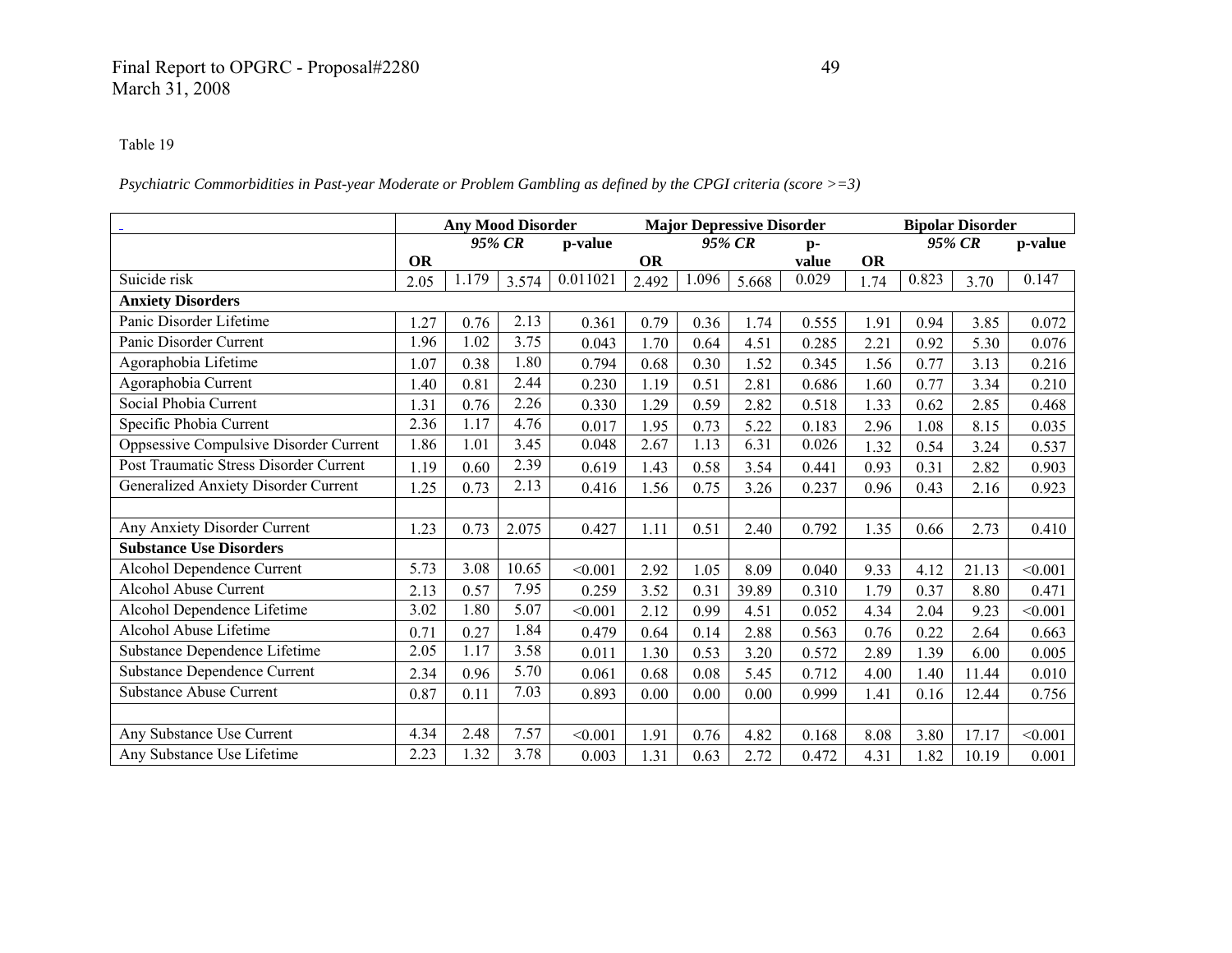# Final Report to OPGRC - Proposal#2280 49 March 31, 2008

#### Table 19

*Psychiatric Commorbidities in Past-year Moderate or Problem Gambling as defined by the CPGI criteria (score >=3)* 

|                                        |           | <b>Any Mood Disorder</b> |       |          |           |       | <b>Major Depressive Disorder</b> |       |           |       | <b>Bipolar Disorder</b> |         |
|----------------------------------------|-----------|--------------------------|-------|----------|-----------|-------|----------------------------------|-------|-----------|-------|-------------------------|---------|
|                                        |           | 95% CR                   |       | p-value  |           |       | 95% CR                           | $p-$  |           |       | 95% CR                  | p-value |
|                                        | <b>OR</b> |                          |       |          | <b>OR</b> |       |                                  | value | <b>OR</b> |       |                         |         |
| Suicide risk                           | 2.05      | 1.179                    | 3.574 | 0.011021 | 2.492     | 1.096 | 5.668                            | 0.029 | 1.74      | 0.823 | 3.70                    | 0.147   |
| <b>Anxiety Disorders</b>               |           |                          |       |          |           |       |                                  |       |           |       |                         |         |
| Panic Disorder Lifetime                | .27       | 0.76                     | 2.13  | 0.361    | 0.79      | 0.36  | 1.74                             | 0.555 | 1.91      | 0.94  | 3.85                    | 0.072   |
| Panic Disorder Current                 | 1.96      | 1.02                     | 3.75  | 0.043    | 1.70      | 0.64  | 4.51                             | 0.285 | 2.21      | 0.92  | 5.30                    | 0.076   |
| Agoraphobia Lifetime                   | 1.07      | 0.38                     | 1.80  | 0.794    | 0.68      | 0.30  | 1.52                             | 0.345 | 1.56      | 0.77  | 3.13                    | 0.216   |
| Agoraphobia Current                    | 1.40      | 0.81                     | 2.44  | 0.230    | 1.19      | 0.51  | 2.81                             | 0.686 | 1.60      | 0.77  | 3.34                    | 0.210   |
| Social Phobia Current                  | 1.31      | 0.76                     | 2.26  | 0.330    | 1.29      | 0.59  | 2.82                             | 0.518 | 1.33      | 0.62  | 2.85                    | 0.468   |
| Specific Phobia Current                | 2.36      | 1.17                     | 4.76  | 0.017    | 1.95      | 0.73  | 5.22                             | 0.183 | 2.96      | 1.08  | 8.15                    | 0.035   |
| Oppsessive Compulsive Disorder Current | 1.86      | 1.01                     | 3.45  | 0.048    | 2.67      | 1.13  | 6.31                             | 0.026 | 1.32      | 0.54  | 3.24                    | 0.537   |
| Post Traumatic Stress Disorder Current | 1.19      | 0.60                     | 2.39  | 0.619    | 1.43      | 0.58  | 3.54                             | 0.441 | 0.93      | 0.31  | 2.82                    | 0.903   |
| Generalized Anxiety Disorder Current   | 1.25      | 0.73                     | 2.13  | 0.416    | 1.56      | 0.75  | 3.26                             | 0.237 | 0.96      | 0.43  | 2.16                    | 0.923   |
|                                        |           |                          |       |          |           |       |                                  |       |           |       |                         |         |
| Any Anxiety Disorder Current           | 1.23      | 0.73                     | 2.075 | 0.427    | 1.11      | 0.51  | 2.40                             | 0.792 | 1.35      | 0.66  | 2.73                    | 0.410   |
| <b>Substance Use Disorders</b>         |           |                          |       |          |           |       |                                  |       |           |       |                         |         |
| Alcohol Dependence Current             | 5.73      | 3.08                     | 10.65 | < 0.001  | 2.92      | 1.05  | 8.09                             | 0.040 | 9.33      | 4.12  | 21.13                   | < 0.001 |
| <b>Alcohol Abuse Current</b>           | 2.13      | 0.57                     | 7.95  | 0.259    | 3.52      | 0.31  | 39.89                            | 0.310 | 1.79      | 0.37  | 8.80                    | 0.471   |
| Alcohol Dependence Lifetime            | 3.02      | 1.80                     | 5.07  | < 0.001  | 2.12      | 0.99  | 4.51                             | 0.052 | 4.34      | 2.04  | 9.23                    | < 0.001 |
| Alcohol Abuse Lifetime                 | 0.71      | 0.27                     | 1.84  | 0.479    | 0.64      | 0.14  | 2.88                             | 0.563 | 0.76      | 0.22  | 2.64                    | 0.663   |
| Substance Dependence Lifetime          | 2.05      | 1.17                     | 3.58  | 0.011    | 1.30      | 0.53  | 3.20                             | 0.572 | 2.89      | 1.39  | 6.00                    | 0.005   |
| <b>Substance Dependence Current</b>    | 2.34      | 0.96                     | 5.70  | 0.061    | 0.68      | 0.08  | 5.45                             | 0.712 | 4.00      | 1.40  | 11.44                   | 0.010   |
| <b>Substance Abuse Current</b>         | 0.87      | 0.11                     | 7.03  | 0.893    | 0.00      | 0.00  | 0.00                             | 0.999 | 1.41      | 0.16  | 12.44                   | 0.756   |
|                                        |           |                          |       |          |           |       |                                  |       |           |       |                         |         |
| Any Substance Use Current              | 4.34      | 2.48                     | 7.57  | < 0.001  | 1.91      | 0.76  | 4.82                             | 0.168 | 8.08      | 3.80  | 17.17                   | < 0.001 |
| Any Substance Use Lifetime             | 2.23      | 1.32                     | 3.78  | 0.003    | 1.31      | 0.63  | 2.72                             | 0.472 | 4.31      | 1.82  | 10.19                   | 0.001   |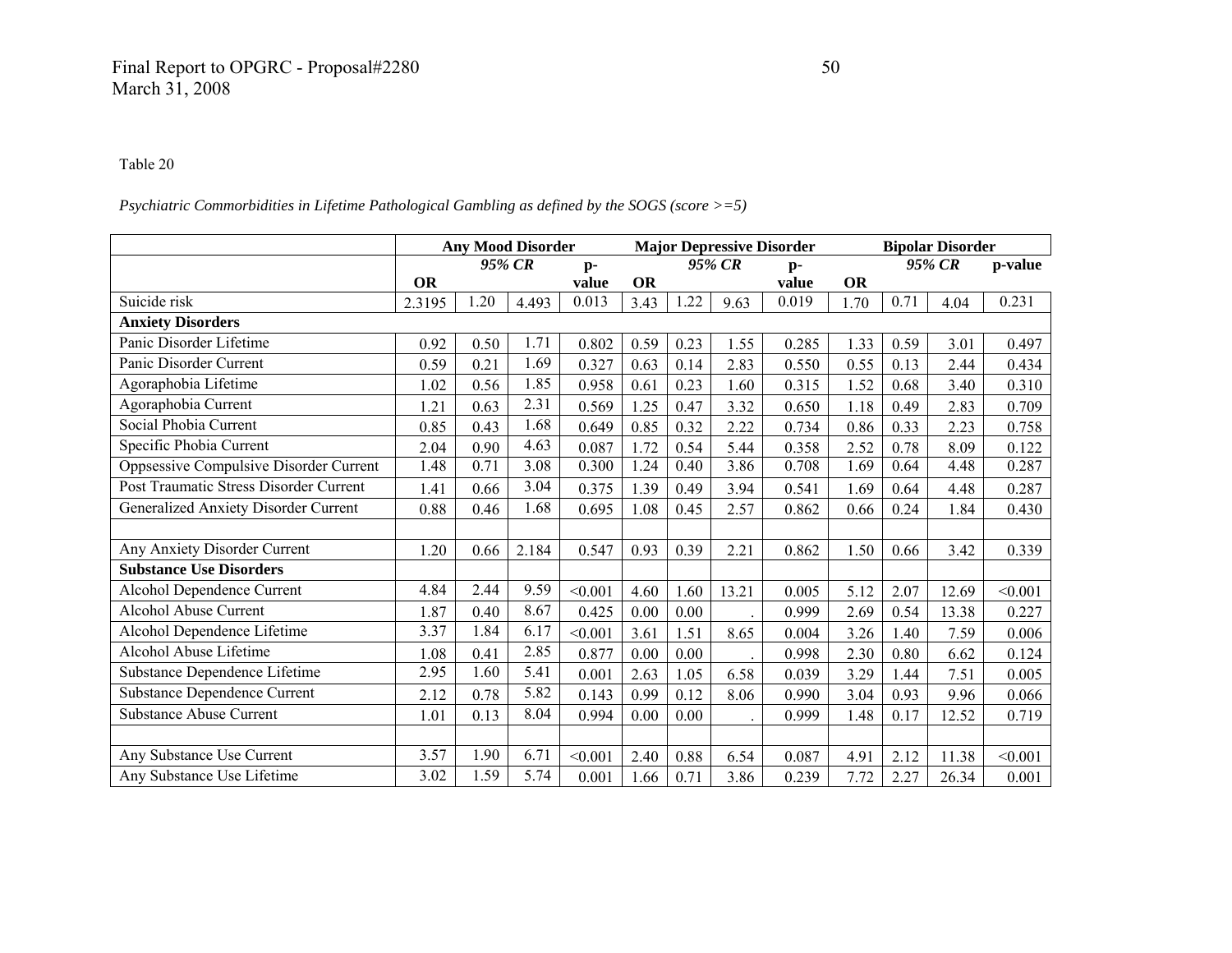## Final Report to OPGRC - Proposal#2280 50 March 31, 2008

#### Table 20

### *Psychiatric Commorbidities in Lifetime Pathological Gambling as defined by the SOGS (score >=5)*

|                                        |           |      | <b>Any Mood Disorder</b> |         |           |      | <b>Major Depressive Disorder</b> |       |           |      | <b>Bipolar Disorder</b> |         |
|----------------------------------------|-----------|------|--------------------------|---------|-----------|------|----------------------------------|-------|-----------|------|-------------------------|---------|
|                                        |           |      | 95% CR                   | $p-$    |           |      | 95% CR                           | $p-$  |           |      | 95% CR                  | p-value |
|                                        | <b>OR</b> |      |                          | value   | <b>OR</b> |      |                                  | value | <b>OR</b> |      |                         |         |
| Suicide risk                           | 2.3195    | 1.20 | 4.493                    | 0.013   | 3.43      | 1.22 | 9.63                             | 0.019 | 1.70      | 0.71 | 4.04                    | 0.231   |
| <b>Anxiety Disorders</b>               |           |      |                          |         |           |      |                                  |       |           |      |                         |         |
| Panic Disorder Lifetime                | 0.92      | 0.50 | 1.71                     | 0.802   | 0.59      | 0.23 | 1.55                             | 0.285 | 1.33      | 0.59 | 3.01                    | 0.497   |
| Panic Disorder Current                 | 0.59      | 0.21 | 1.69                     | 0.327   | 0.63      | 0.14 | 2.83                             | 0.550 | 0.55      | 0.13 | 2.44                    | 0.434   |
| Agoraphobia Lifetime                   | 1.02      | 0.56 | 1.85                     | 0.958   | 0.61      | 0.23 | 1.60                             | 0.315 | 1.52      | 0.68 | 3.40                    | 0.310   |
| Agoraphobia Current                    | 1.21      | 0.63 | 2.31                     | 0.569   | 1.25      | 0.47 | 3.32                             | 0.650 | 1.18      | 0.49 | 2.83                    | 0.709   |
| Social Phobia Current                  | 0.85      | 0.43 | 1.68                     | 0.649   | 0.85      | 0.32 | 2.22                             | 0.734 | 0.86      | 0.33 | 2.23                    | 0.758   |
| Specific Phobia Current                | 2.04      | 0.90 | 4.63                     | 0.087   | 1.72      | 0.54 | 5.44                             | 0.358 | 2.52      | 0.78 | 8.09                    | 0.122   |
| Oppsessive Compulsive Disorder Current | 1.48      | 0.71 | 3.08                     | 0.300   | 1.24      | 0.40 | 3.86                             | 0.708 | 1.69      | 0.64 | 4.48                    | 0.287   |
| Post Traumatic Stress Disorder Current | 1.41      | 0.66 | 3.04                     | 0.375   | 1.39      | 0.49 | 3.94                             | 0.541 | 1.69      | 0.64 | 4.48                    | 0.287   |
| Generalized Anxiety Disorder Current   | 0.88      | 0.46 | 1.68                     | 0.695   | 1.08      | 0.45 | 2.57                             | 0.862 | 0.66      | 0.24 | 1.84                    | 0.430   |
|                                        |           |      |                          |         |           |      |                                  |       |           |      |                         |         |
| Any Anxiety Disorder Current           | 1.20      | 0.66 | 2.184                    | 0.547   | 0.93      | 0.39 | 2.21                             | 0.862 | 1.50      | 0.66 | 3.42                    | 0.339   |
| <b>Substance Use Disorders</b>         |           |      |                          |         |           |      |                                  |       |           |      |                         |         |
| Alcohol Dependence Current             | 4.84      | 2.44 | 9.59                     | < 0.001 | 4.60      | 1.60 | 13.21                            | 0.005 | 5.12      | 2.07 | 12.69                   | < 0.001 |
| <b>Alcohol Abuse Current</b>           | 1.87      | 0.40 | 8.67                     | 0.425   | 0.00      | 0.00 |                                  | 0.999 | 2.69      | 0.54 | 13.38                   | 0.227   |
| Alcohol Dependence Lifetime            | 3.37      | 1.84 | 6.17                     | < 0.001 | 3.61      | 1.51 | 8.65                             | 0.004 | 3.26      | 1.40 | 7.59                    | 0.006   |
| Alcohol Abuse Lifetime                 | 1.08      | 0.41 | 2.85                     | 0.877   | 0.00      | 0.00 |                                  | 0.998 | 2.30      | 0.80 | 6.62                    | 0.124   |
| Substance Dependence Lifetime          | 2.95      | 1.60 | 5.41                     | 0.001   | 2.63      | 1.05 | 6.58                             | 0.039 | 3.29      | 1.44 | 7.51                    | 0.005   |
| Substance Dependence Current           | 2.12      | 0.78 | 5.82                     | 0.143   | 0.99      | 0.12 | 8.06                             | 0.990 | 3.04      | 0.93 | 9.96                    | 0.066   |
| <b>Substance Abuse Current</b>         | 1.01      | 0.13 | 8.04                     | 0.994   | 0.00      | 0.00 |                                  | 0.999 | 1.48      | 0.17 | 12.52                   | 0.719   |
|                                        |           |      |                          |         |           |      |                                  |       |           |      |                         |         |
| Any Substance Use Current              | 3.57      | 1.90 | 6.71                     | < 0.001 | 2.40      | 0.88 | 6.54                             | 0.087 | 4.91      | 2.12 | 11.38                   | < 0.001 |
| Any Substance Use Lifetime             | 3.02      | 1.59 | 5.74                     | 0.001   | 1.66      | 0.71 | 3.86                             | 0.239 | 7.72      | 2.27 | 26.34                   | 0.001   |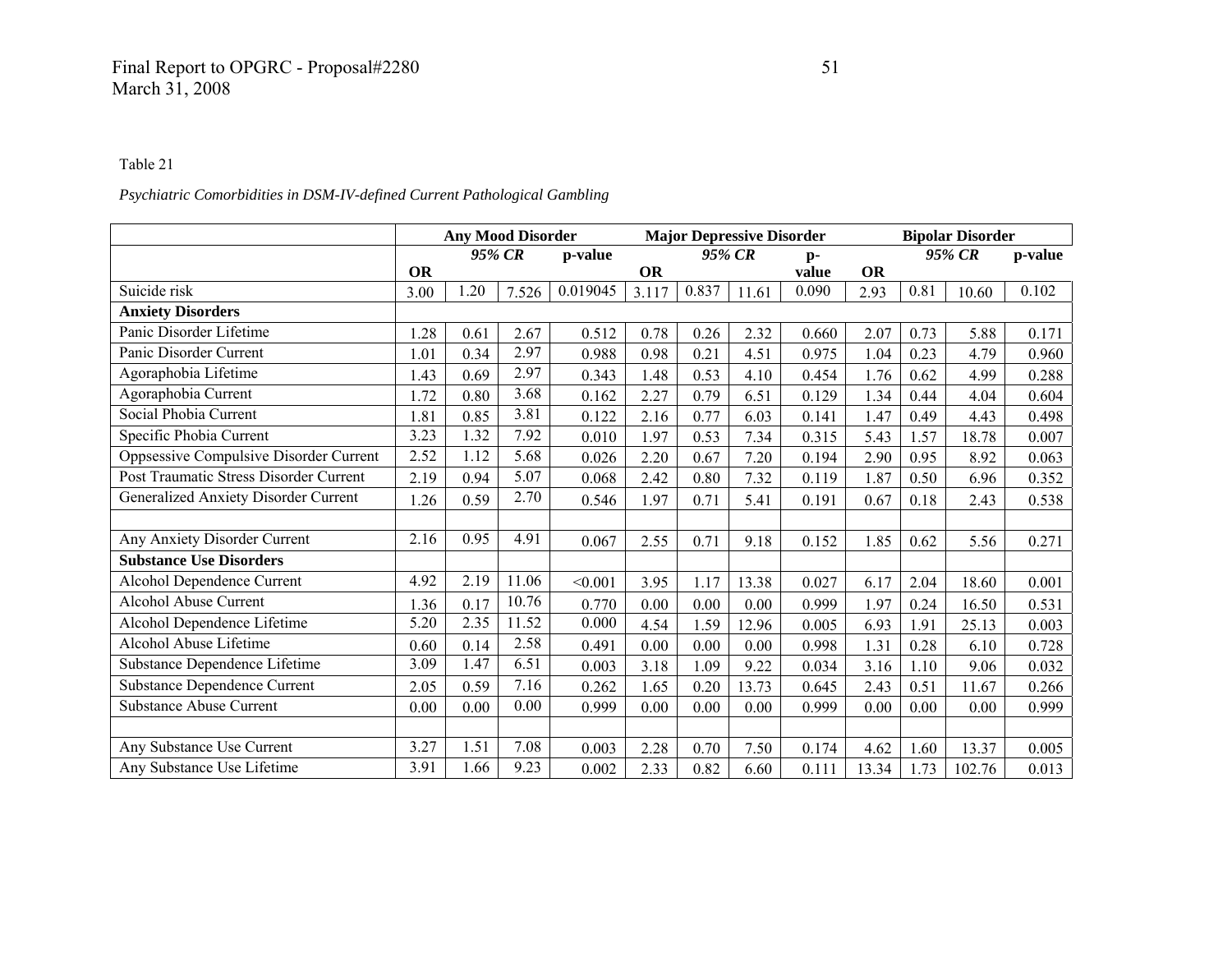## *Psychiatric Comorbidities in DSM-IV-defined Current Pathological Gambling*

|                                             |           | <b>Any Mood Disorder</b> |          |          |           |        | <b>Major Depressive Disorder</b> |       |           |      | <b>Bipolar Disorder</b> |         |
|---------------------------------------------|-----------|--------------------------|----------|----------|-----------|--------|----------------------------------|-------|-----------|------|-------------------------|---------|
|                                             |           |                          | 95% CR   | p-value  |           | 95% CR |                                  | $p-$  |           |      | 95% CR                  | p-value |
|                                             | <b>OR</b> |                          |          |          | <b>OR</b> |        |                                  | value | <b>OR</b> |      |                         |         |
| Suicide risk                                | 3.00      | 1.20                     | 7.526    | 0.019045 | 3.117     | 0.837  | 11.61                            | 0.090 | 2.93      | 0.81 | 10.60                   | 0.102   |
| <b>Anxiety Disorders</b>                    |           |                          |          |          |           |        |                                  |       |           |      |                         |         |
| Panic Disorder Lifetime                     | 1.28      | 0.61                     | 2.67     | 0.512    | 0.78      | 0.26   | 2.32                             | 0.660 | 2.07      | 0.73 | 5.88                    | 0.171   |
| Panic Disorder Current                      | 1.01      | 0.34                     | 2.97     | 0.988    | 0.98      | 0.21   | 4.51                             | 0.975 | 1.04      | 0.23 | 4.79                    | 0.960   |
| Agoraphobia Lifetime                        | 1.43      | 0.69                     | 2.97     | 0.343    | 1.48      | 0.53   | 4.10                             | 0.454 | 1.76      | 0.62 | 4.99                    | 0.288   |
| Agoraphobia Current                         | 1.72      | 0.80                     | 3.68     | 0.162    | 2.27      | 0.79   | 6.51                             | 0.129 | 1.34      | 0.44 | 4.04                    | 0.604   |
| Social Phobia Current                       | 1.81      | 0.85                     | 3.81     | 0.122    | 2.16      | 0.77   | 6.03                             | 0.141 | 1.47      | 0.49 | 4.43                    | 0.498   |
| Specific Phobia Current                     | 3.23      | 1.32                     | 7.92     | 0.010    | 1.97      | 0.53   | 7.34                             | 0.315 | 5.43      | 1.57 | 18.78                   | 0.007   |
| Oppsessive Compulsive Disorder Current      | 2.52      | 1.12                     | 5.68     | 0.026    | 2.20      | 0.67   | 7.20                             | 0.194 | 2.90      | 0.95 | 8.92                    | 0.063   |
| Post Traumatic Stress Disorder Current      | 2.19      | 0.94                     | 5.07     | 0.068    | 2.42      | 0.80   | 7.32                             | 0.119 | 1.87      | 0.50 | 6.96                    | 0.352   |
| <b>Generalized Anxiety Disorder Current</b> | 1.26      | 0.59                     | 2.70     | 0.546    | 1.97      | 0.71   | 5.41                             | 0.191 | 0.67      | 0.18 | 2.43                    | 0.538   |
|                                             |           |                          |          |          |           |        |                                  |       |           |      |                         |         |
| Any Anxiety Disorder Current                | 2.16      | 0.95                     | 4.91     | 0.067    | 2.55      | 0.71   | 9.18                             | 0.152 | 1.85      | 0.62 | 5.56                    | 0.271   |
| <b>Substance Use Disorders</b>              |           |                          |          |          |           |        |                                  |       |           |      |                         |         |
| Alcohol Dependence Current                  | 4.92      | 2.19                     | 11.06    | < 0.001  | 3.95      | 1.17   | 13.38                            | 0.027 | 6.17      | 2.04 | 18.60                   | 0.001   |
| <b>Alcohol Abuse Current</b>                | 1.36      | 0.17                     | 10.76    | 0.770    | 0.00      | 0.00   | 0.00                             | 0.999 | 1.97      | 0.24 | 16.50                   | 0.531   |
| Alcohol Dependence Lifetime                 | 5.20      | 2.35                     | 11.52    | 0.000    | 4.54      | 1.59   | 12.96                            | 0.005 | 6.93      | 1.91 | 25.13                   | 0.003   |
| Alcohol Abuse Lifetime                      | 0.60      | 0.14                     | 2.58     | 0.491    | 0.00      | 0.00   | 0.00                             | 0.998 | 1.31      | 0.28 | 6.10                    | 0.728   |
| Substance Dependence Lifetime               | 3.09      | 1.47                     | 6.51     | 0.003    | 3.18      | 1.09   | 9.22                             | 0.034 | 3.16      | 1.10 | 9.06                    | 0.032   |
| <b>Substance Dependence Current</b>         | 2.05      | 0.59                     | 7.16     | 0.262    | 1.65      | 0.20   | 13.73                            | 0.645 | 2.43      | 0.51 | 11.67                   | 0.266   |
| <b>Substance Abuse Current</b>              | 0.00      | 0.00                     | $0.00\,$ | 0.999    | 0.00      | 0.00   | 0.00                             | 0.999 | 0.00      | 0.00 | 0.00                    | 0.999   |
|                                             |           |                          |          |          |           |        |                                  |       |           |      |                         |         |
| Any Substance Use Current                   | 3.27      | 1.51                     | 7.08     | 0.003    | 2.28      | 0.70   | 7.50                             | 0.174 | 4.62      | 1.60 | 13.37                   | 0.005   |
| Any Substance Use Lifetime                  | 3.91      | 1.66                     | 9.23     | 0.002    | 2.33      | 0.82   | 6.60                             | 0.111 | 13.34     | 1.73 | 102.76                  | 0.013   |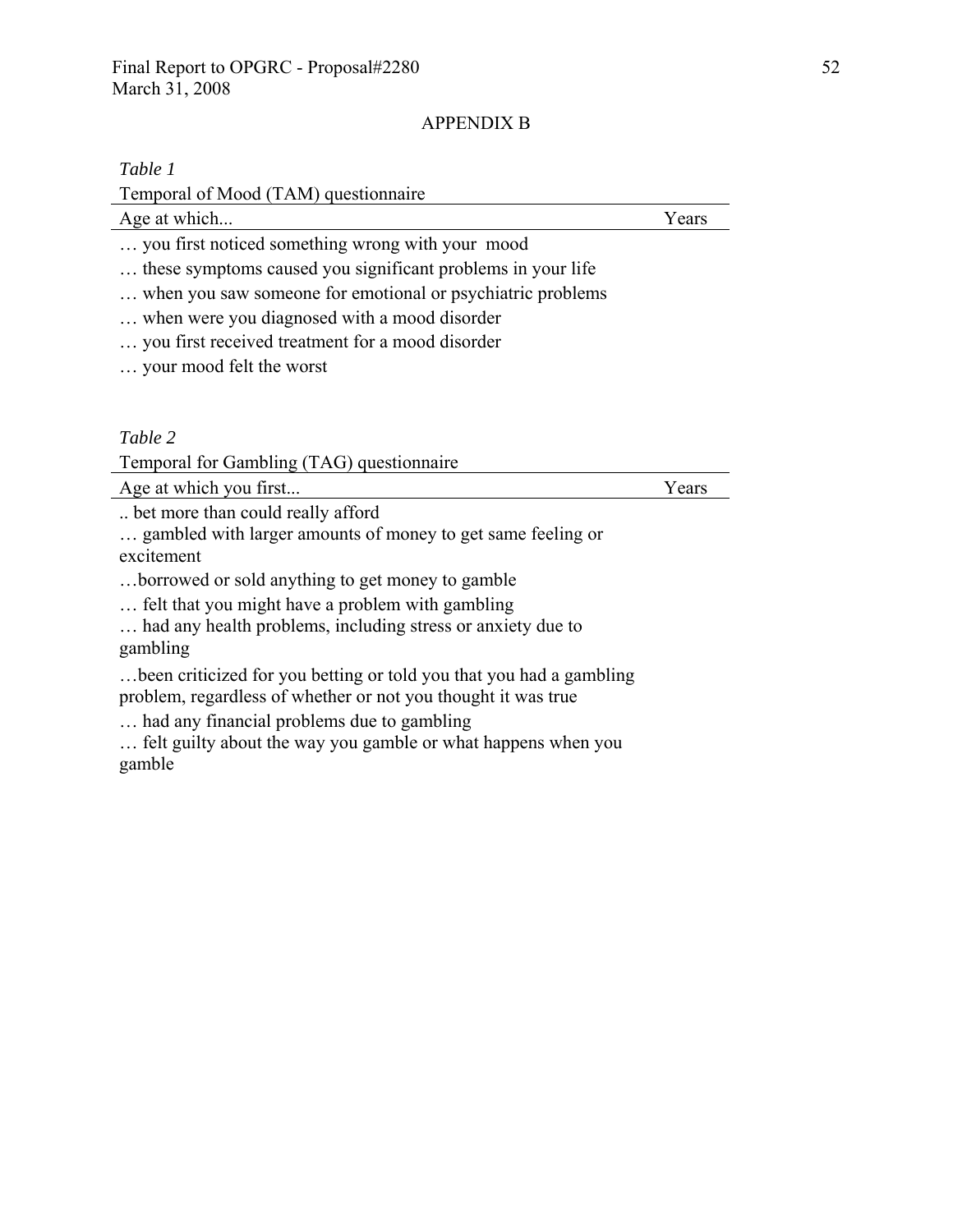## APPENDIX B

### *Table 1*

Temporal of Mood (TAM) questionnaire

Age at which... Years

- … you first noticed something wrong with your mood
- … these symptoms caused you significant problems in your life
- … when you saw someone for emotional or psychiatric problems
- … when were you diagnosed with a mood disorder
- … you first received treatment for a mood disorder
- … your mood felt the worst

## *Table 2*

Temporal for Gambling (TAG) questionnaire

Age at which you first...

.. bet more than could really afford

… gambled with larger amounts of money to get same feeling or excitement

…borrowed or sold anything to get money to gamble

… felt that you might have a problem with gambling

… had any health problems, including stress or anxiety due to gambling

…been criticized for you betting or told you that you had a gambling problem, regardless of whether or not you thought it was true

… had any financial problems due to gambling

… felt guilty about the way you gamble or what happens when you gamble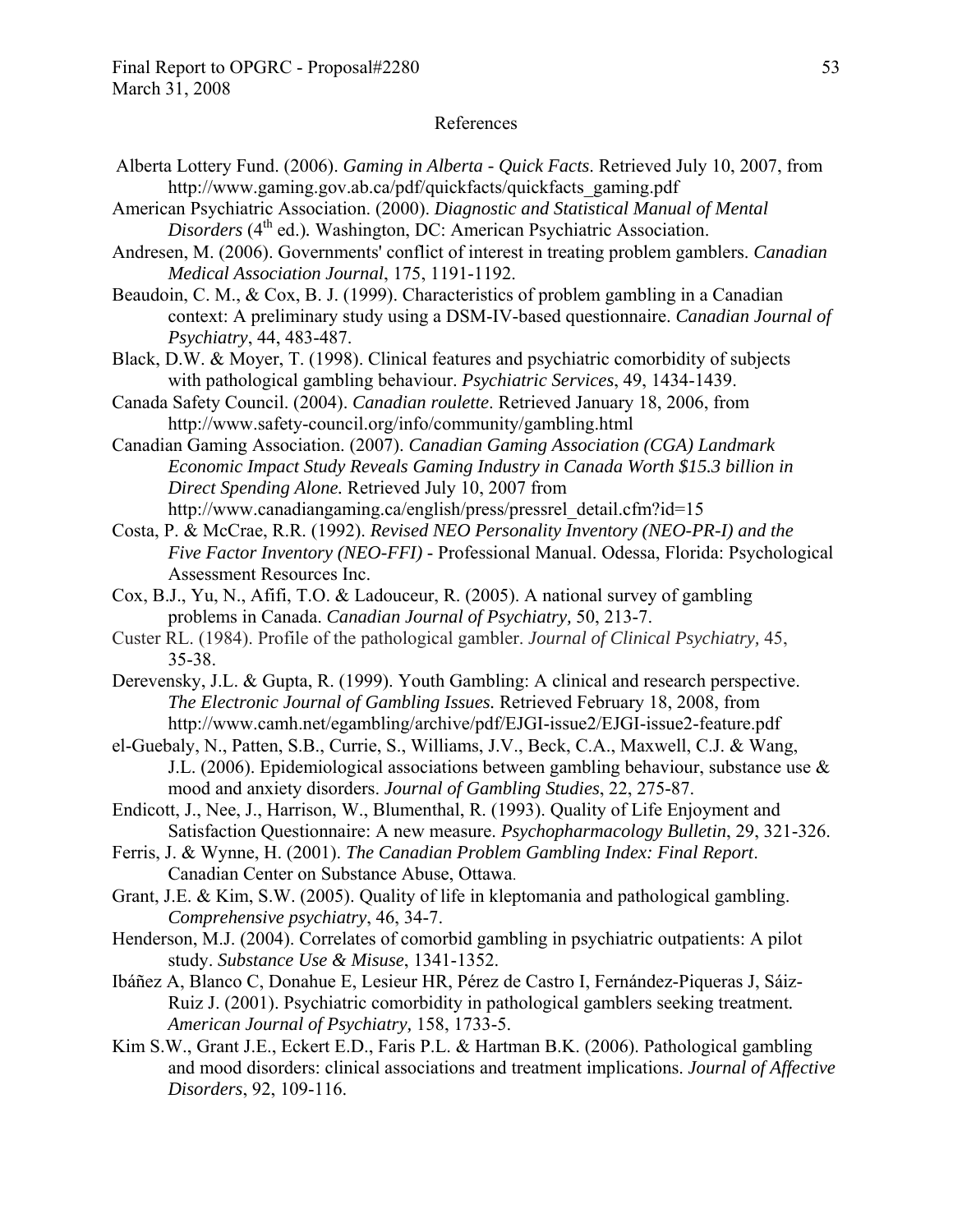#### References

- Alberta Lottery Fund. (2006). *Gaming in Alberta Quick Facts*. Retrieved July 10, 2007, from http://www.gaming.gov.ab.ca/pdf/quickfacts/quickfacts\_gaming.pdf
- American Psychiatric Association. (2000). *Diagnostic and Statistical Manual of Mental Disorders* (4<sup>th</sup> ed.). Washington, DC: American Psychiatric Association.
- Andresen, M. (2006). Governments' conflict of interest in treating problem gamblers. *Canadian Medical Association Journal*, 175, 1191-1192.
- Beaudoin, C. M., & Cox, B. J. (1999). Characteristics of problem gambling in a Canadian context: A preliminary study using a DSM-IV-based questionnaire. *Canadian Journal of Psychiatry*, 44, 483-487.
- Black, D.W. & Moyer, T. (1998). Clinical features and psychiatric comorbidity of subjects with pathological gambling behaviour. *Psychiatric Services*, 49, 1434-1439.
- Canada Safety Council. (2004). *Canadian roulette*. Retrieved January 18, 2006, from http://www.safety-council.org/info/community/gambling.html
- Canadian Gaming Association. (2007). *Canadian Gaming Association (CGA) Landmark Economic Impact Study Reveals Gaming Industry in Canada Worth \$15.3 billion in Direct Spending Alone.* Retrieved July 10, 2007 from http://www.canadiangaming.ca/english/press/pressrel\_detail.cfm?id=15
- Costa, P. & McCrae, R.R. (1992). *Revised NEO Personality Inventory (NEO-PR-I) and the Five Factor Inventory (NEO-FFI)* - Professional Manual. Odessa, Florida: Psychological Assessment Resources Inc.
- Cox, B.J., Yu, N., Afifi, T.O. & Ladouceur, R. (2005). A national survey of gambling problems in Canada. *Canadian Journal of Psychiatry,* 50, 213-7.
- Custer RL. (1984). Profile of the pathological gambler. *Journal of Clinical Psychiatry,* 45, 35-38.
- Derevensky, J.L. & Gupta, R. (1999). Youth Gambling: A clinical and research perspective. *The Electronic Journal of Gambling Issues.* Retrieved February 18, 2008, from http://www.camh.net/egambling/archive/pdf/EJGI-issue2/EJGI-issue2-feature.pdf
- el-Guebaly, N., Patten, S.B., Currie, S., Williams, J.V., Beck, C.A., Maxwell, C.J. & Wang, J.L. (2006). Epidemiological associations between gambling behaviour, substance use & mood and anxiety disorders. *Journal of Gambling Studies*, 22, 275-87.
- Endicott, J., Nee, J., Harrison, W., Blumenthal, R. (1993). Quality of Life Enjoyment and Satisfaction Questionnaire: A new measure. *Psychopharmacology Bulletin*, 29, 321-326.
- Ferris, J. & Wynne, H. (2001). *The Canadian Problem Gambling Index: Final Report*. Canadian Center on Substance Abuse, Ottawa.
- Grant, J.E. & Kim, S.W. (2005). Quality of life in kleptomania and pathological gambling. *Comprehensive psychiatry*, 46, 34-7.
- Henderson, M.J. (2004). Correlates of comorbid gambling in psychiatric outpatients: A pilot study. *Substance Use & Misuse*, 1341-1352.
- Ibáñez A, Blanco C, Donahue E, Lesieur HR, Pérez de Castro I, Fernández-Piqueras J, Sáiz-Ruiz J. (2001). Psychiatric comorbidity in pathological gamblers seeking treatment*. American Journal of Psychiatry,* 158, 1733-5.
- Kim S.W., Grant J.E., Eckert E.D., Faris P.L. & Hartman B.K. (2006). Pathological gambling and mood disorders: clinical associations and treatment implications. *Journal of Affective Disorders*, 92, 109-116.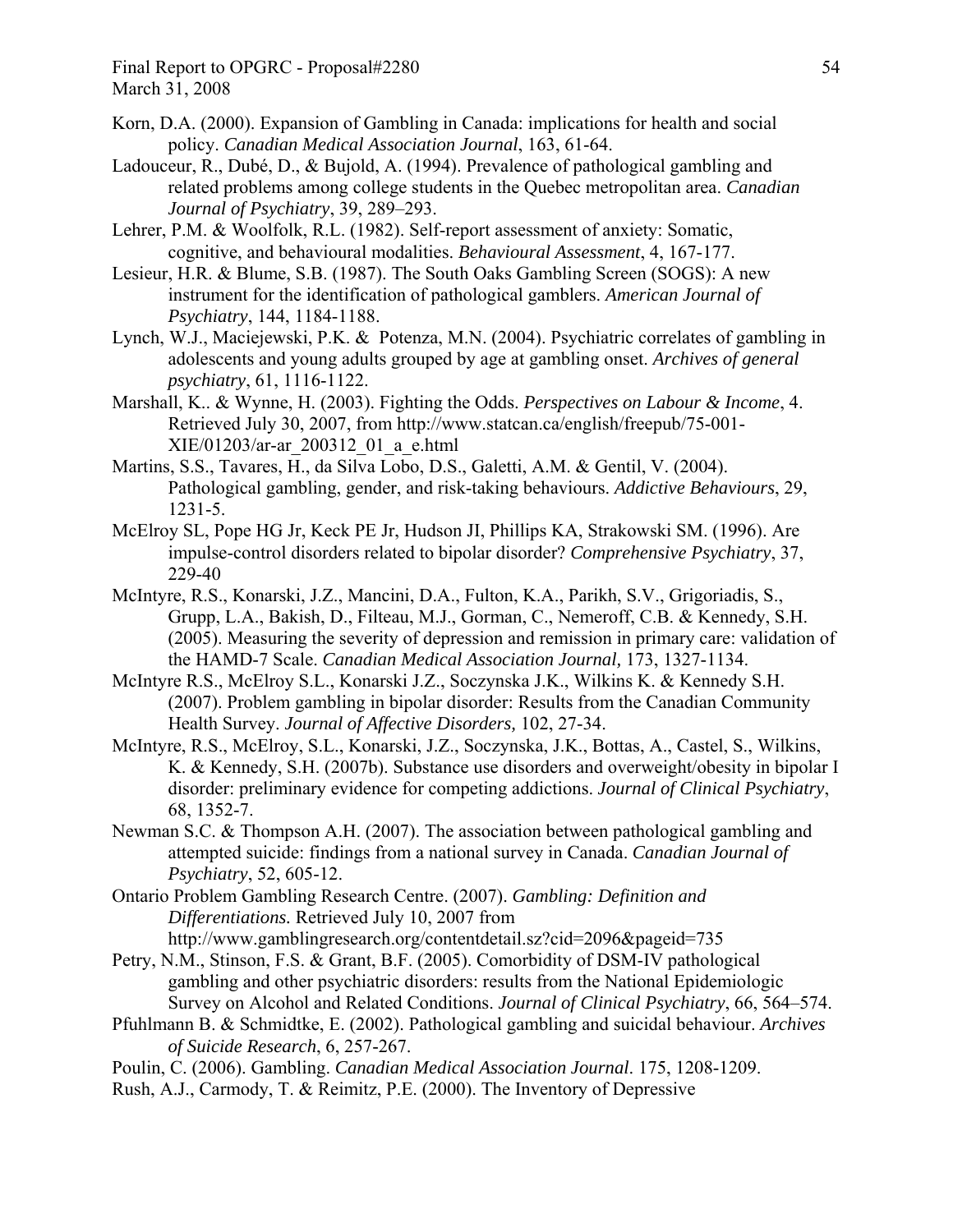- Korn, D.A. (2000). Expansion of Gambling in Canada: implications for health and social policy. *Canadian Medical Association Journal*, 163, 61-64.
- Ladouceur, R., Dubé, D., & Bujold, A. (1994). Prevalence of pathological gambling and related problems among college students in the Quebec metropolitan area. *Canadian Journal of Psychiatry*, 39, 289–293.
- Lehrer, P.M. & Woolfolk, R.L. (1982). Self-report assessment of anxiety: Somatic, cognitive, and behavioural modalities. *Behavioural Assessment*, 4, 167-177.
- Lesieur, H.R. & Blume, S.B. (1987). The South Oaks Gambling Screen (SOGS): A new instrument for the identification of pathological gamblers. *American Journal of Psychiatry*, 144, 1184-1188.
- Lynch, W.J., Maciejewski, P.K. & Potenza, M.N. (2004). Psychiatric correlates of gambling in adolescents and young adults grouped by age at gambling onset. *Archives of general psychiatry*, 61, 1116-1122.
- Marshall, K.. & Wynne, H. (2003). Fighting the Odds. *Perspectives on Labour & Income*, 4. Retrieved July 30, 2007, from http://www.statcan.ca/english/freepub/75-001- XIE/01203/ar-ar\_200312\_01\_a\_e.html
- Martins, S.S., Tavares, H., da Silva Lobo, D.S., Galetti, A.M. & Gentil, V. (2004). Pathological gambling, gender, and risk-taking behaviours. *Addictive Behaviours*, 29, 1231-5.
- McElroy SL, Pope HG Jr, Keck PE Jr, Hudson JI, Phillips KA, Strakowski SM. (1996). Are impulse-control disorders related to bipolar disorder? *Comprehensive Psychiatry*, 37, 229-40
- McIntyre, R.S., Konarski, J.Z., Mancini, D.A., Fulton, K.A., Parikh, S.V., Grigoriadis, S., Grupp, L.A., Bakish, D., Filteau, M.J., Gorman, C., Nemeroff, C.B. & Kennedy, S.H. (2005). Measuring the severity of depression and remission in primary care: validation of the HAMD-7 Scale. *Canadian Medical Association Journal,* 173, 1327-1134.
- McIntyre R.S., McElroy S.L., Konarski J.Z., Soczynska J.K., Wilkins K. & Kennedy S.H. (2007). Problem gambling in bipolar disorder: Results from the Canadian Community Health Survey. *Journal of Affective Disorders,* 102, 27-34.
- McIntyre, R.S., McElroy, S.L., Konarski, J.Z., Soczynska, J.K., Bottas, A., Castel, S., Wilkins, K. & Kennedy, S.H. (2007b). Substance use disorders and overweight/obesity in bipolar I disorder: preliminary evidence for competing addictions. *Journal of Clinical Psychiatry*, 68, 1352-7.
- Newman S.C. & Thompson A.H. (2007). The association between pathological gambling and attempted suicide: findings from a national survey in Canada. *Canadian Journal of Psychiatry*, 52, 605-12.
- Ontario Problem Gambling Research Centre. (2007). *Gambling: Definition and Differentiations.* Retrieved July 10, 2007 from http://www.gamblingresearch.org/contentdetail.sz?cid=2096&pageid=735
- Petry, N.M., Stinson, F.S. & Grant, B.F. (2005). Comorbidity of DSM-IV pathological gambling and other psychiatric disorders: results from the National Epidemiologic Survey on Alcohol and Related Conditions. *Journal of Clinical Psychiatry*, 66, 564–574.
- Pfuhlmann B. & Schmidtke, E. (2002). Pathological gambling and suicidal behaviour. *Archives of Suicide Research*, 6, 257-267.
- Poulin, C. (2006). Gambling. *Canadian Medical Association Journal*. 175, 1208-1209.
- Rush, A.J., Carmody, T. & Reimitz, P.E. (2000). The Inventory of Depressive